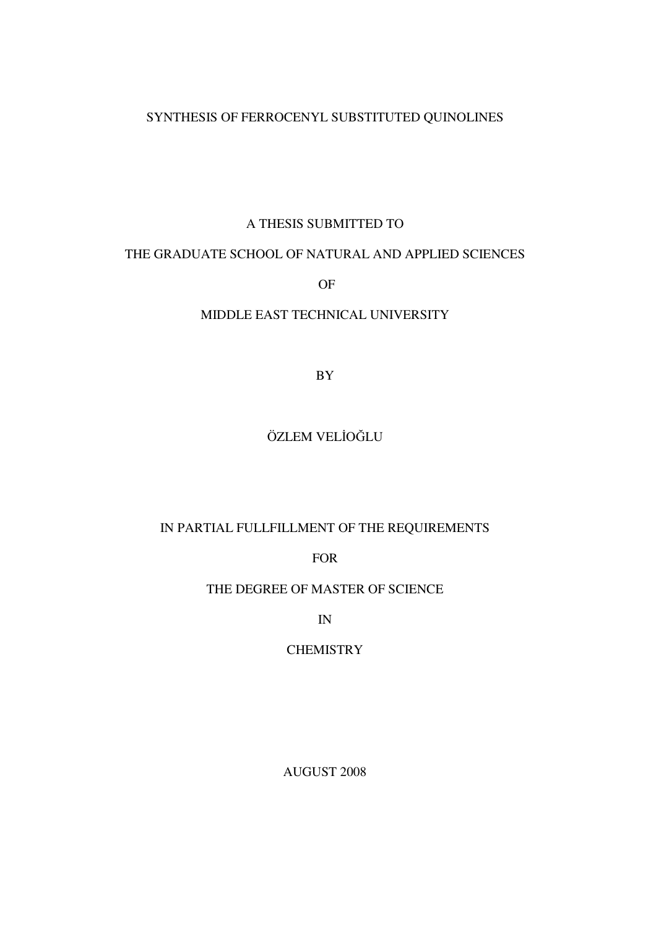## SYNTHESIS OF FERROCENYL SUBSTITUTED QUINOLINES

### A THESIS SUBMITTED TO

### THE GRADUATE SCHOOL OF NATURAL AND APPLIED SCIENCES

OF

## MIDDLE EAST TECHNICAL UNIVERSITY

BY

## ÖZLEM VELİOĞLU

## IN PARTIAL FULLFILLMENT OF THE REQUIREMENTS

FOR

## THE DEGREE OF MASTER OF SCIENCE

IN

## **CHEMISTRY**

AUGUST 2008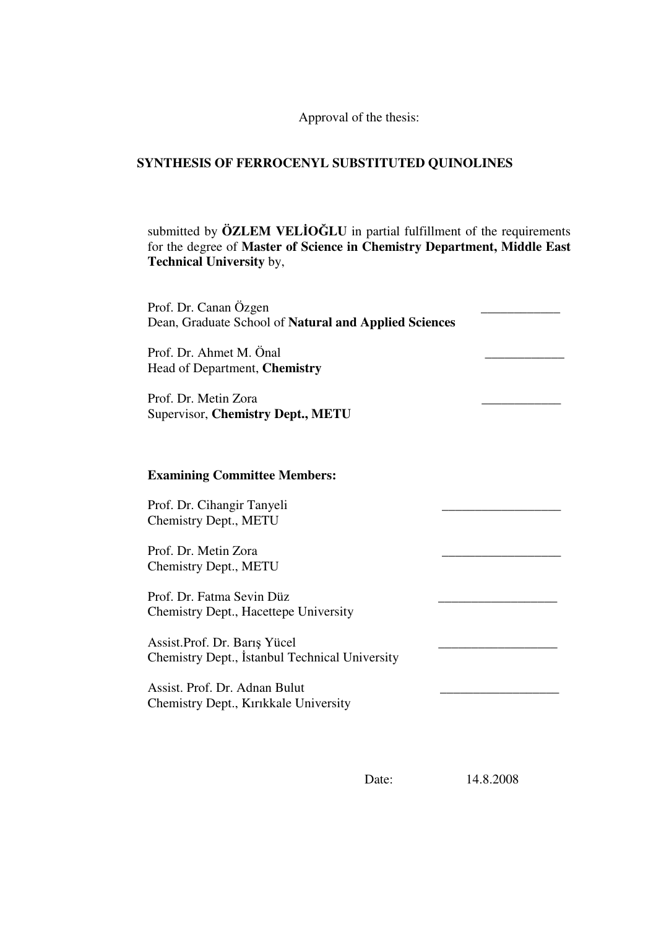Approval of the thesis:

## **SYNTHESIS OF FERROCENYL SUBSTITUTED QUINOLINES**

submitted by **ÖZLEM VELIOĞLU** in partial fulfillment of the requirements for the degree of **Master of Science in Chemistry Department, Middle East Technical University** by,

| Prof. Dr. Canan Özgen<br>Dean, Graduate School of Natural and Applied Sciences  |  |
|---------------------------------------------------------------------------------|--|
| Prof. Dr. Ahmet M. Önal<br>Head of Department, Chemistry                        |  |
| Prof. Dr. Metin Zora<br>Supervisor, Chemistry Dept., METU                       |  |
| <b>Examining Committee Members:</b>                                             |  |
| Prof. Dr. Cihangir Tanyeli                                                      |  |
| Chemistry Dept., METU<br>Prof. Dr. Metin Zora                                   |  |
| Chemistry Dept., METU                                                           |  |
| Prof. Dr. Fatma Sevin Düz<br>Chemistry Dept., Hacettepe University              |  |
| Assist. Prof. Dr. Barış Yücel<br>Chemistry Dept., İstanbul Technical University |  |
| Assist. Prof. Dr. Adnan Bulut<br>Chemistry Dept., Kırıkkale University          |  |

Date: 14.8.2008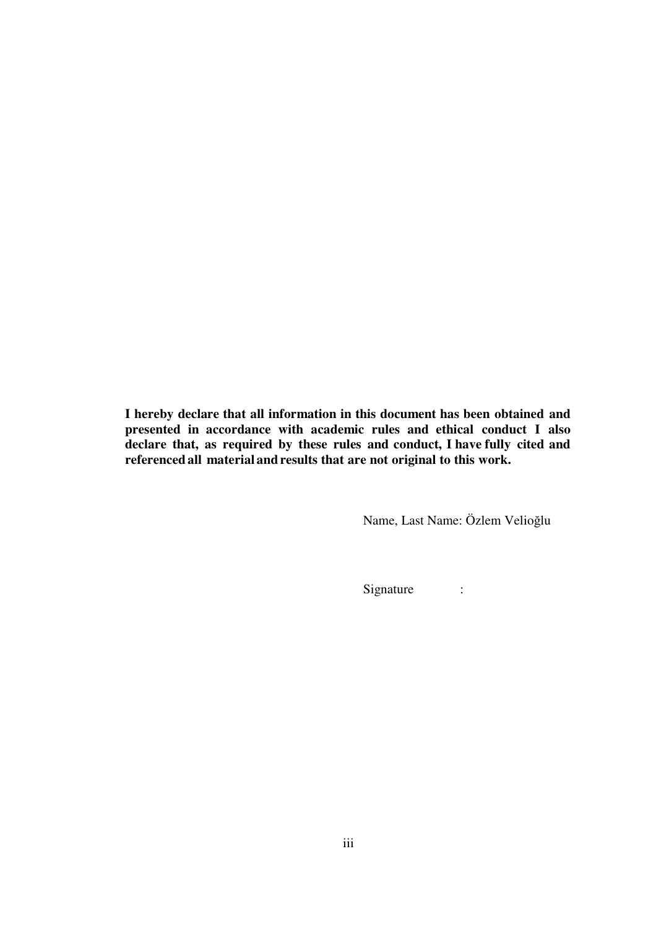**I hereby declare that all information in this document has been obtained and presented in accordance with academic rules and ethical conduct I also declare that, as required by these rules and conduct, I have fully cited and referencedall material andresults that are not original to this work.**

Name, Last Name: Özlem Velioğlu

Signature :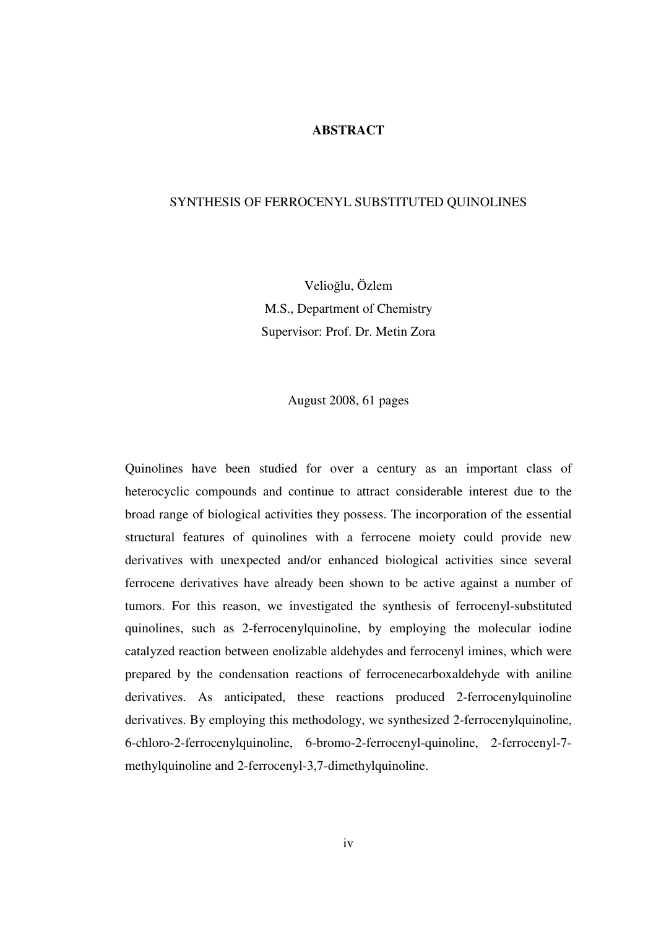#### **ABSTRACT**

#### SYNTHESIS OF FERROCENYL SUBSTITUTED QUINOLINES

Velioğlu, Özlem M.S., Department of Chemistry Supervisor: Prof. Dr. Metin Zora

August 2008, 61 pages

Quinolines have been studied for over a century as an important class of heterocyclic compounds and continue to attract considerable interest due to the broad range of biological activities they possess. The incorporation of the essential structural features of quinolines with a ferrocene moiety could provide new derivatives with unexpected and/or enhanced biological activities since several ferrocene derivatives have already been shown to be active against a number of tumors. For this reason, we investigated the synthesis of ferrocenyl-substituted quinolines, such as 2-ferrocenylquinoline, by employing the molecular iodine catalyzed reaction between enolizable aldehydes and ferrocenyl imines, which were prepared by the condensation reactions of ferrocenecarboxaldehyde with aniline derivatives. As anticipated, these reactions produced 2-ferrocenylquinoline derivatives. By employing this methodology, we synthesized 2-ferrocenylquinoline, 6-chloro-2-ferrocenylquinoline, 6-bromo-2-ferrocenyl-quinoline, 2-ferrocenyl-7 methylquinoline and 2-ferrocenyl-3,7-dimethylquinoline.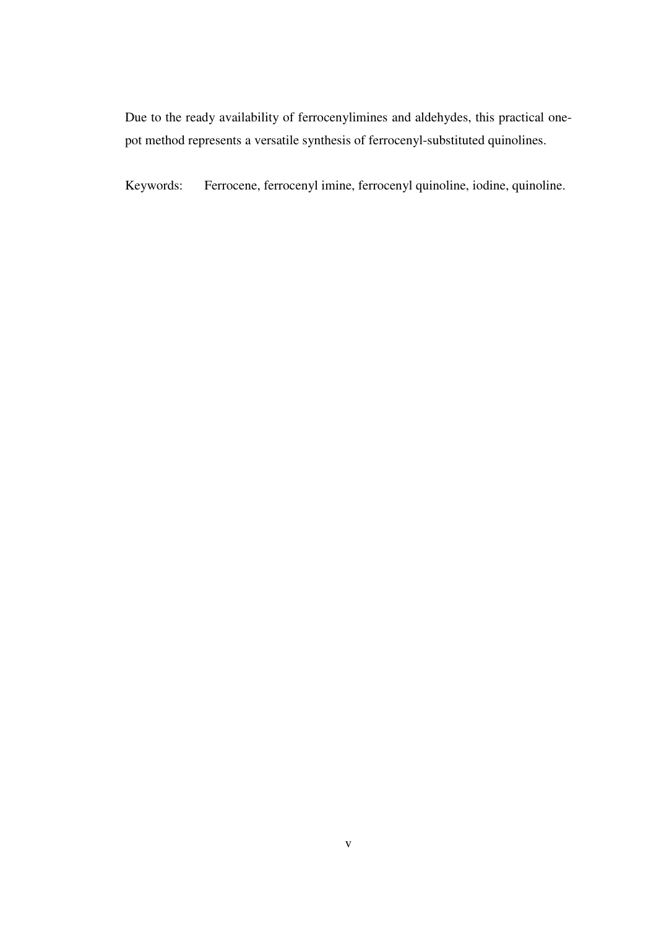Due to the ready availability of ferrocenylimines and aldehydes, this practical onepot method represents a versatile synthesis of ferrocenyl-substituted quinolines.

Keywords: Ferrocene, ferrocenyl imine, ferrocenyl quinoline, iodine, quinoline.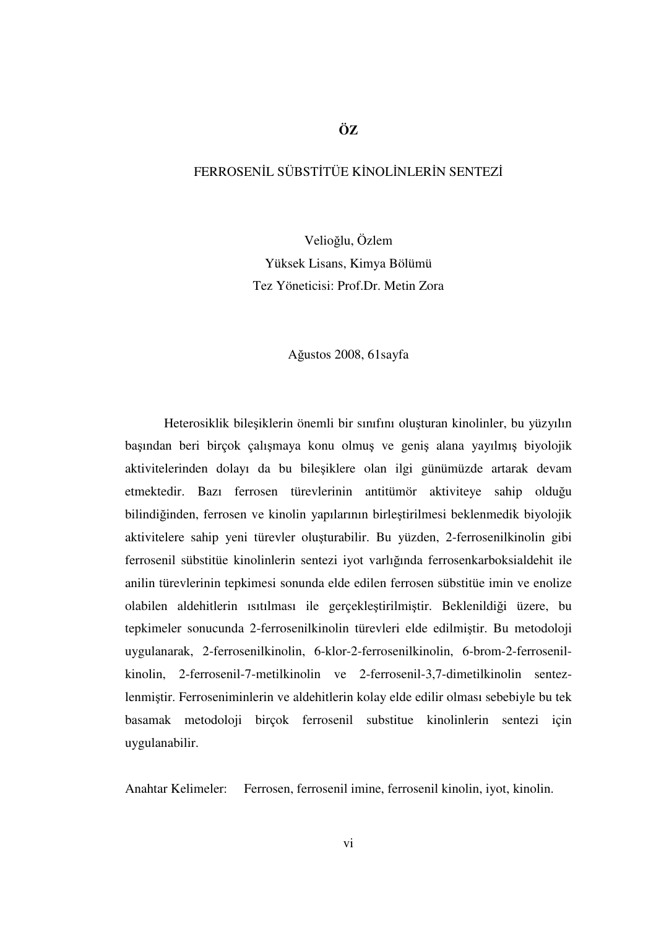### FERROSENIL SÜBSTITÜE KİNOLİNLERİN SENTEZİ

Velioğlu, Özlem Yüksek Lisans, Kimya Bölümü Tez Yöneticisi: Prof.Dr. Metin Zora

#### Ağustos 2008, 61sayfa

Heterosiklik bileşiklerin önemli bir sınıfını oluşturan kinolinler, bu yüzyılın başından beri birçok çalışmaya konu olmuş ve geniş alana yayılmış biyolojik aktivitelerinden dolayı da bu bileşiklere olan ilgi günümüzde artarak devam etmektedir. Bazı ferrosen türevlerinin antitümör aktiviteye sahip olduğu bilindiğinden, ferrosen ve kinolin yapılarının birleştirilmesi beklenmedik biyolojik aktivitelere sahip yeni türevler oluşturabilir. Bu yüzden, 2-ferrosenilkinolin gibi ferrosenil sübstitüe kinolinlerin sentezi iyot varlığında ferrosenkarboksialdehit ile anilin türevlerinin tepkimesi sonunda elde edilen ferrosen sübstitüe imin ve enolize olabilen aldehitlerin ısıtılması ile gerçekleştirilmiştir. Beklenildiği üzere, bu tepkimeler sonucunda 2-ferrosenilkinolin türevleri elde edilmiştir. Bu metodoloji uygulanarak, 2-ferrosenilkinolin, 6-klor-2-ferrosenilkinolin, 6-brom-2-ferrosenilkinolin, 2-ferrosenil-7-metilkinolin ve 2-ferrosenil-3,7-dimetilkinolin sentezlenmiştir. Ferroseniminlerin ve aldehitlerin kolay elde edilir olması sebebiyle bu tek basamak metodoloji birçok ferrosenil substitue kinolinlerin sentezi için uygulanabilir.

Anahtar Kelimeler: Ferrosen, ferrosenil imine, ferrosenil kinolin, iyot, kinolin.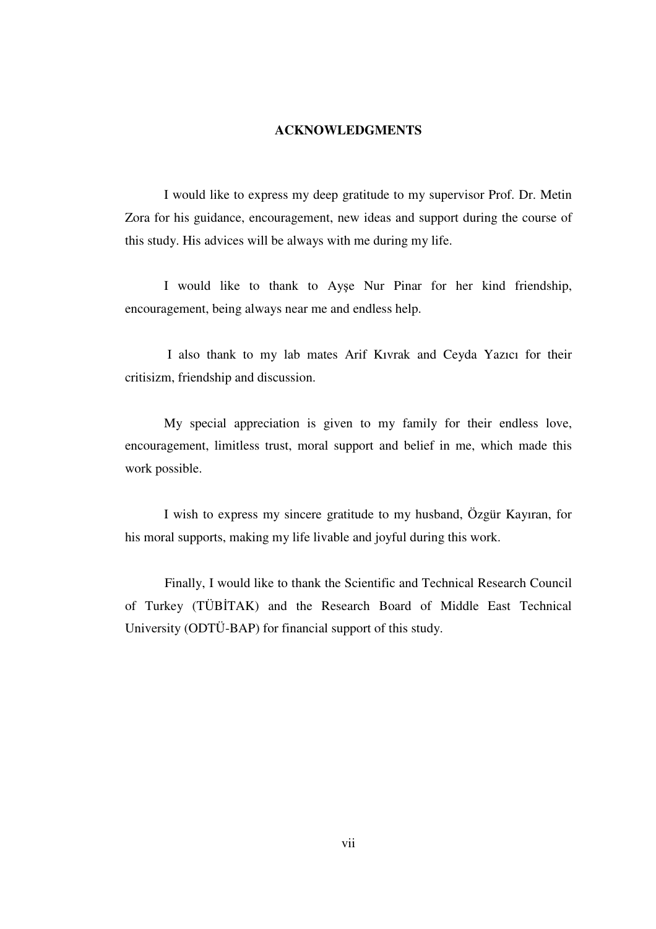#### **ACKNOWLEDGMENTS**

I would like to express my deep gratitude to my supervisor Prof. Dr. Metin Zora for his guidance, encouragement, new ideas and support during the course of this study. His advices will be always with me during my life.

I would like to thank to Ayşe Nur Pinar for her kind friendship, encouragement, being always near me and endless help.

 I also thank to my lab mates Arif Kıvrak and Ceyda Yazıcı for their critisizm, friendship and discussion.

My special appreciation is given to my family for their endless love, encouragement, limitless trust, moral support and belief in me, which made this work possible.

I wish to express my sincere gratitude to my husband, Özgür Kayıran, for his moral supports, making my life livable and joyful during this work.

 Finally, I would like to thank the Scientific and Technical Research Council of Turkey (TÜBİTAK) and the Research Board of Middle East Technical University (ODTÜ-BAP) for financial support of this study.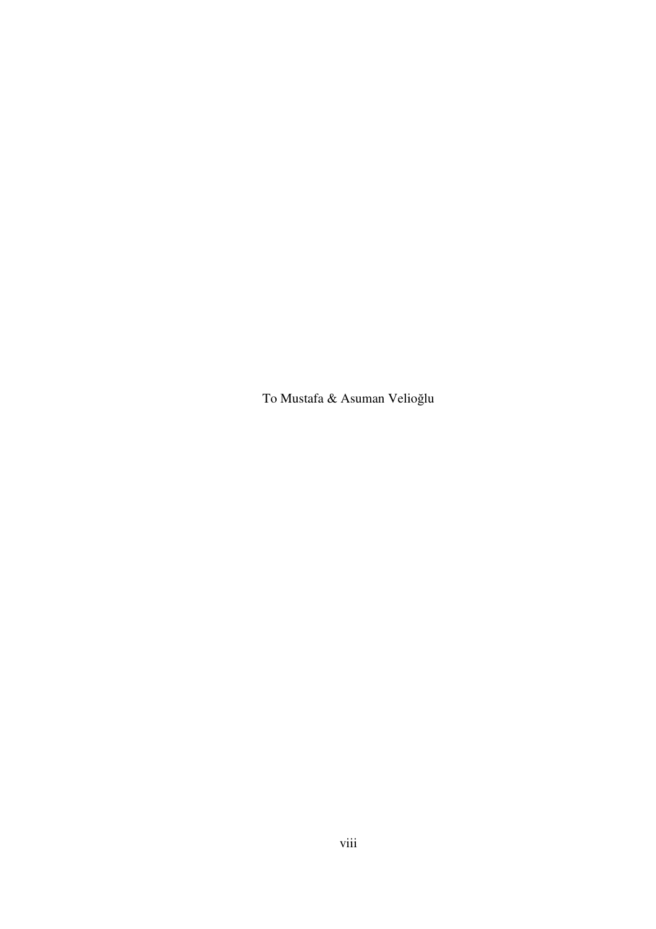To Mustafa & Asuman Velioğlu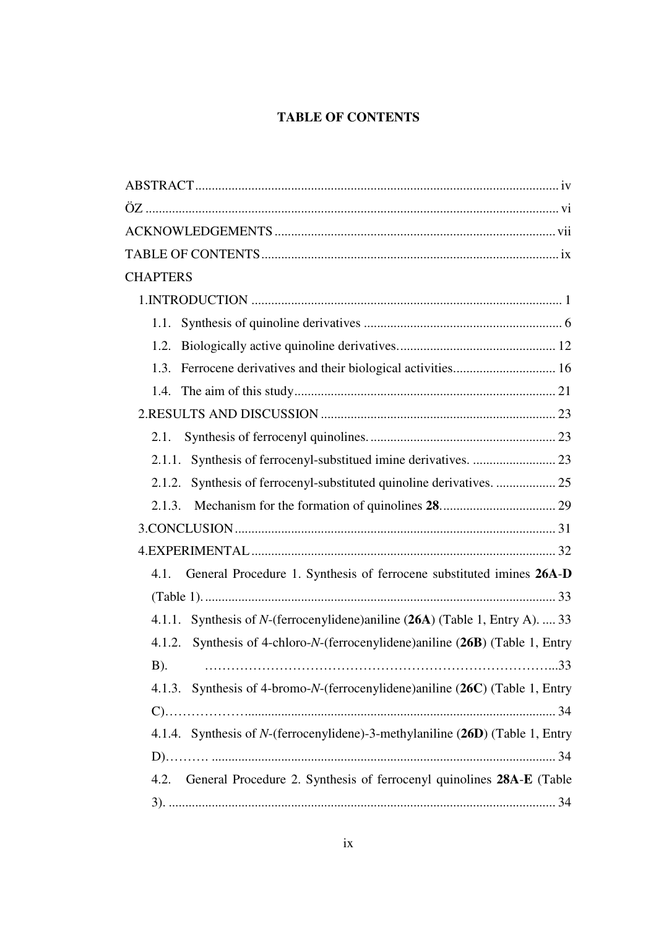# **TABLE OF CONTENTS**

| <b>CHAPTERS</b>                                                                  |
|----------------------------------------------------------------------------------|
|                                                                                  |
| 1.1.                                                                             |
| 1.2.                                                                             |
| 1.3.                                                                             |
| 1.4.                                                                             |
|                                                                                  |
| 2.1.                                                                             |
| Synthesis of ferrocenyl-substitued imine derivatives.  23<br>2.1.1.              |
| 2.1.2.                                                                           |
| 2.1.3.                                                                           |
|                                                                                  |
|                                                                                  |
| General Procedure 1. Synthesis of ferrocene substituted imines 26A-D<br>4.1.     |
|                                                                                  |
| 4.1.1. Synthesis of N-(ferrocenylidene) aniline (26A) (Table 1, Entry A).  33    |
| Synthesis of 4-chloro-N-(ferrocenylidene)aniline (26B) (Table 1, Entry<br>4.1.2. |
| $B)$ .                                                                           |
| 4.1.3. Synthesis of 4-bromo-N-(ferrocenylidene)aniline (26C) (Table 1, Entry     |
|                                                                                  |
| 4.1.4. Synthesis of N-(ferrocenylidene)-3-methylaniline (26D) (Table 1, Entry    |
|                                                                                  |
| General Procedure 2. Synthesis of ferrocenyl quinolines 28A-E (Table<br>4.2.     |
|                                                                                  |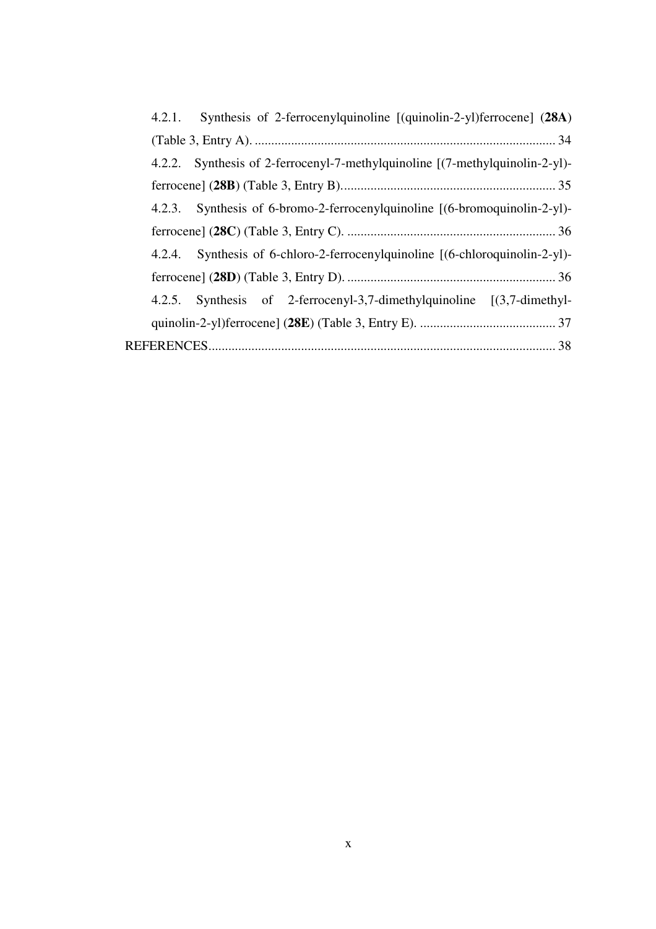| 4.2.1. Synthesis of 2-ferrocenylquinoline [(quinolin-2-yl)ferrocene] (28A)   |
|------------------------------------------------------------------------------|
|                                                                              |
| 4.2.2. Synthesis of 2-ferrocenyl-7-methylquinoline [(7-methylquinolin-2-yl)- |
|                                                                              |
| 4.2.3. Synthesis of 6-bromo-2-ferrocenylquinoline [(6-bromoquinolin-2-yl)-   |
|                                                                              |
| 4.2.4. Synthesis of 6-chloro-2-ferrocenylquinoline [(6-chloroquinolin-2-yl)- |
|                                                                              |
| 4.2.5. Synthesis of 2-ferrocenyl-3,7-dimethylquinoline [(3,7-dimethyl-       |
|                                                                              |
|                                                                              |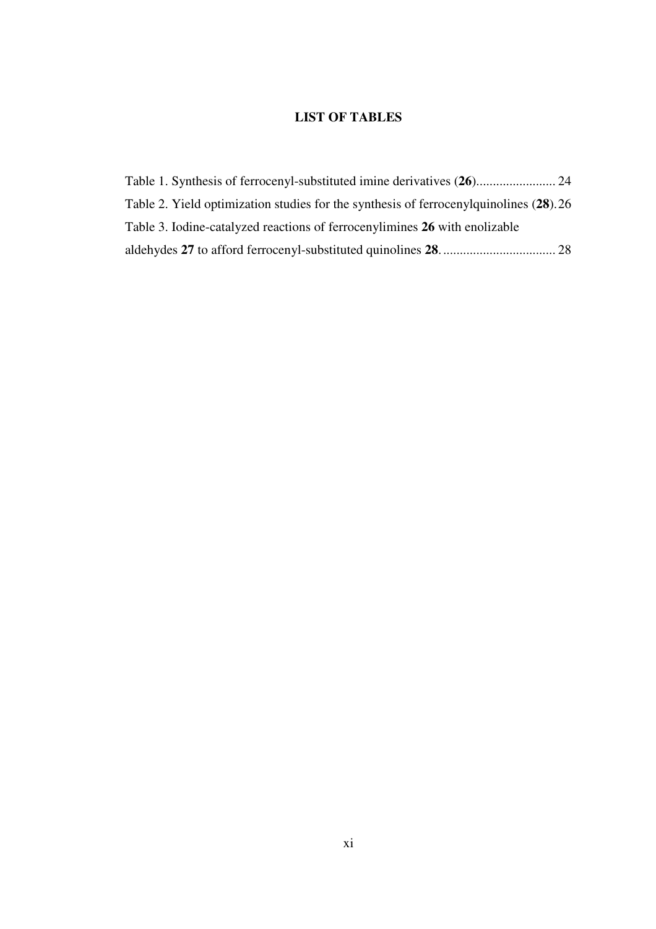## **LIST OF TABLES**

| Table 2. Yield optimization studies for the synthesis of ferrocenyl quinolines (28).26 |  |
|----------------------------------------------------------------------------------------|--|
| Table 3. Iodine-catalyzed reactions of ferrocenylimines 26 with enolizable             |  |
|                                                                                        |  |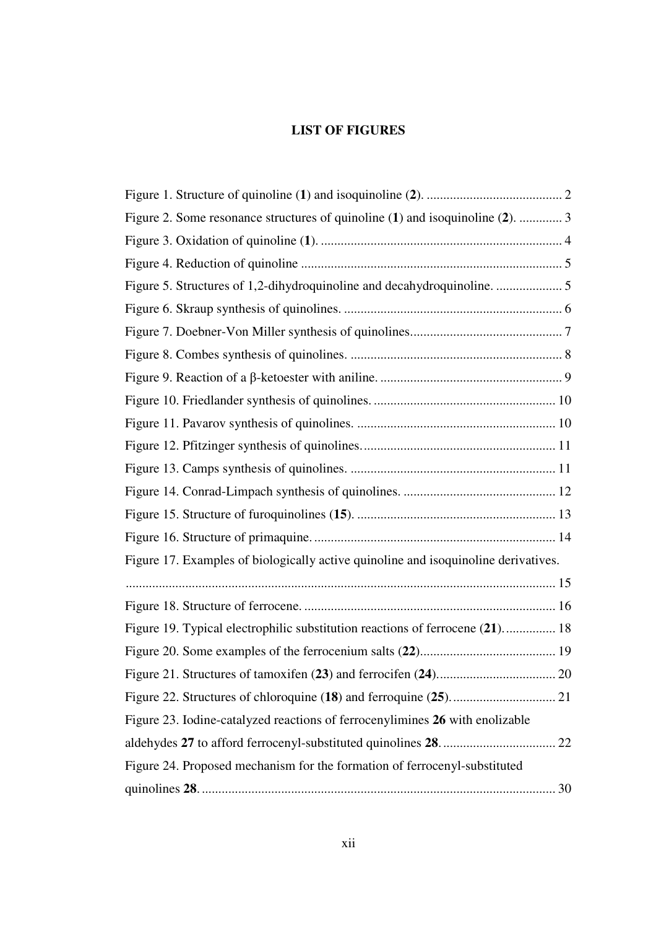# **LIST OF FIGURES**

| Figure 2. Some resonance structures of quinoline (1) and isoquinoline (2).  3      |
|------------------------------------------------------------------------------------|
|                                                                                    |
|                                                                                    |
| Figure 5. Structures of 1,2-dihydroquinoline and decahydroquinoline.  5            |
|                                                                                    |
|                                                                                    |
|                                                                                    |
|                                                                                    |
|                                                                                    |
|                                                                                    |
|                                                                                    |
|                                                                                    |
|                                                                                    |
|                                                                                    |
|                                                                                    |
| Figure 17. Examples of biologically active quinoline and isoquinoline derivatives. |
|                                                                                    |
|                                                                                    |
| Figure 19. Typical electrophilic substitution reactions of ferrocene (21) 18       |
|                                                                                    |
|                                                                                    |
|                                                                                    |
| Figure 23. Iodine-catalyzed reactions of ferrocenylimines 26 with enolizable       |
|                                                                                    |
| Figure 24. Proposed mechanism for the formation of ferrocenyl-substituted          |
|                                                                                    |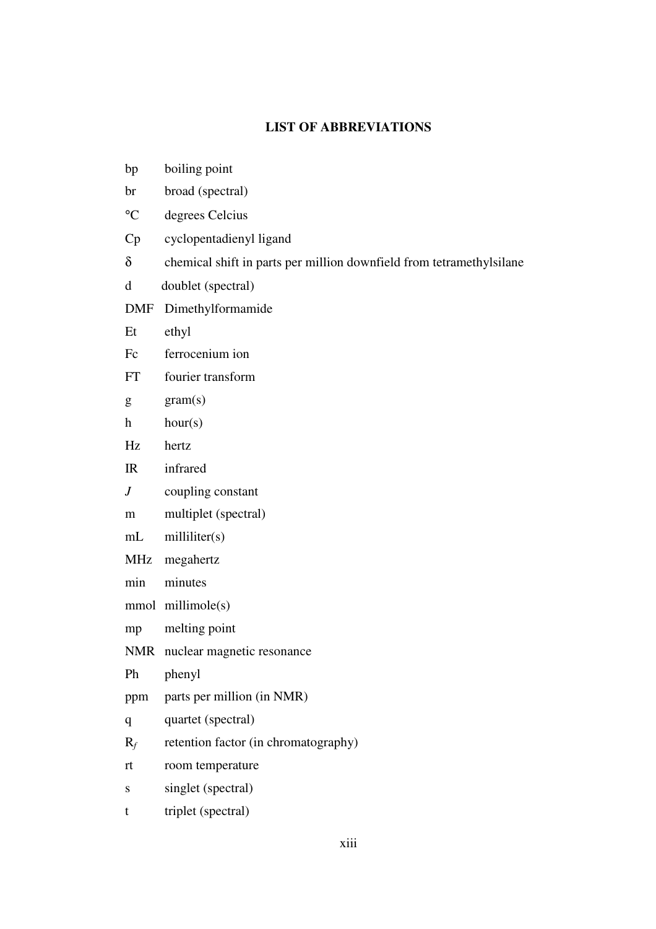## **LIST OF ABBREVIATIONS**

| bp                        | boiling point                                                        |
|---------------------------|----------------------------------------------------------------------|
| br                        | broad (spectral)                                                     |
| $\rm ^{\circ}C$           | degrees Celcius                                                      |
| Cp                        | cyclopentadienyl ligand                                              |
| $\delta$                  | chemical shift in parts per million downfield from tetramethylsilane |
| $\mathbf d$               | doublet (spectral)                                                   |
| DMF                       | Dimethylformamide                                                    |
| Et                        | ethyl                                                                |
| Fc                        | ferrocenium ion                                                      |
| FT                        | fourier transform                                                    |
| g                         | gram(s)                                                              |
| $\boldsymbol{\mathrm{h}}$ | hour(s)                                                              |
| Hz                        | hertz                                                                |
| IR                        | infrared                                                             |
| J                         | coupling constant                                                    |
| m                         | multiplet (spectral)                                                 |
| mL                        | milliliter(s)                                                        |
| MHz                       | megahertz                                                            |
| min                       | minutes                                                              |
|                           | mmol millimole(s)                                                    |
| mp                        | melting point                                                        |
|                           | NMR nuclear magnetic resonance                                       |
| Ph                        | phenyl                                                               |
| ppm                       | parts per million (in NMR)                                           |
| q                         | quartet (spectral)                                                   |
| $R_f$                     | retention factor (in chromatography)                                 |
| rt                        | room temperature                                                     |
| S                         | singlet (spectral)                                                   |
| t                         | triplet (spectral)                                                   |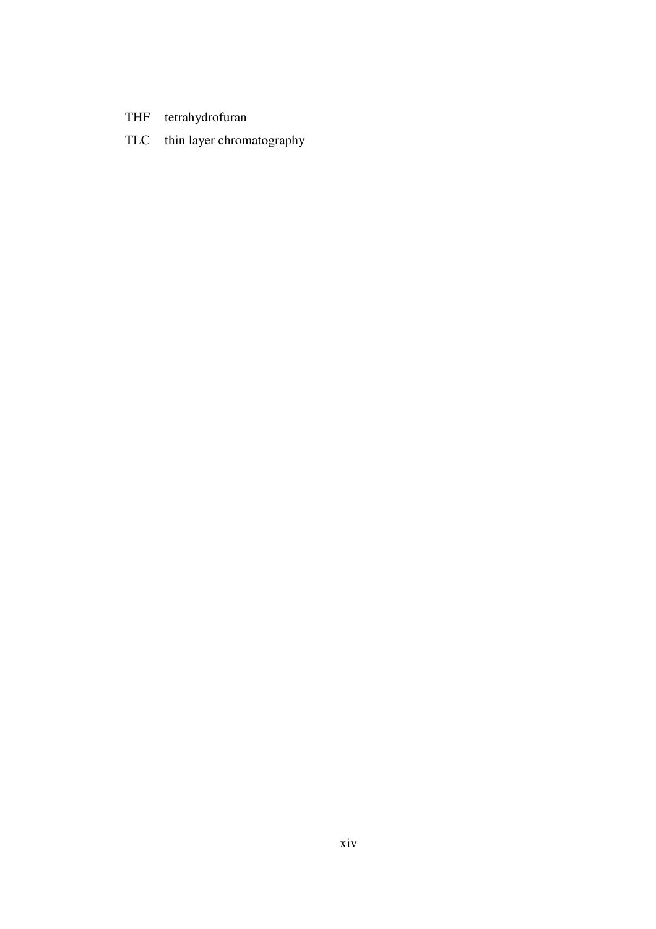- THF tetrahydrofuran
- TLC thin layer chromatography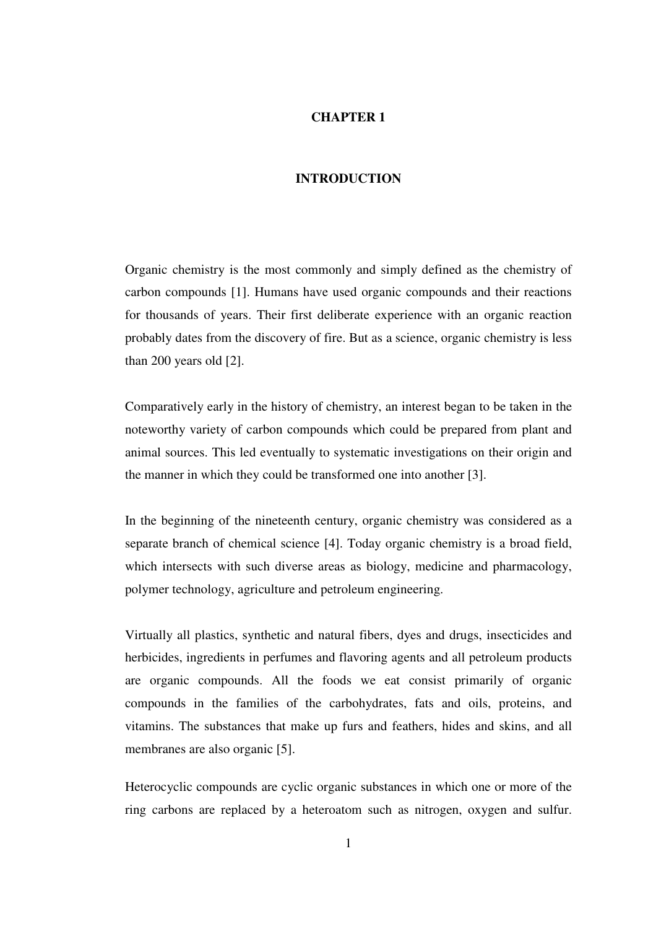#### **CHAPTER 1**

### **INTRODUCTION**

Organic chemistry is the most commonly and simply defined as the chemistry of carbon compounds [1]. Humans have used organic compounds and their reactions for thousands of years. Their first deliberate experience with an organic reaction probably dates from the discovery of fire. But as a science, organic chemistry is less than 200 years old [2].

Comparatively early in the history of chemistry, an interest began to be taken in the noteworthy variety of carbon compounds which could be prepared from plant and animal sources. This led eventually to systematic investigations on their origin and the manner in which they could be transformed one into another [3].

In the beginning of the nineteenth century, organic chemistry was considered as a separate branch of chemical science [4]. Today organic chemistry is a broad field, which intersects with such diverse areas as biology, medicine and pharmacology, polymer technology, agriculture and petroleum engineering.

Virtually all plastics, synthetic and natural fibers, dyes and drugs, insecticides and herbicides, ingredients in perfumes and flavoring agents and all petroleum products are organic compounds. All the foods we eat consist primarily of organic compounds in the families of the carbohydrates, fats and oils, proteins, and vitamins. The substances that make up furs and feathers, hides and skins, and all membranes are also organic [5].

Heterocyclic compounds are cyclic organic substances in which one or more of the ring carbons are replaced by a heteroatom such as nitrogen, oxygen and sulfur.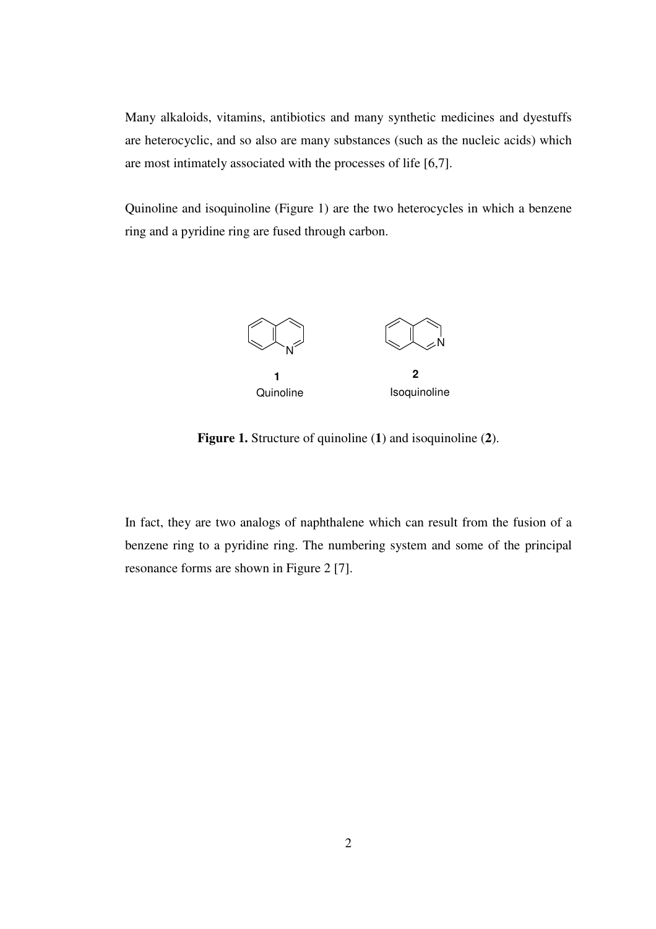Many alkaloids, vitamins, antibiotics and many synthetic medicines and dyestuffs are heterocyclic, and so also are many substances (such as the nucleic acids) which are most intimately associated with the processes of life [6,7].

Quinoline and isoquinoline (Figure 1) are the two heterocycles in which a benzene ring and a pyridine ring are fused through carbon.



**Figure 1.** Structure of quinoline (**1**) and isoquinoline (**2**).

In fact, they are two analogs of naphthalene which can result from the fusion of a benzene ring to a pyridine ring. The numbering system and some of the principal resonance forms are shown in Figure 2 [7].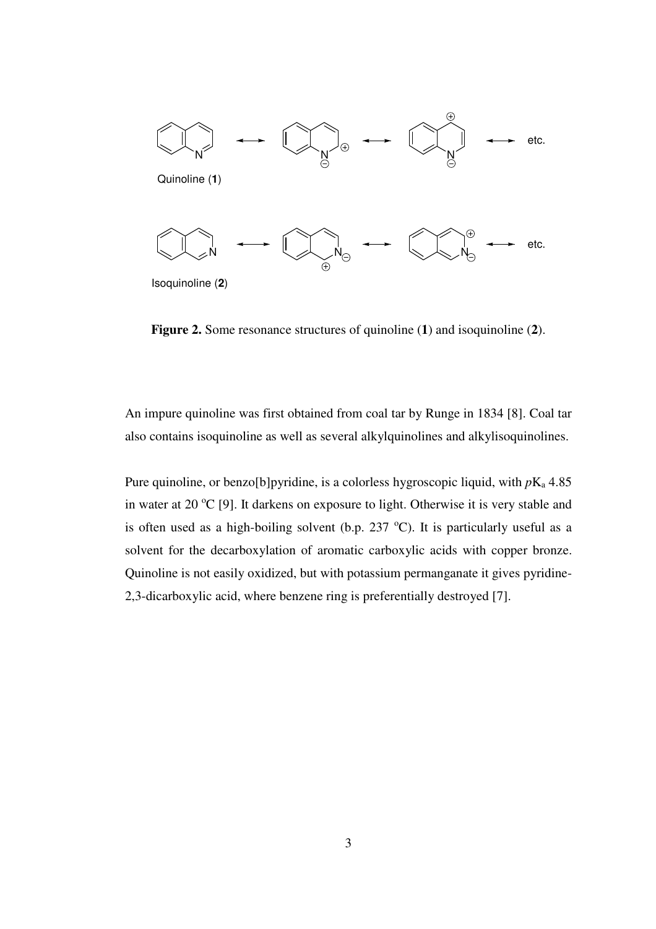

**Figure 2.** Some resonance structures of quinoline (**1**) and isoquinoline (**2**).

An impure quinoline was first obtained from coal tar by Runge in 1834 [8]. Coal tar also contains isoquinoline as well as several alkylquinolines and alkylisoquinolines.

Pure quinoline, or benzo<sup>[b]</sup>pyridine, is a colorless hygroscopic liquid, with  $p_{\text{K}_a}$  4.85 in water at 20  $^{\circ}$ C [9]. It darkens on exposure to light. Otherwise it is very stable and is often used as a high-boiling solvent (b.p.  $237 \text{ °C}$ ). It is particularly useful as a solvent for the decarboxylation of aromatic carboxylic acids with copper bronze. Quinoline is not easily oxidized, but with potassium permanganate it gives pyridine-2,3-dicarboxylic acid, where benzene ring is preferentially destroyed [7].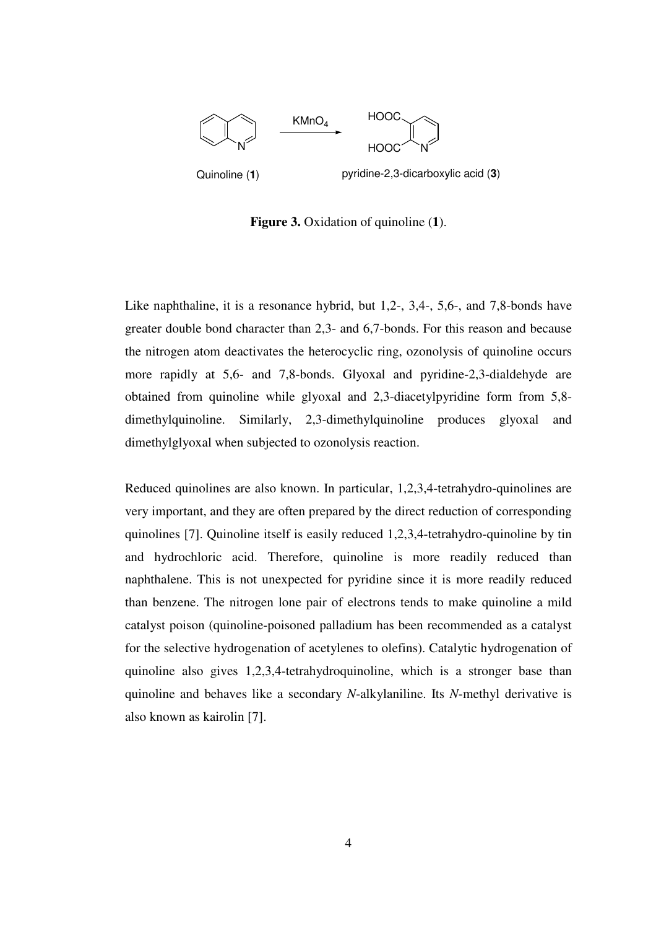

**Figure 3.** Oxidation of quinoline (**1**).

Like naphthaline, it is a resonance hybrid, but 1,2-, 3,4-, 5,6-, and 7,8-bonds have greater double bond character than 2,3- and 6,7-bonds. For this reason and because the nitrogen atom deactivates the heterocyclic ring, ozonolysis of quinoline occurs more rapidly at 5,6- and 7,8-bonds. Glyoxal and pyridine-2,3-dialdehyde are obtained from quinoline while glyoxal and 2,3-diacetylpyridine form from 5,8 dimethylquinoline. Similarly, 2,3-dimethylquinoline produces glyoxal and dimethylglyoxal when subjected to ozonolysis reaction.

Reduced quinolines are also known. In particular, 1,2,3,4-tetrahydro-quinolines are very important, and they are often prepared by the direct reduction of corresponding quinolines [7]. Quinoline itself is easily reduced 1,2,3,4-tetrahydro-quinoline by tin and hydrochloric acid. Therefore, quinoline is more readily reduced than naphthalene. This is not unexpected for pyridine since it is more readily reduced than benzene. The nitrogen lone pair of electrons tends to make quinoline a mild catalyst poison (quinoline-poisoned palladium has been recommended as a catalyst for the selective hydrogenation of acetylenes to olefins). Catalytic hydrogenation of quinoline also gives 1,2,3,4-tetrahydroquinoline, which is a stronger base than quinoline and behaves like a secondary *N*-alkylaniline. Its *N*-methyl derivative is also known as kairolin [7].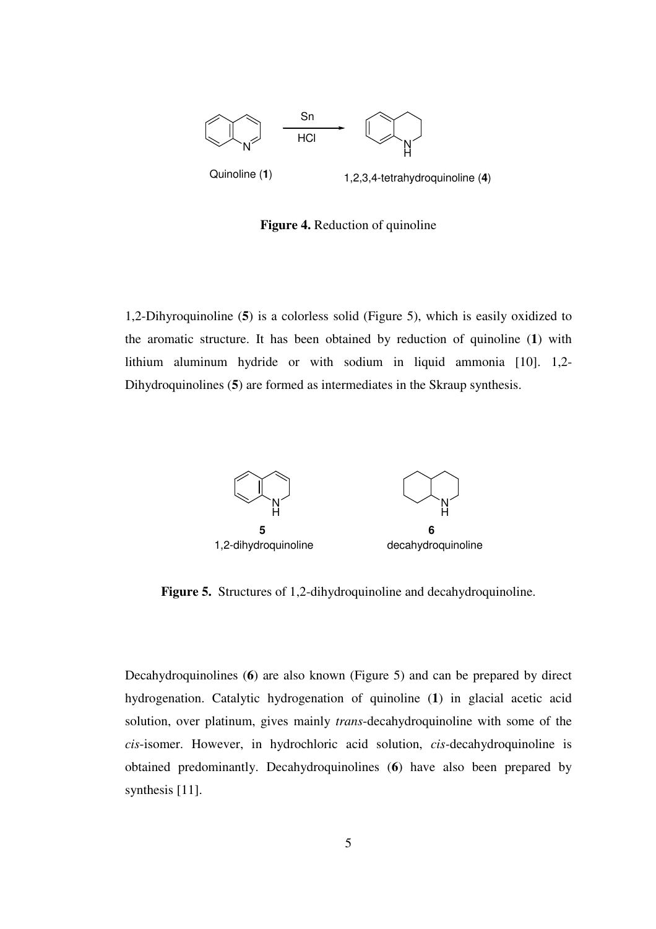

**Figure 4.** Reduction of quinoline

1,2-Dihyroquinoline (**5**) is a colorless solid (Figure 5), which is easily oxidized to the aromatic structure. It has been obtained by reduction of quinoline (**1**) with lithium aluminum hydride or with sodium in liquid ammonia [10]. 1,2- Dihydroquinolines (**5**) are formed as intermediates in the Skraup synthesis.



**Figure 5.** Structures of 1,2-dihydroquinoline and decahydroquinoline.

Decahydroquinolines (**6**) are also known (Figure 5) and can be prepared by direct hydrogenation. Catalytic hydrogenation of quinoline (**1**) in glacial acetic acid solution, over platinum, gives mainly *trans*-decahydroquinoline with some of the *cis*-isomer. However, in hydrochloric acid solution, *cis-*decahydroquinoline is obtained predominantly. Decahydroquinolines (**6**) have also been prepared by synthesis [11].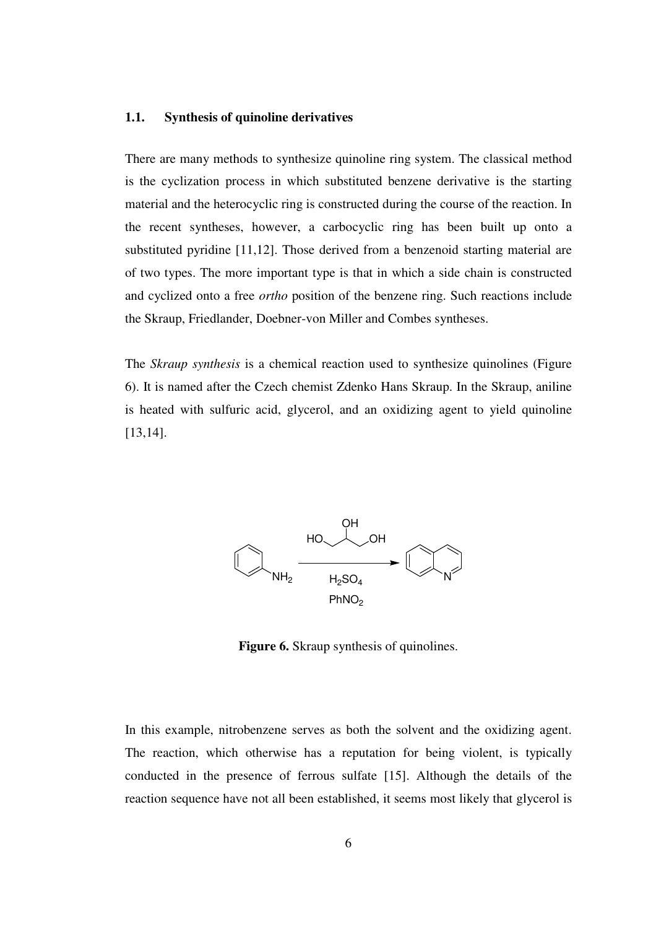#### **1.1. Synthesis of quinoline derivatives**

There are many methods to synthesize quinoline ring system. The classical method is the cyclization process in which substituted benzene derivative is the starting material and the heterocyclic ring is constructed during the course of the reaction. In the recent syntheses, however, a carbocyclic ring has been built up onto a substituted pyridine [11,12]. Those derived from a benzenoid starting material are of two types. The more important type is that in which a side chain is constructed and cyclized onto a free *ortho* position of the benzene ring. Such reactions include the Skraup, Friedlander, Doebner-von Miller and Combes syntheses.

The *Skraup synthesis* is a chemical reaction used to synthesize quinolines (Figure 6). It is named after the Czech chemist Zdenko Hans Skraup. In the Skraup, aniline is heated with sulfuric acid, glycerol, and an oxidizing agent to yield quinoline [13,14].



**Figure 6.** Skraup synthesis of quinolines.

In this example, nitrobenzene serves as both the solvent and the oxidizing agent. The reaction, which otherwise has a reputation for being violent, is typically conducted in the presence of ferrous sulfate [15]. Although the details of the reaction sequence have not all been established, it seems most likely that glycerol is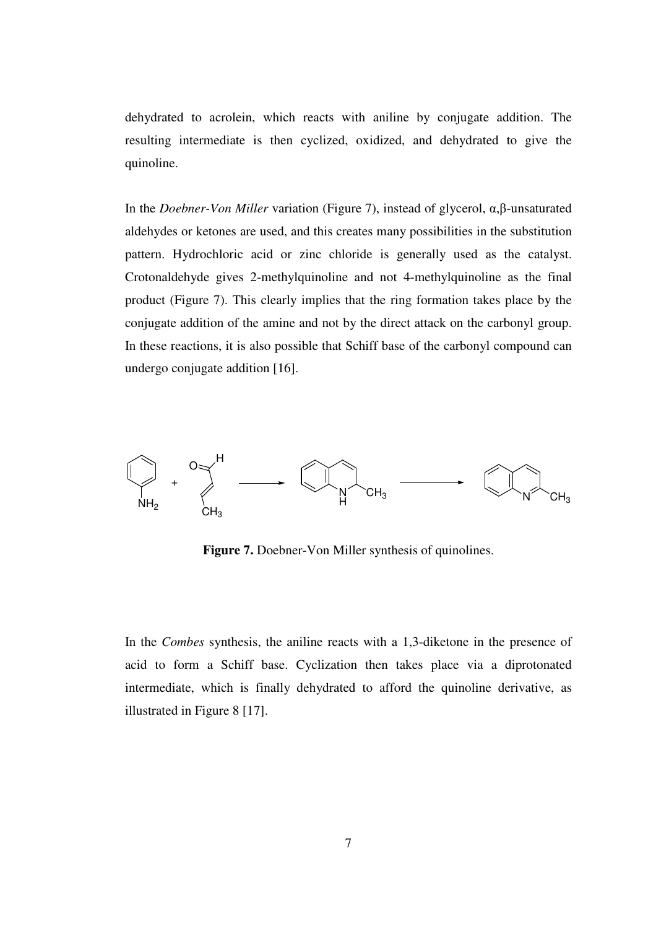dehydrated to acrolein, which reacts with aniline by conjugate addition. The resulting intermediate is then cyclized, oxidized, and dehydrated to give the quinoline.

In the *Doebner-Von Miller* variation (Figure 7), instead of glycerol, α,β-unsaturated aldehydes or ketones are used, and this creates many possibilities in the substitution pattern. Hydrochloric acid or zinc chloride is generally used as the catalyst. Crotonaldehyde gives 2-methylquinoline and not 4-methylquinoline as the final product (Figure 7). This clearly implies that the ring formation takes place by the conjugate addition of the amine and not by the direct attack on the carbonyl group. In these reactions, it is also possible that Schiff base of the carbonyl compound can undergo conjugate addition [16].



**Figure 7.** Doebner-Von Miller synthesis of quinolines.

In the *Combes* synthesis, the aniline reacts with a 1,3-diketone in the presence of acid to form a Schiff base. Cyclization then takes place via a diprotonated intermediate, which is finally dehydrated to afford the quinoline derivative, as illustrated in Figure 8 [17].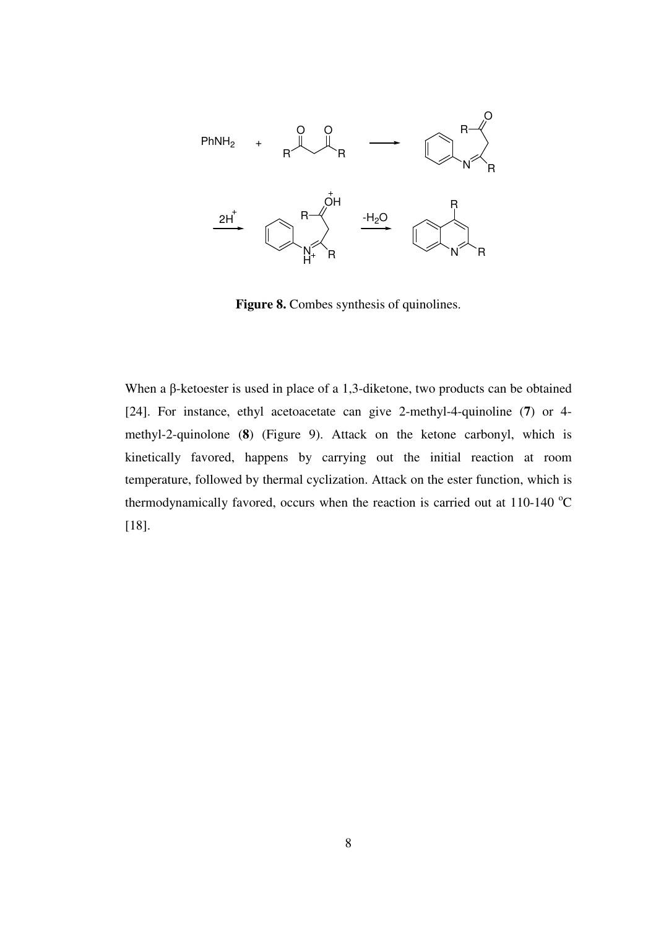

Figure 8. Combes synthesis of quinolines.

When a β-ketoester is used in place of a 1,3-diketone, two products can be obtained [24]. For instance, ethyl acetoacetate can give 2-methyl-4-quinoline (**7**) or 4 methyl-2-quinolone (**8**) (Figure 9). Attack on the ketone carbonyl, which is kinetically favored, happens by carrying out the initial reaction at room temperature, followed by thermal cyclization. Attack on the ester function, which is thermodynamically favored, occurs when the reaction is carried out at  $110-140$  °C [18].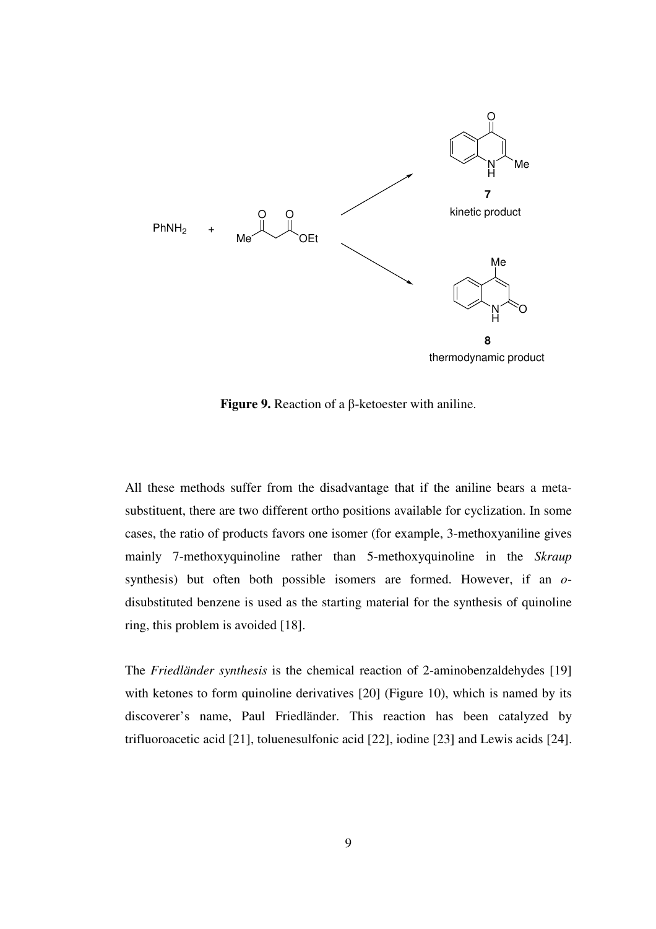

**Figure 9.** Reaction of a β-ketoester with aniline.

All these methods suffer from the disadvantage that if the aniline bears a metasubstituent, there are two different ortho positions available for cyclization. In some cases, the ratio of products favors one isomer (for example, 3-methoxyaniline gives mainly 7-methoxyquinoline rather than 5-methoxyquinoline in the *Skraup* synthesis) but often both possible isomers are formed. However, if an *o*disubstituted benzene is used as the starting material for the synthesis of quinoline ring, this problem is avoided [18].

The *Friedländer synthesis* is the chemical reaction of 2-aminobenzaldehydes [19] with ketones to form quinoline derivatives [20] (Figure 10), which is named by its discoverer's name, Paul Friedländer. This reaction has been catalyzed by trifluoroacetic acid [21], toluenesulfonic acid [22], iodine [23] and Lewis acids [24].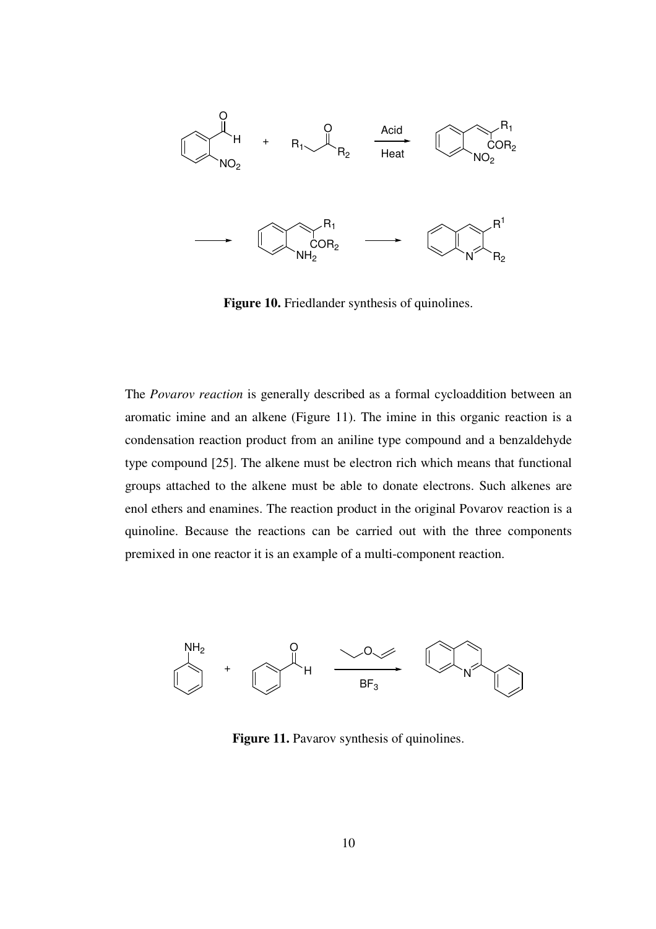

Figure 10. Friedlander synthesis of quinolines.

The *Povarov reaction* is generally described as a formal cycloaddition between an aromatic imine and an alkene (Figure 11). The imine in this organic reaction is a condensation reaction product from an aniline type compound and a benzaldehyde type compound [25]. The alkene must be electron rich which means that functional groups attached to the alkene must be able to donate electrons. Such alkenes are enol ethers and enamines. The reaction product in the original Povarov reaction is a quinoline. Because the reactions can be carried out with the three components premixed in one reactor it is an example of a multi-component reaction.



Figure 11. Pavarov synthesis of quinolines.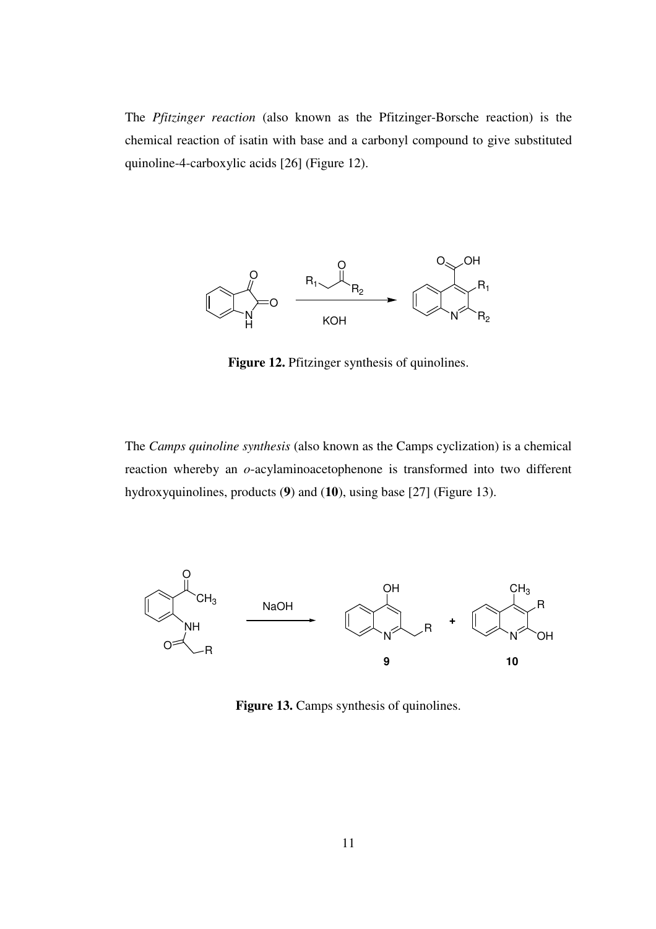The *Pfitzinger reaction* (also known as the Pfitzinger-Borsche reaction) is the chemical reaction of isatin with base and a carbonyl compound to give substituted quinoline-4-carboxylic acids [26] (Figure 12).



Figure 12. Pfitzinger synthesis of quinolines.

The *Camps quinoline synthesis* (also known as the Camps cyclization) is a chemical reaction whereby an *o*-acylaminoacetophenone is transformed into two different hydroxyquinolines, products (**9**) and (**10**), using base [27] (Figure 13).



Figure 13. Camps synthesis of quinolines.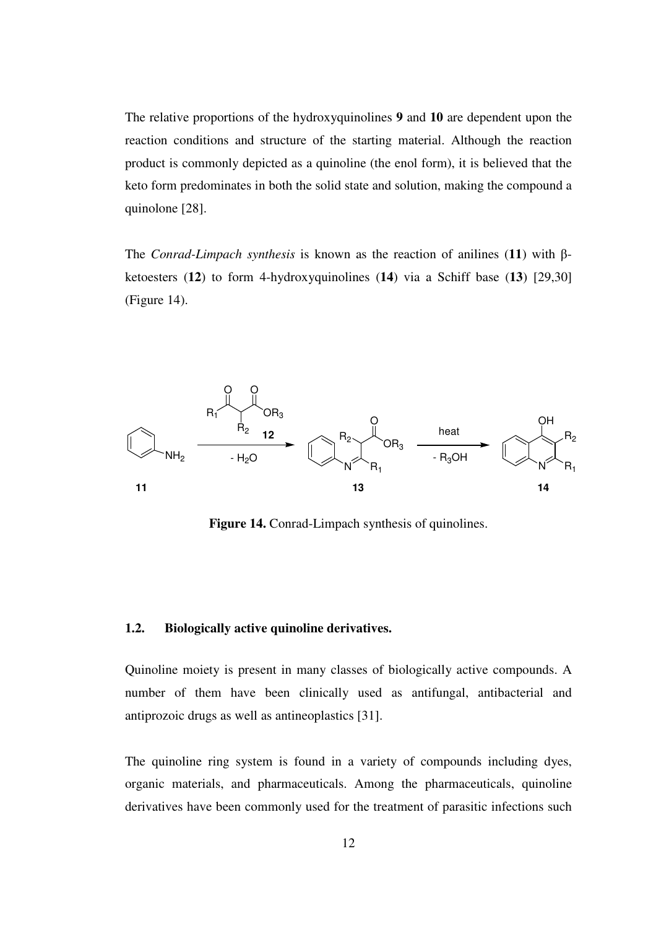The relative proportions of the hydroxyquinolines **9** and **10** are dependent upon the reaction conditions and structure of the starting material. Although the reaction product is commonly depicted as a quinoline (the enol form), it is believed that the keto form predominates in both the solid state and solution, making the compound a quinolone [28].

The *Conrad-Limpach synthesis* is known as the reaction of anilines (**11**) with βketoesters (**12**) to form 4-hydroxyquinolines (**14**) via a Schiff base (**13**) [29,30] (Figure 14).



**Figure 14.** Conrad-Limpach synthesis of quinolines.

#### **1.2. Biologically active quinoline derivatives.**

Quinoline moiety is present in many classes of biologically active compounds. A number of them have been clinically used as antifungal, antibacterial and antiprozoic drugs as well as antineoplastics [31].

The quinoline ring system is found in a variety of compounds including dyes, organic materials, and pharmaceuticals. Among the pharmaceuticals, quinoline derivatives have been commonly used for the treatment of parasitic infections such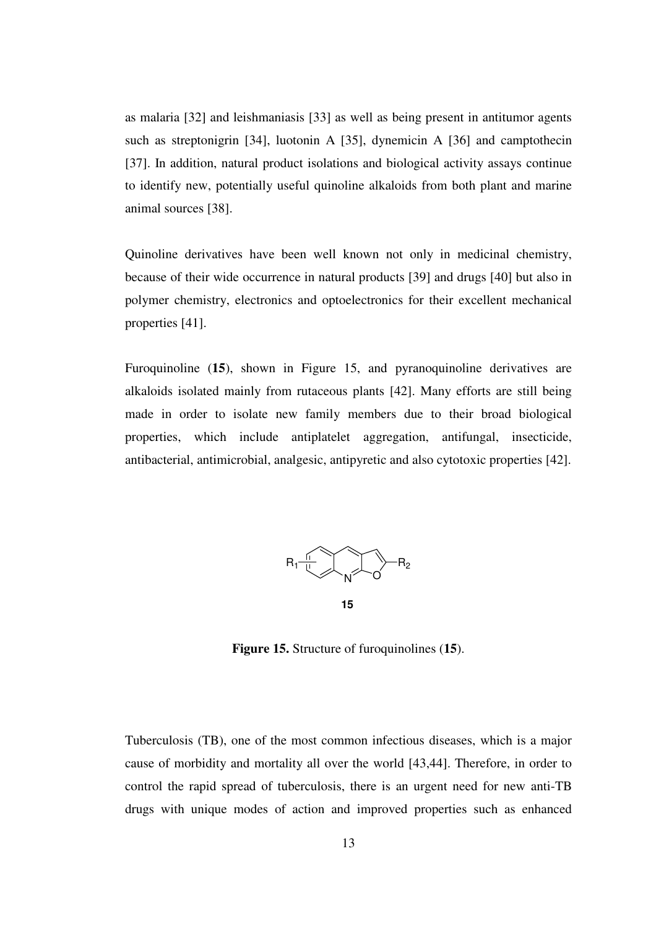as malaria [32] and leishmaniasis [33] as well as being present in antitumor agents such as streptonigrin [34], luotonin A [35], dynemicin A [36] and camptothecin [37]. In addition, natural product isolations and biological activity assays continue to identify new, potentially useful quinoline alkaloids from both plant and marine animal sources [38].

Quinoline derivatives have been well known not only in medicinal chemistry, because of their wide occurrence in natural products [39] and drugs [40] but also in polymer chemistry, electronics and optoelectronics for their excellent mechanical properties [41].

Furoquinoline (**15**), shown in Figure 15, and pyranoquinoline derivatives are alkaloids isolated mainly from rutaceous plants [42]. Many efforts are still being made in order to isolate new family members due to their broad biological properties, which include antiplatelet aggregation, antifungal, insecticide, antibacterial, antimicrobial, analgesic, antipyretic and also cytotoxic properties [42].



**Figure 15.** Structure of furoquinolines (**15**).

Tuberculosis (TB), one of the most common infectious diseases, which is a major cause of morbidity and mortality all over the world [43,44]. Therefore, in order to control the rapid spread of tuberculosis, there is an urgent need for new anti-TB drugs with unique modes of action and improved properties such as enhanced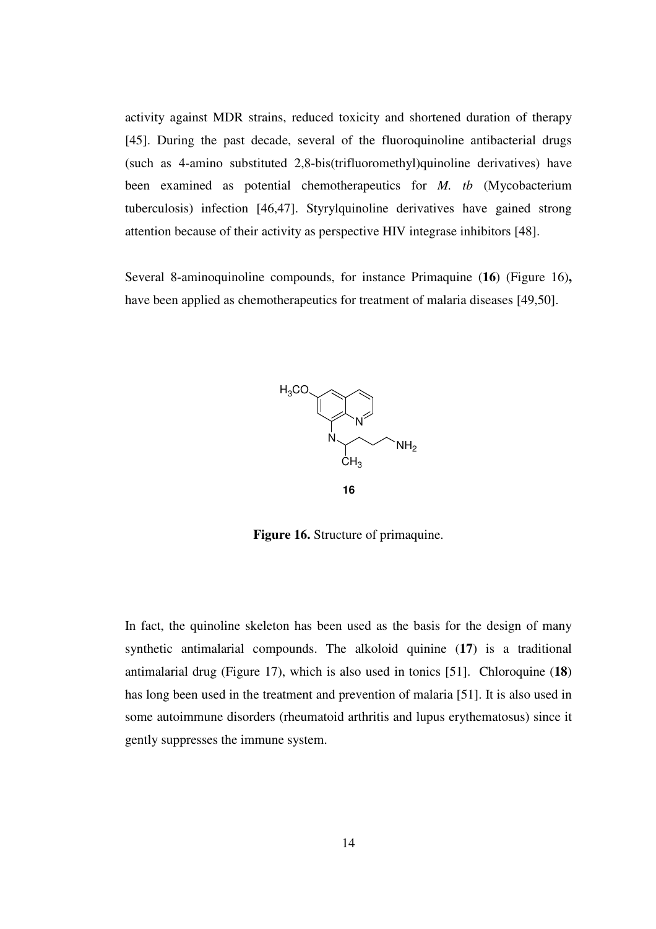activity against MDR strains, reduced toxicity and shortened duration of therapy [45]. During the past decade, several of the fluoroquinoline antibacterial drugs (such as 4-amino substituted 2,8-bis(trifluoromethyl)quinoline derivatives) have been examined as potential chemotherapeutics for *M. tb* (Mycobacterium tuberculosis) infection [46,47]. Styrylquinoline derivatives have gained strong attention because of their activity as perspective HIV integrase inhibitors [48].

Several 8-aminoquinoline compounds, for instance Primaquine (**16**) (Figure 16)**,**  have been applied as chemotherapeutics for treatment of malaria diseases [49,50].



**Figure 16.** Structure of primaquine.

In fact, the quinoline skeleton has been used as the basis for the design of many synthetic antimalarial compounds. The alkoloid quinine (**17**) is a traditional antimalarial drug (Figure 17), which is also used in tonics [51]. Chloroquine (**18**) has long been used in the treatment and prevention of malaria [51]. It is also used in some autoimmune disorders (rheumatoid arthritis and lupus erythematosus) since it gently suppresses the immune system.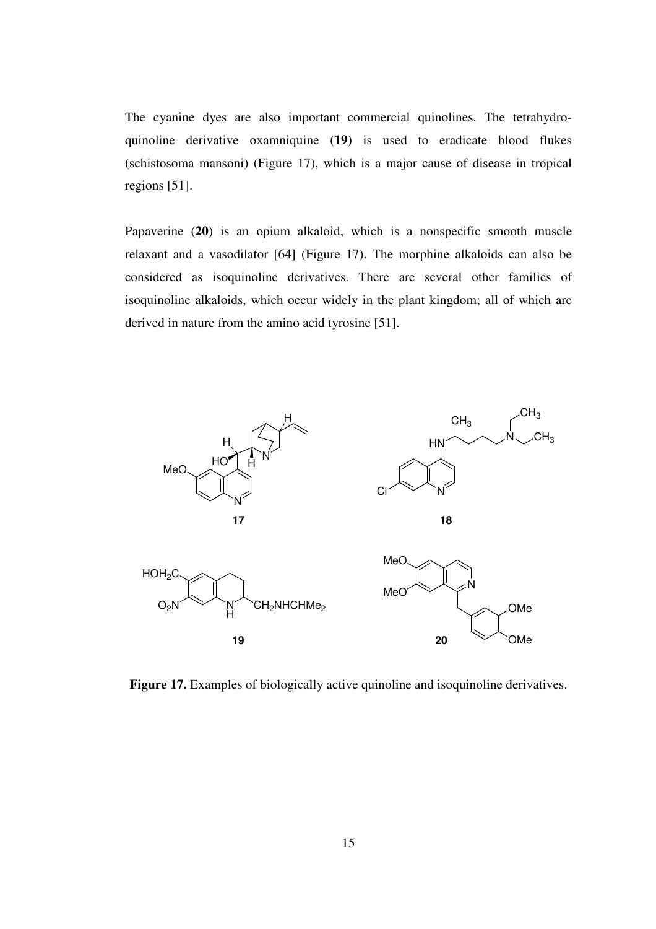The cyanine dyes are also important commercial quinolines. The tetrahydroquinoline derivative oxamniquine (**19**) is used to eradicate blood flukes (schistosoma mansoni) (Figure 17), which is a major cause of disease in tropical regions [51].

Papaverine (**20**) is an opium alkaloid, which is a nonspecific smooth muscle relaxant and a vasodilator [64] (Figure 17). The morphine alkaloids can also be considered as isoquinoline derivatives. There are several other families of isoquinoline alkaloids, which occur widely in the plant kingdom; all of which are derived in nature from the amino acid tyrosine [51].



**Figure 17.** Examples of biologically active quinoline and isoquinoline derivatives.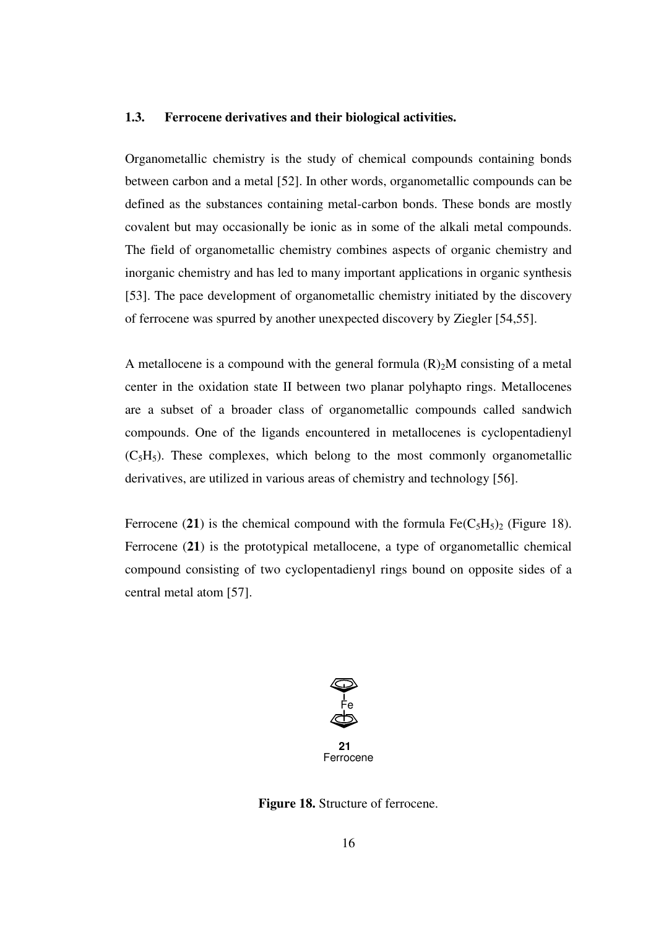#### **1.3. Ferrocene derivatives and their biological activities.**

Organometallic chemistry is the study of chemical compounds containing bonds between carbon and a metal [52]. In other words, organometallic compounds can be defined as the substances containing metal-carbon bonds. These bonds are mostly covalent but may occasionally be ionic as in some of the alkali metal compounds. The field of organometallic chemistry combines aspects of organic chemistry and inorganic chemistry and has led to many important applications in organic synthesis [53]. The pace development of organometallic chemistry initiated by the discovery of ferrocene was spurred by another unexpected discovery by Ziegler [54,55].

A metallocene is a compound with the general formula  $(R)_2M$  consisting of a metal center in the oxidation state II between two planar polyhapto rings. Metallocenes are a subset of a broader class of organometallic compounds called sandwich compounds. One of the ligands encountered in metallocenes is cyclopentadienyl  $(C_5H_5)$ . These complexes, which belong to the most commonly organometallic derivatives, are utilized in various areas of chemistry and technology [56].

Ferrocene (21) is the chemical compound with the formula  $Fe(C_5H_5)_2$  (Figure 18). Ferrocene (**21**) is the prototypical metallocene, a type of organometallic chemical compound consisting of two cyclopentadienyl rings bound on opposite sides of a central metal atom [57].



 **21** Ferrocene

**Figure 18.** Structure of ferrocene.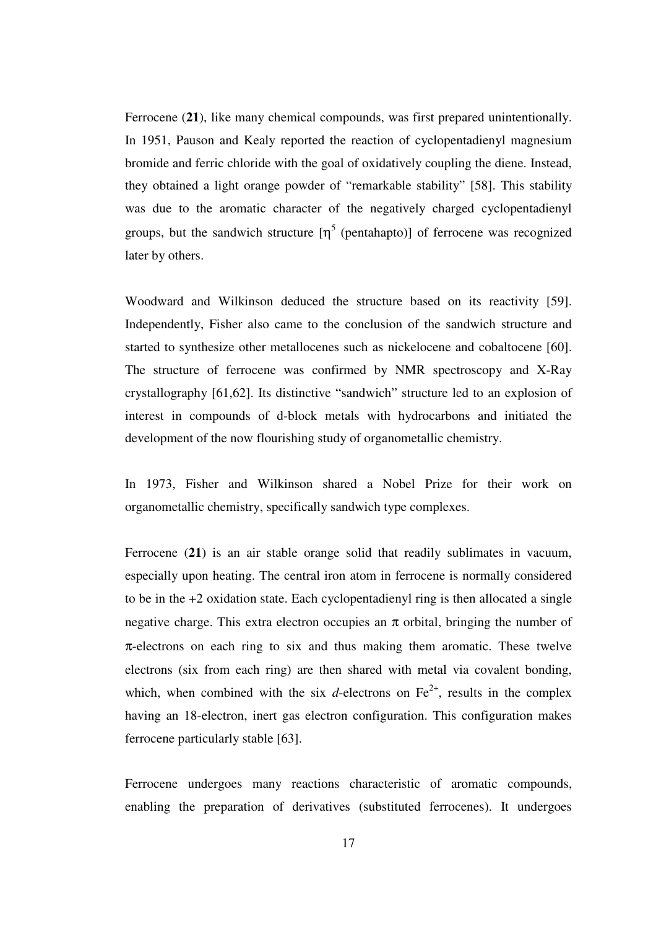Ferrocene (**21**), like many chemical compounds, was first prepared unintentionally. In 1951, Pauson and Kealy reported the reaction of cyclopentadienyl magnesium bromide and ferric chloride with the goal of oxidatively coupling the diene. Instead, they obtained a light orange powder of "remarkable stability" [58]. This stability was due to the aromatic character of the negatively charged cyclopentadienyl groups, but the sandwich structure  $[\eta^5$  (pentahapto)] of ferrocene was recognized later by others.

Woodward and Wilkinson deduced the structure based on its reactivity [59]. Independently, Fisher also came to the conclusion of the sandwich structure and started to synthesize other metallocenes such as nickelocene and cobaltocene [60]. The structure of ferrocene was confirmed by NMR spectroscopy and X-Ray crystallography [61,62]. Its distinctive "sandwich" structure led to an explosion of interest in compounds of d-block metals with hydrocarbons and initiated the development of the now flourishing study of organometallic chemistry.

In 1973, Fisher and Wilkinson shared a Nobel Prize for their work on organometallic chemistry, specifically sandwich type complexes.

Ferrocene (**21**) is an air stable orange solid that readily sublimates in vacuum, especially upon heating. The central iron atom in ferrocene is normally considered to be in the +2 oxidation state. Each cyclopentadienyl ring is then allocated a single negative charge. This extra electron occupies an  $\pi$  orbital, bringing the number of  $\pi$ -electrons on each ring to six and thus making them aromatic. These twelve electrons (six from each ring) are then shared with metal via covalent bonding, which, when combined with the six *d*-electrons on  $Fe^{2+}$ , results in the complex having an 18-electron, inert gas electron configuration. This configuration makes ferrocene particularly stable [63].

Ferrocene undergoes many reactions characteristic of aromatic compounds, enabling the preparation of derivatives (substituted ferrocenes). It undergoes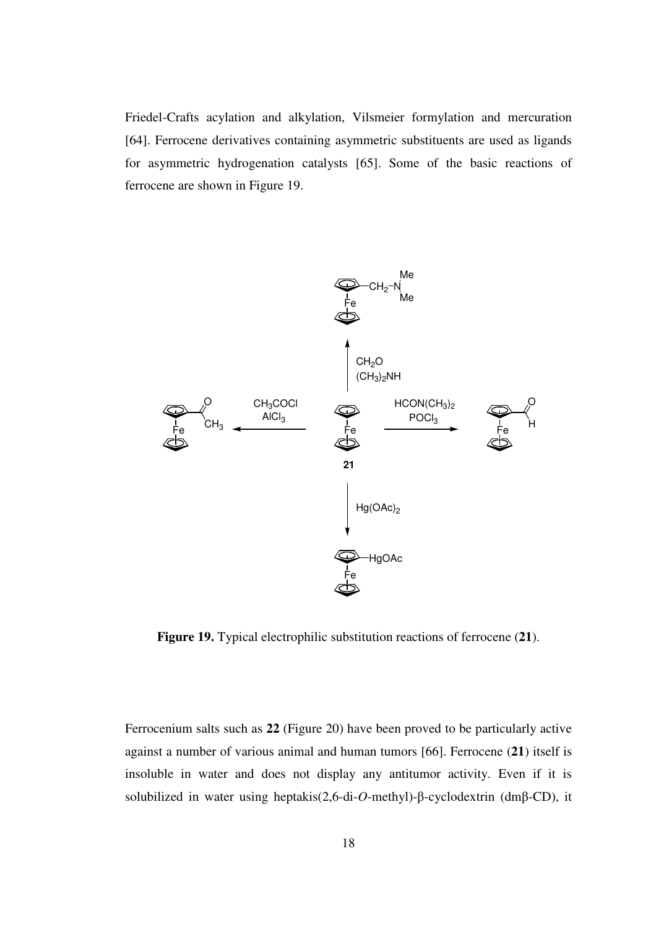Friedel-Crafts acylation and alkylation, Vilsmeier formylation and mercuration [64]. Ferrocene derivatives containing asymmetric substituents are used as ligands for asymmetric hydrogenation catalysts [65]. Some of the basic reactions of ferrocene are shown in Figure 19.



**Figure 19.** Typical electrophilic substitution reactions of ferrocene (**21**).

Ferrocenium salts such as **22** (Figure 20) have been proved to be particularly active against a number of various animal and human tumors [66]. Ferrocene (**21**) itself is insoluble in water and does not display any antitumor activity. Even if it is solubilized in water using heptakis(2,6-di-*O*-methyl)-β-cyclodextrin (dmβ-CD), it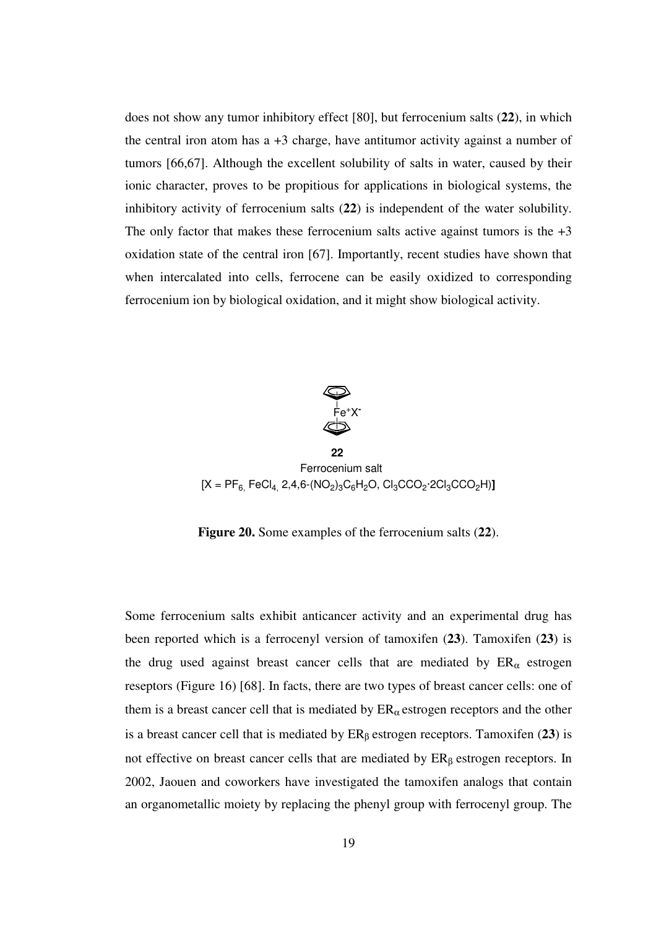does not show any tumor inhibitory effect [80], but ferrocenium salts (**22**), in which the central iron atom has  $a + 3$  charge, have antitumor activity against a number of tumors [66,67]. Although the excellent solubility of salts in water, caused by their ionic character, proves to be propitious for applications in biological systems, the inhibitory activity of ferrocenium salts (**22**) is independent of the water solubility. The only factor that makes these ferrocenium salts active against tumors is the  $+3$ oxidation state of the central iron [67]. Importantly, recent studies have shown that when intercalated into cells, ferrocene can be easily oxidized to corresponding ferrocenium ion by biological oxidation, and it might show biological activity.



ا 22 مارس با با المارس با المارس با المارس با المارس با المارس با المارس با المارس با المارس با المارس با الم<br>المارس با المارس با المارس با المارس با المارس با المارس با المارس با المارس با المارس با المارس با المارس با<br> Ferrocenium salt  $[{\sf X}={\sf PF}_{6,}$  FeCl $_{4,}$  2,4,6-(NO<sub>2</sub>) $_3{\sf C}_6{\sf H}_2{\sf O}$ , Cl $_3{\sf C}{\sf CO}_2$ ·2Cl $_3{\sf C}{\sf CO}_2{\sf H})$ **]** 

**Figure 20.** Some examples of the ferrocenium salts (**22**).

Some ferrocenium salts exhibit anticancer activity and an experimental drug has been reported which is a ferrocenyl version of tamoxifen (**23**). Tamoxifen (**23**) is the drug used against breast cancer cells that are mediated by  $ER_{\alpha}$  estrogen reseptors (Figure 16) [68]. In facts, there are two types of breast cancer cells: one of them is a breast cancer cell that is mediated by  $ER_\alpha$  estrogen receptors and the other is a breast cancer cell that is mediated by  $ER<sub>β</sub>$  estrogen receptors. Tamoxifen (23) is not effective on breast cancer cells that are mediated by  $ER<sub>β</sub>$  estrogen receptors. In 2002, Jaouen and coworkers have investigated the tamoxifen analogs that contain an organometallic moiety by replacing the phenyl group with ferrocenyl group. The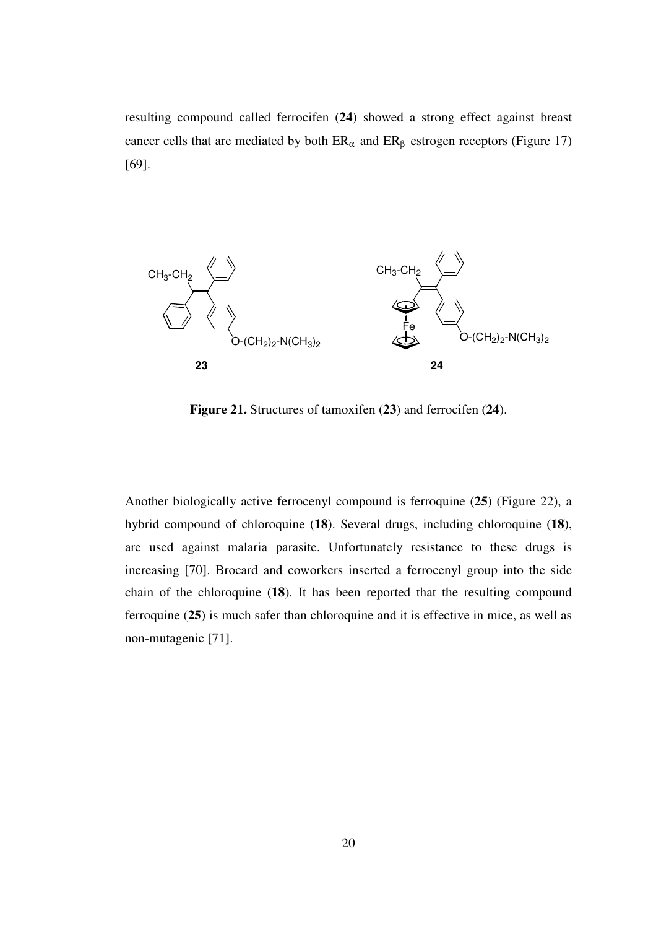resulting compound called ferrocifen (**24**) showed a strong effect against breast cancer cells that are mediated by both  $ER_{\alpha}$  and  $ER_{\beta}$  estrogen receptors (Figure 17) [69].



**Figure 21.** Structures of tamoxifen (**23**) and ferrocifen (**24**).

Another biologically active ferrocenyl compound is ferroquine (**25**) (Figure 22), a hybrid compound of chloroquine (**18**). Several drugs, including chloroquine (**18**), are used against malaria parasite. Unfortunately resistance to these drugs is increasing [70]. Brocard and coworkers inserted a ferrocenyl group into the side chain of the chloroquine (**18**). It has been reported that the resulting compound ferroquine (**25**) is much safer than chloroquine and it is effective in mice, as well as non-mutagenic [71].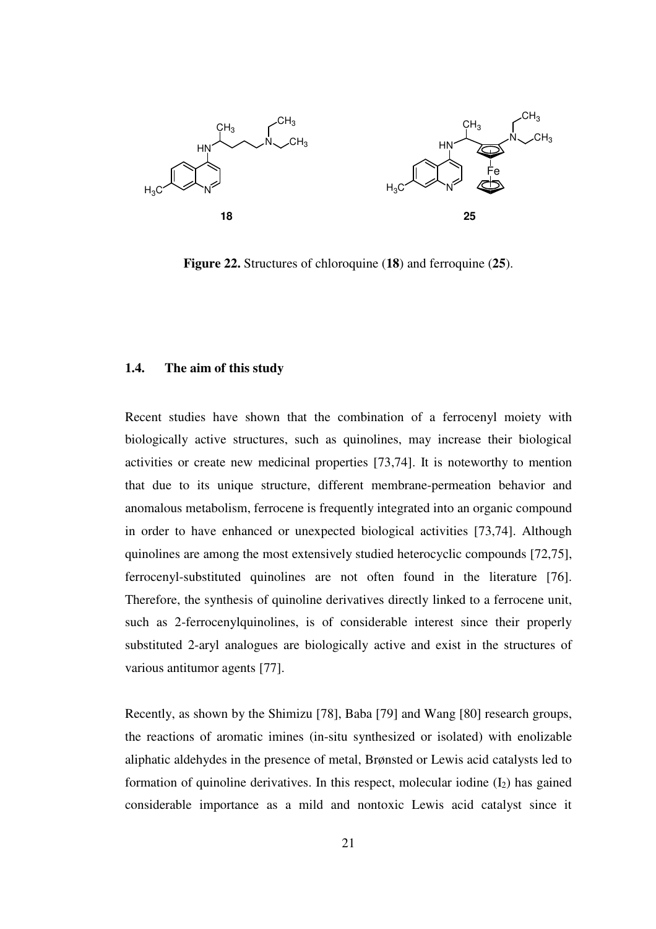

**Figure 22.** Structures of chloroquine (**18**) and ferroquine (**25**).

### **1.4. The aim of this study**

Recent studies have shown that the combination of a ferrocenyl moiety with biologically active structures, such as quinolines, may increase their biological activities or create new medicinal properties [73,74]. It is noteworthy to mention that due to its unique structure, different membrane-permeation behavior and anomalous metabolism, ferrocene is frequently integrated into an organic compound in order to have enhanced or unexpected biological activities [73,74]. Although quinolines are among the most extensively studied heterocyclic compounds [72,75], ferrocenyl-substituted quinolines are not often found in the literature [76]. Therefore, the synthesis of quinoline derivatives directly linked to a ferrocene unit, such as 2-ferrocenylquinolines, is of considerable interest since their properly substituted 2-aryl analogues are biologically active and exist in the structures of various antitumor agents [77].

Recently, as shown by the Shimizu [78], Baba [79] and Wang [80] research groups, the reactions of aromatic imines (in-situ synthesized or isolated) with enolizable aliphatic aldehydes in the presence of metal, Brønsted or Lewis acid catalysts led to formation of quinoline derivatives. In this respect, molecular iodine  $(I_2)$  has gained considerable importance as a mild and nontoxic Lewis acid catalyst since it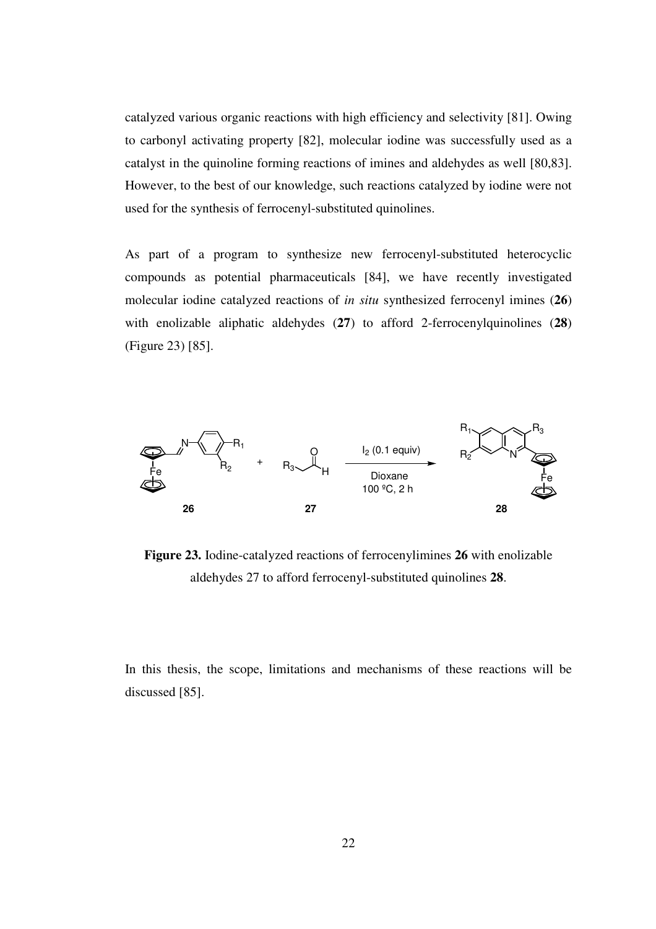catalyzed various organic reactions with high efficiency and selectivity [81]. Owing to carbonyl activating property [82], molecular iodine was successfully used as a catalyst in the quinoline forming reactions of imines and aldehydes as well [80,83]. However, to the best of our knowledge, such reactions catalyzed by iodine were not used for the synthesis of ferrocenyl-substituted quinolines.

As part of a program to synthesize new ferrocenyl-substituted heterocyclic compounds as potential pharmaceuticals [84], we have recently investigated molecular iodine catalyzed reactions of *in situ* synthesized ferrocenyl imines (**26**) with enolizable aliphatic aldehydes (**27**) to afford 2-ferrocenylquinolines (**28**) (Figure 23) [85].



**Figure 23.** Iodine-catalyzed reactions of ferrocenylimines **26** with enolizable aldehydes 27 to afford ferrocenyl-substituted quinolines **28**.

In this thesis, the scope, limitations and mechanisms of these reactions will be discussed [85].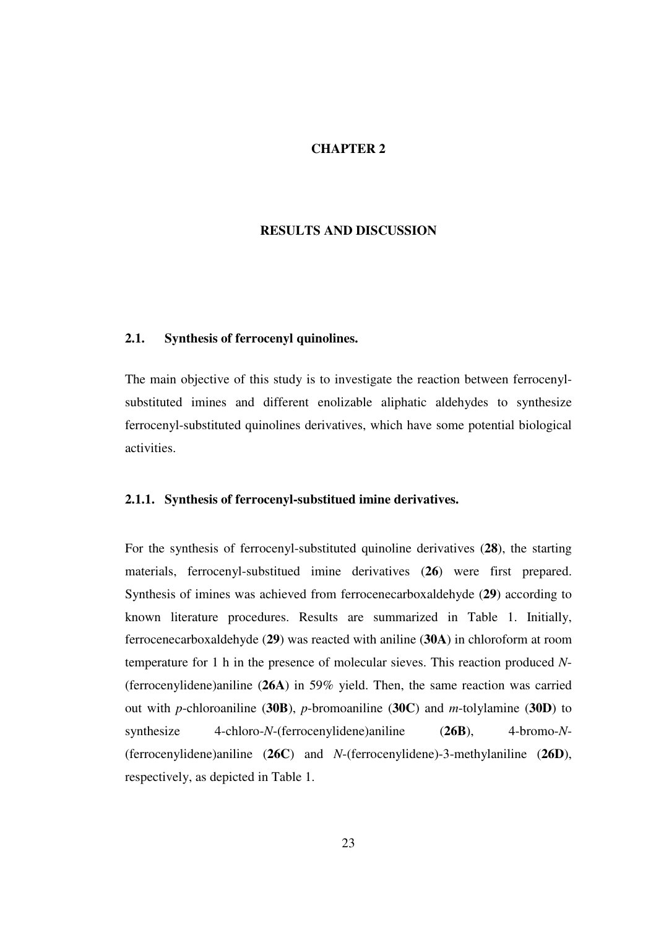### **CHAPTER 2**

## **RESULTS AND DISCUSSION**

### **2.1. Synthesis of ferrocenyl quinolines.**

The main objective of this study is to investigate the reaction between ferrocenylsubstituted imines and different enolizable aliphatic aldehydes to synthesize ferrocenyl-substituted quinolines derivatives, which have some potential biological activities.

### **2.1.1. Synthesis of ferrocenyl-substitued imine derivatives.**

For the synthesis of ferrocenyl-substituted quinoline derivatives (**28**), the starting materials, ferrocenyl-substitued imine derivatives (**26**) were first prepared. Synthesis of imines was achieved from ferrocenecarboxaldehyde (**29**) according to known literature procedures. Results are summarized in Table 1. Initially, ferrocenecarboxaldehyde (**29**) was reacted with aniline (**30A**) in chloroform at room temperature for 1 h in the presence of molecular sieves. This reaction produced *N*- (ferrocenylidene)aniline (**26A**) in 59% yield. Then, the same reaction was carried out with *p*-chloroaniline (**30B**), *p*-bromoaniline (**30C**) and *m*-tolylamine (**30D**) to synthesize 4-chloro-*N*-(ferrocenylidene)aniline (**26B**), 4-bromo-*N*- (ferrocenylidene)aniline (**26C**) and *N*-(ferrocenylidene)-3-methylaniline (**26D**), respectively, as depicted in Table 1.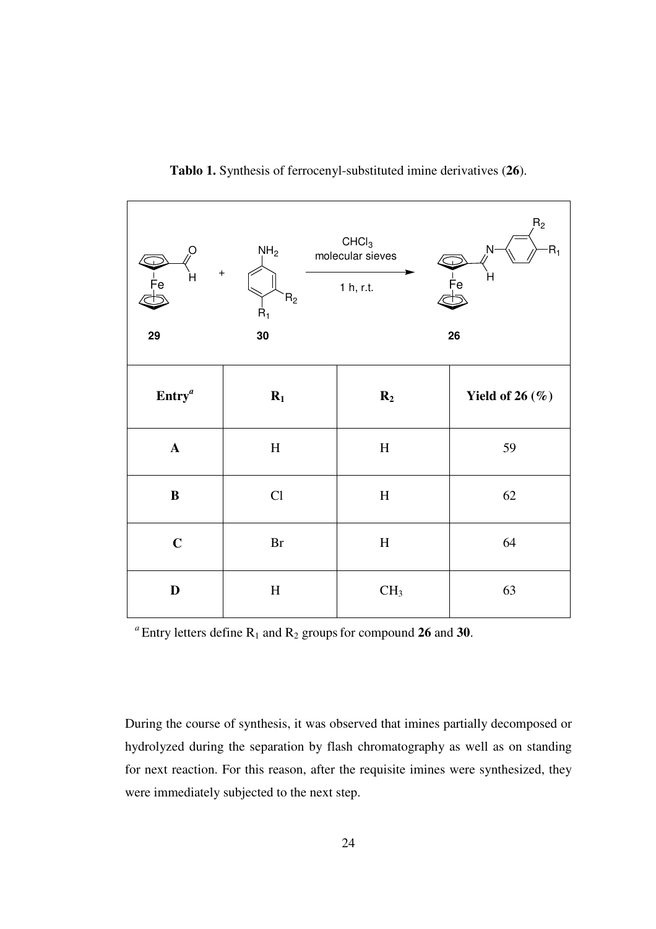| $\circ$<br>$\ddot{}$<br>$\frac{1}{5}$ e<br>H<br>29 | NH <sub>2</sub><br>$\mathsf{R}_2$<br>$R_1$<br>30 | CHCI <sub>3</sub><br>molecular sieves<br>1 h, r.t. | R <sub>2</sub><br>N<br>$R_1$<br>H<br>Fe<br>26 |
|----------------------------------------------------|--------------------------------------------------|----------------------------------------------------|-----------------------------------------------|
| $\text{Entry}^a$                                   | $R_1$                                            | $R_2$                                              | Yield of 26 $(\%)$                            |
| $\mathbf A$                                        | H                                                | $\, {\rm H}$                                       | 59                                            |
| $\, {\bf B}$                                       | Cl                                               | $\boldsymbol{\mathrm{H}}$                          | 62                                            |
| $\mathbf C$                                        | $\rm Br$                                         | $\boldsymbol{\mathrm{H}}$                          | 64                                            |
| ${\bf D}$                                          | $\rm H$                                          | CH <sub>3</sub>                                    | 63                                            |

**Tablo 1.** Synthesis of ferrocenyl-substituted imine derivatives (**26**).

 $a^a$ Entry letters define  $R_1$  and  $R_2$  groups for compound 26 and 30.

During the course of synthesis, it was observed that imines partially decomposed or hydrolyzed during the separation by flash chromatography as well as on standing for next reaction. For this reason, after the requisite imines were synthesized, they were immediately subjected to the next step.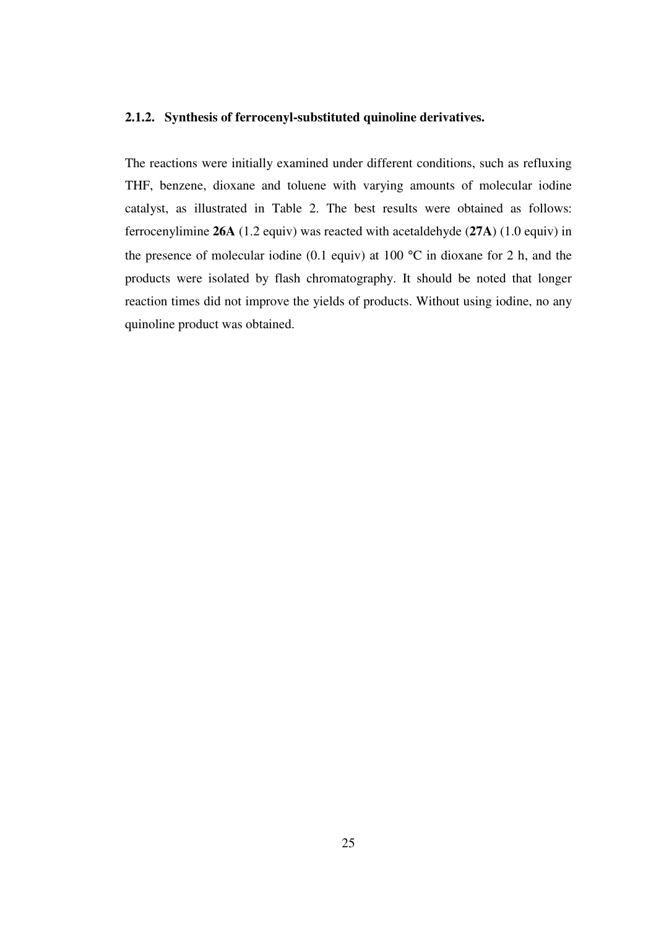### **2.1.2. Synthesis of ferrocenyl-substituted quinoline derivatives.**

The reactions were initially examined under different conditions, such as refluxing THF, benzene, dioxane and toluene with varying amounts of molecular iodine catalyst, as illustrated in Table 2. The best results were obtained as follows: ferrocenylimine **26A** (1.2 equiv) was reacted with acetaldehyde (**27A**) (1.0 equiv) in the presence of molecular iodine (0.1 equiv) at 100  $^{\circ}$ C in dioxane for 2 h, and the products were isolated by flash chromatography. It should be noted that longer reaction times did not improve the yields of products. Without using iodine, no any quinoline product was obtained.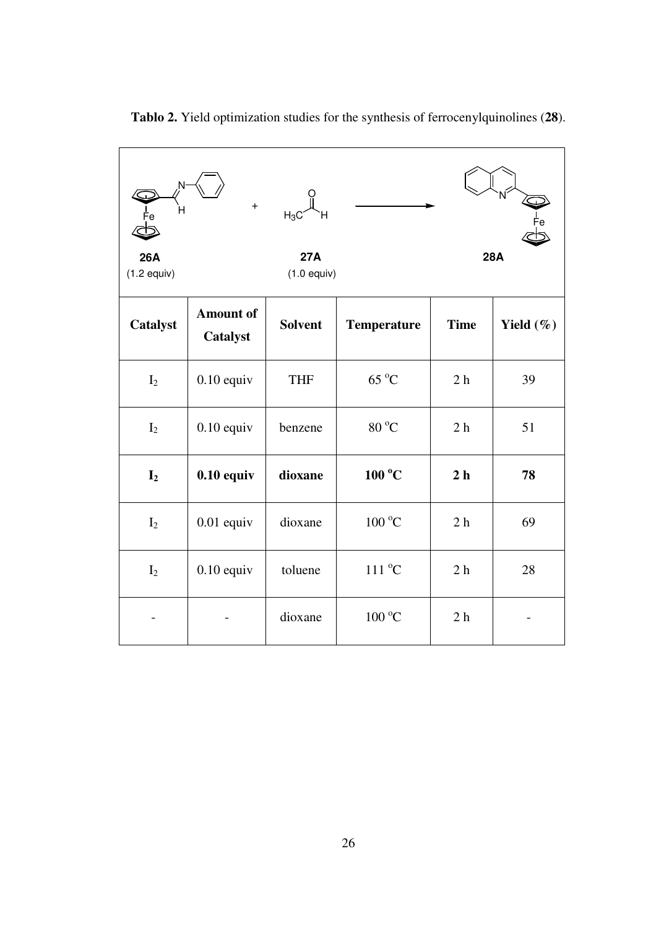| 26A<br>$(1.2$ equiv) | $+$                          | $H_3C$<br><b>27A</b><br>$(1.0$ equiv) |                           |                | <b>28A</b>   |
|----------------------|------------------------------|---------------------------------------|---------------------------|----------------|--------------|
| Catalyst             | <b>Amount of</b><br>Catalyst | <b>Solvent</b>                        | <b>Temperature</b>        | <b>Time</b>    | Yield $(\%)$ |
| I <sub>2</sub>       | $0.10$ equiv                 | <b>THF</b>                            | $65^{\circ}$ C            | 2 <sub>h</sub> | 39           |
| I <sub>2</sub>       | $0.10$ equiv                 | benzene                               | $80\,^{\rm o}\mathrm{C}$  | 2 <sub>h</sub> | 51           |
| I <sub>2</sub>       | $0.10$ equiv                 | dioxane                               | $100\text{ °C}$           | 2 <sub>h</sub> | 78           |
| I <sub>2</sub>       | $0.01$ equiv                 | dioxane                               | $100\,^{\rm o}\mathrm{C}$ | 2h             | 69           |
| $I_2$                | $0.10$ equiv                 | toluene                               | $111\,^{\rm o}\mathrm{C}$ | 2 <sub>h</sub> | 28           |
|                      |                              | dioxane                               | $100\,^{\circ}\mathrm{C}$ | 2 <sub>h</sub> |              |

**Tablo 2.** Yield optimization studies for the synthesis of ferrocenylquinolines (**28**).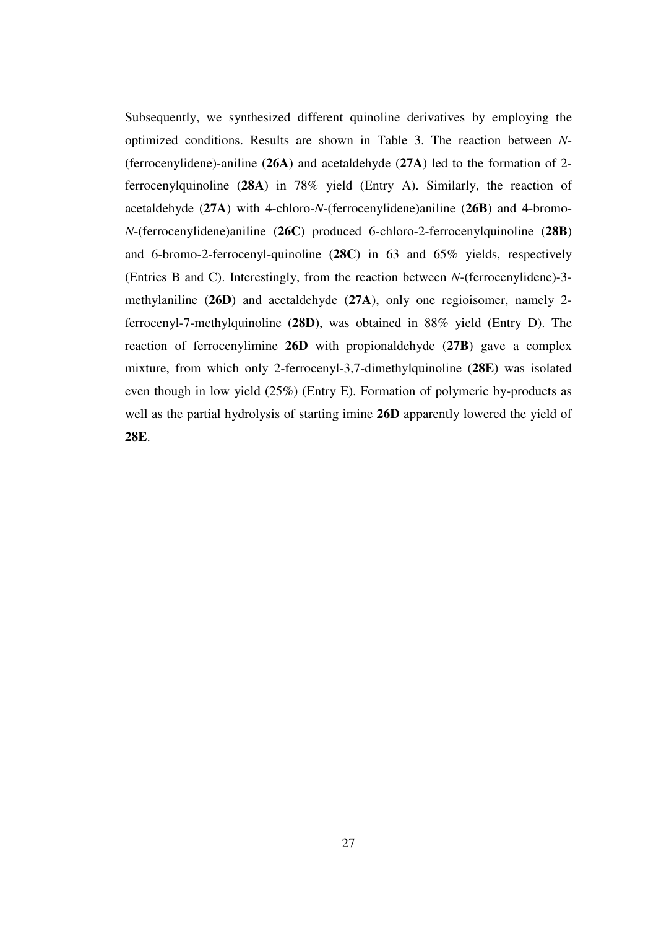Subsequently, we synthesized different quinoline derivatives by employing the optimized conditions. Results are shown in Table 3. The reaction between *N*- (ferrocenylidene)-aniline (**26A**) and acetaldehyde (**27A**) led to the formation of 2 ferrocenylquinoline (**28A**) in 78% yield (Entry A). Similarly, the reaction of acetaldehyde (**27A**) with 4-chloro-*N*-(ferrocenylidene)aniline (**26B**) and 4-bromo-*N*-(ferrocenylidene)aniline (**26C**) produced 6-chloro-2-ferrocenylquinoline (**28B**) and 6-bromo-2-ferrocenyl-quinoline (**28C**) in 63 and 65% yields, respectively (Entries B and C). Interestingly, from the reaction between *N*-(ferrocenylidene)-3 methylaniline (**26D**) and acetaldehyde (**27A**), only one regioisomer, namely 2 ferrocenyl-7-methylquinoline (**28D**), was obtained in 88% yield (Entry D). The reaction of ferrocenylimine **26D** with propionaldehyde (**27B**) gave a complex mixture, from which only 2-ferrocenyl-3,7-dimethylquinoline (**28E**) was isolated even though in low yield (25%) (Entry E). Formation of polymeric by-products as well as the partial hydrolysis of starting imine **26D** apparently lowered the yield of **28E**.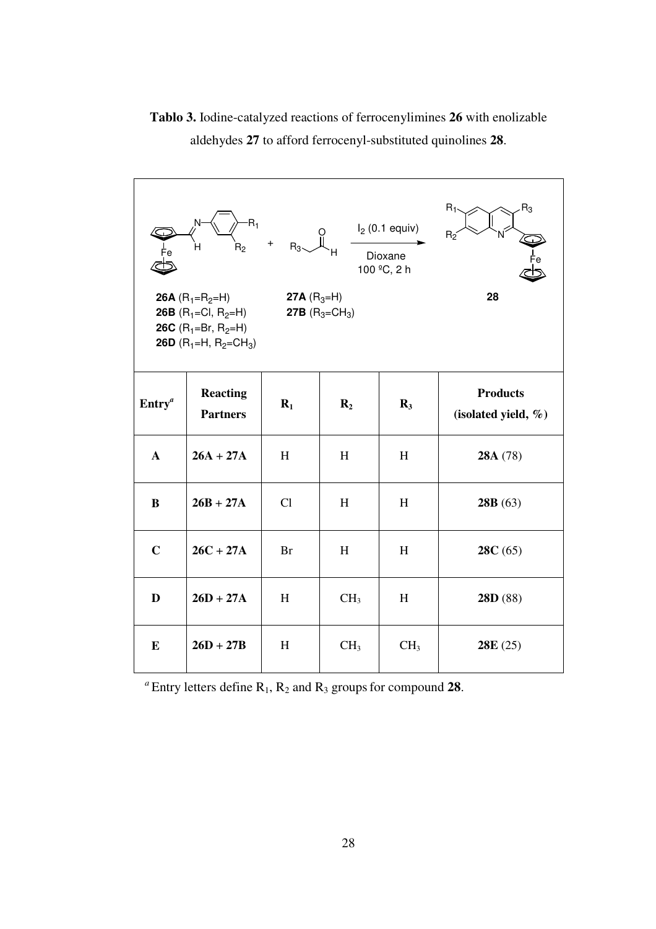**Tablo 3.** Iodine-catalyzed reactions of ferrocenylimines **26** with enolizable aldehydes **27** to afford ferrocenyl-substituted quinolines **28**.

| $R_1$<br>$R_3$<br>$R_1$<br>$I2$ (0.1 equiv)<br>$+$ $R_3$ $\begin{bmatrix} 0 \\ R_3 \end{bmatrix}$<br>$R_2$<br>н<br>$R_{2}$<br>Dioxane<br>100 °C, 2 h<br>28<br><b>26A</b> $(R_1=R_2=H)$<br><b>27A</b> $(R_3=H)$<br><b>27B</b> $(R_3 = CH_3)$<br><b>26B</b> (R <sub>1</sub> =Cl, R <sub>2</sub> =H)<br><b>26C</b> (R <sub>1</sub> =Br, R <sub>2</sub> =H)<br><b>26D</b> (R <sub>1</sub> =H, R <sub>2</sub> =CH <sub>3</sub> ) |                                    |           |                 |                 |                                            |  |  |  |
|-----------------------------------------------------------------------------------------------------------------------------------------------------------------------------------------------------------------------------------------------------------------------------------------------------------------------------------------------------------------------------------------------------------------------------|------------------------------------|-----------|-----------------|-----------------|--------------------------------------------|--|--|--|
| $\text{Entry}^a$                                                                                                                                                                                                                                                                                                                                                                                                            | <b>Reacting</b><br><b>Partners</b> | $R_1$     | $\mathbf{R}_2$  | $\mathbf{R}_3$  | <b>Products</b><br>(isolated yield, $\%$ ) |  |  |  |
| $\mathbf{A}$                                                                                                                                                                                                                                                                                                                                                                                                                | $26A + 27A$                        | H         | H               | H               | 28A (78)                                   |  |  |  |
| B                                                                                                                                                                                                                                                                                                                                                                                                                           | $26B + 27A$                        | Cl        | H               | H               | 28B(63)                                    |  |  |  |
| $\mathbf C$                                                                                                                                                                                                                                                                                                                                                                                                                 | $26C + 27A$                        | <b>Br</b> | H               | H               | 28C(65)                                    |  |  |  |
| D                                                                                                                                                                                                                                                                                                                                                                                                                           | $26D + 27A$                        | H         | CH <sub>3</sub> | H               | 28D (88)                                   |  |  |  |
| E                                                                                                                                                                                                                                                                                                                                                                                                                           | $26D + 27B$                        | H         | CH <sub>3</sub> | CH <sub>3</sub> | 28E(25)                                    |  |  |  |

<sup>*a*</sup> Entry letters define  $R_1$ ,  $R_2$  and  $R_3$  groups for compound **28**.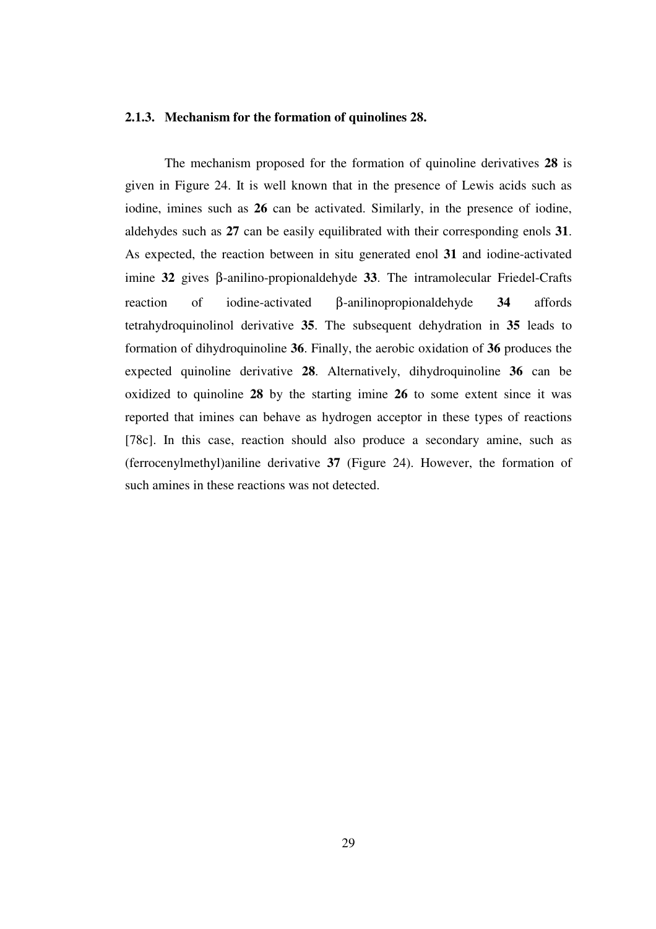### **2.1.3. Mechanism for the formation of quinolines 28.**

 The mechanism proposed for the formation of quinoline derivatives **28** is given in Figure 24. It is well known that in the presence of Lewis acids such as iodine, imines such as **26** can be activated. Similarly, in the presence of iodine, aldehydes such as **27** can be easily equilibrated with their corresponding enols **31**. As expected, the reaction between in situ generated enol **31** and iodine-activated imine **32** gives β-anilino-propionaldehyde **33**. The intramolecular Friedel-Crafts reaction of iodine-activated β-anilinopropionaldehyde **34** affords tetrahydroquinolinol derivative **35**. The subsequent dehydration in **35** leads to formation of dihydroquinoline **36**. Finally, the aerobic oxidation of **36** produces the expected quinoline derivative **28**. Alternatively, dihydroquinoline **36** can be oxidized to quinoline **28** by the starting imine **26** to some extent since it was reported that imines can behave as hydrogen acceptor in these types of reactions [78c]. In this case, reaction should also produce a secondary amine, such as (ferrocenylmethyl)aniline derivative **37** (Figure 24). However, the formation of such amines in these reactions was not detected.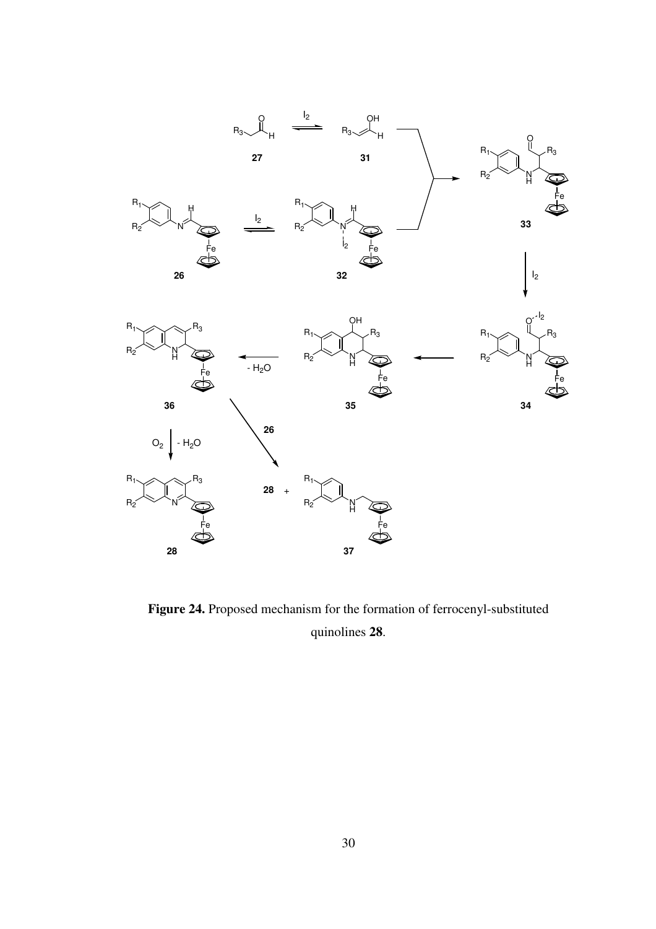

Figure 24. Proposed mechanism for the formation of ferrocenyl-substituted quinolines **28**.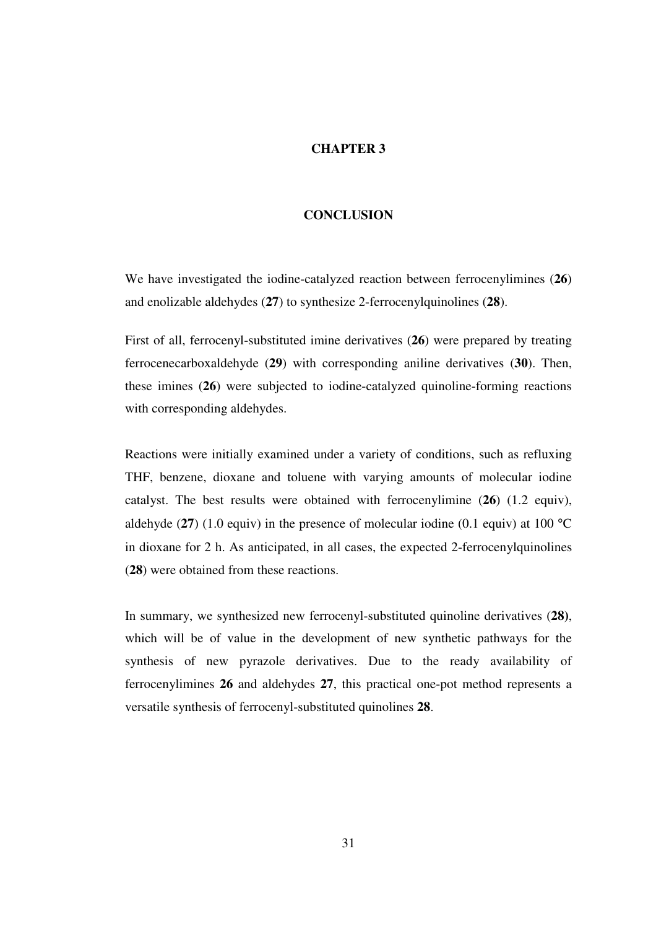### **CHAPTER 3**

### **CONCLUSION**

We have investigated the iodine-catalyzed reaction between ferrocenylimines (**26**) and enolizable aldehydes (**27**) to synthesize 2-ferrocenylquinolines (**28**).

First of all, ferrocenyl-substituted imine derivatives (**26**) were prepared by treating ferrocenecarboxaldehyde (**29**) with corresponding aniline derivatives (**30**). Then, these imines (**26**) were subjected to iodine-catalyzed quinoline-forming reactions with corresponding aldehydes.

Reactions were initially examined under a variety of conditions, such as refluxing THF, benzene, dioxane and toluene with varying amounts of molecular iodine catalyst. The best results were obtained with ferrocenylimine (**26**) (1.2 equiv), aldehyde  $(27)$   $(1.0 \text{ equiv})$  in the presence of molecular iodine  $(0.1 \text{ equiv})$  at  $100 \text{ °C}$ in dioxane for 2 h. As anticipated, in all cases, the expected 2-ferrocenylquinolines (**28**) were obtained from these reactions.

In summary, we synthesized new ferrocenyl-substituted quinoline derivatives (**28)**, which will be of value in the development of new synthetic pathways for the synthesis of new pyrazole derivatives. Due to the ready availability of ferrocenylimines **26** and aldehydes **27**, this practical one-pot method represents a versatile synthesis of ferrocenyl-substituted quinolines **28**.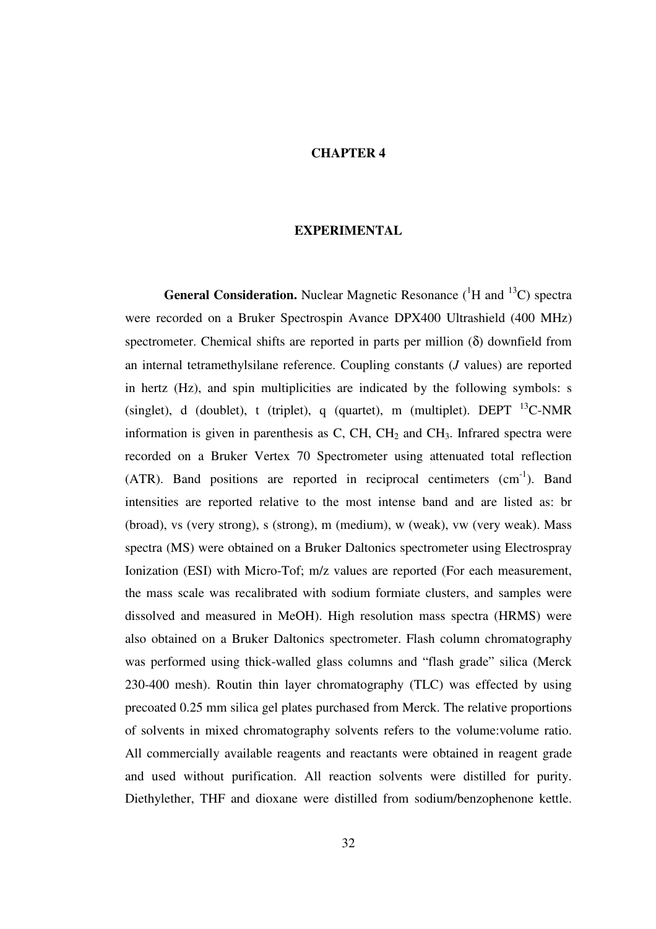### **CHAPTER 4**

#### **EXPERIMENTAL**

**General Consideration.** Nuclear Magnetic Resonance  $({}^{1}H$  and  $({}^{13}C)$  spectra were recorded on a Bruker Spectrospin Avance DPX400 Ultrashield (400 MHz) spectrometer. Chemical shifts are reported in parts per million (δ) downfield from an internal tetramethylsilane reference. Coupling constants (*J* values) are reported in hertz (Hz), and spin multiplicities are indicated by the following symbols: s (singlet), d (doublet), t (triplet), q (quartet), m (multiplet). DEPT  $^{13}$ C-NMR information is given in parenthesis as C, CH, CH<sub>2</sub> and CH<sub>3</sub>. Infrared spectra were recorded on a Bruker Vertex 70 Spectrometer using attenuated total reflection  $(ATR)$ . Band positions are reported in reciprocal centimeters  $(cm<sup>-1</sup>)$ . Band intensities are reported relative to the most intense band and are listed as: br (broad), vs (very strong), s (strong), m (medium), w (weak), vw (very weak). Mass spectra (MS) were obtained on a Bruker Daltonics spectrometer using Electrospray Ionization (ESI) with Micro-Tof; m/z values are reported (For each measurement, the mass scale was recalibrated with sodium formiate clusters, and samples were dissolved and measured in MeOH). High resolution mass spectra (HRMS) were also obtained on a Bruker Daltonics spectrometer. Flash column chromatography was performed using thick-walled glass columns and "flash grade" silica (Merck 230-400 mesh). Routin thin layer chromatography (TLC) was effected by using precoated 0.25 mm silica gel plates purchased from Merck. The relative proportions of solvents in mixed chromatography solvents refers to the volume:volume ratio. All commercially available reagents and reactants were obtained in reagent grade and used without purification. All reaction solvents were distilled for purity. Diethylether, THF and dioxane were distilled from sodium/benzophenone kettle.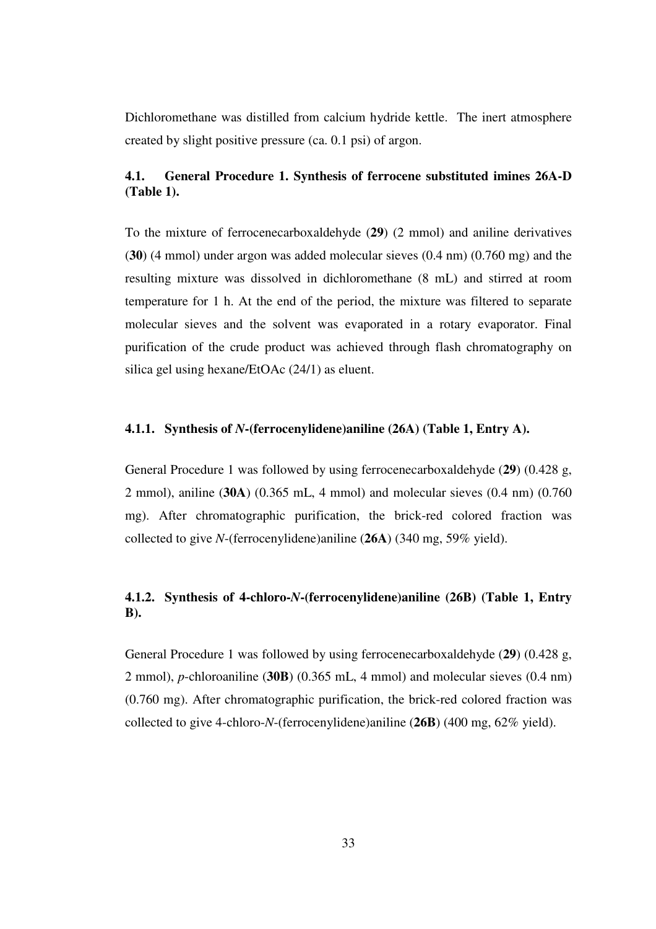Dichloromethane was distilled from calcium hydride kettle. The inert atmosphere created by slight positive pressure (ca. 0.1 psi) of argon.

## **4.1. General Procedure 1. Synthesis of ferrocene substituted imines 26A-D (Table 1).**

To the mixture of ferrocenecarboxaldehyde (**29**) (2 mmol) and aniline derivatives (**30**) (4 mmol) under argon was added molecular sieves (0.4 nm) (0.760 mg) and the resulting mixture was dissolved in dichloromethane (8 mL) and stirred at room temperature for 1 h. At the end of the period, the mixture was filtered to separate molecular sieves and the solvent was evaporated in a rotary evaporator. Final purification of the crude product was achieved through flash chromatography on silica gel using hexane/EtOAc (24/1) as eluent.

## **4.1.1. Synthesis of** *N***-(ferrocenylidene)aniline (26A) (Table 1, Entry A).**

General Procedure 1 was followed by using ferrocenecarboxaldehyde (**29**) (0.428 g, 2 mmol), aniline (**30A**) (0.365 mL, 4 mmol) and molecular sieves (0.4 nm) (0.760 mg). After chromatographic purification, the brick-red colored fraction was collected to give *N*-(ferrocenylidene)aniline (**26A**) (340 mg, 59% yield).

## **4.1.2. Synthesis of 4-chloro-***N***-(ferrocenylidene)aniline (26B) (Table 1, Entry B).**

General Procedure 1 was followed by using ferrocenecarboxaldehyde (**29**) (0.428 g, 2 mmol), *p*-chloroaniline (**30B**) (0.365 mL, 4 mmol) and molecular sieves (0.4 nm) (0.760 mg). After chromatographic purification, the brick-red colored fraction was collected to give 4-chloro-*N*-(ferrocenylidene)aniline (**26B**) (400 mg, 62% yield).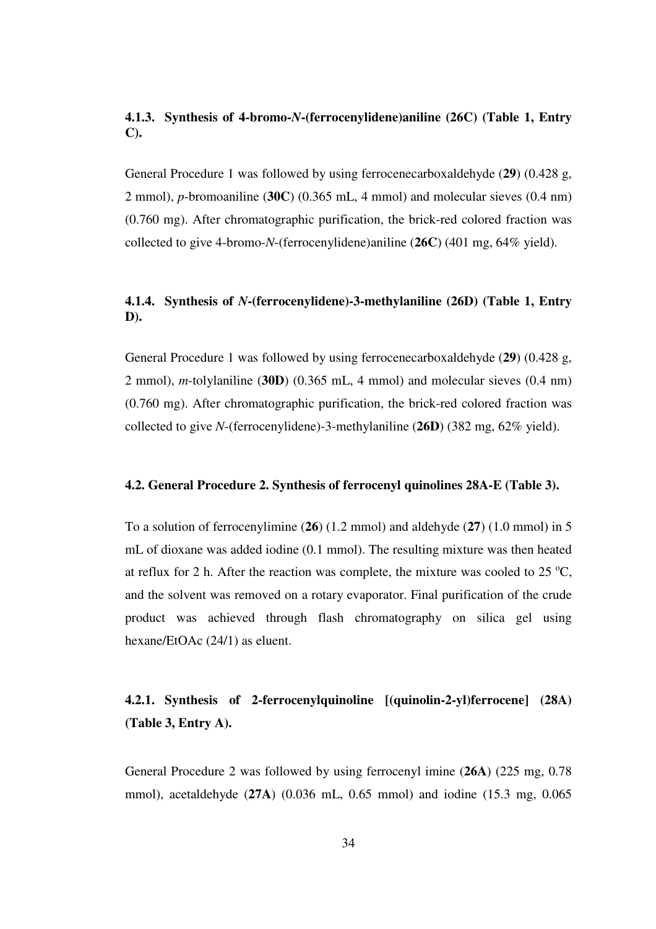## **4.1.3. Synthesis of 4-bromo-***N***-(ferrocenylidene)aniline (26C) (Table 1, Entry C).**

General Procedure 1 was followed by using ferrocenecarboxaldehyde (**29**) (0.428 g, 2 mmol), *p*-bromoaniline (**30C**) (0.365 mL, 4 mmol) and molecular sieves (0.4 nm) (0.760 mg). After chromatographic purification, the brick-red colored fraction was collected to give 4-bromo-*N*-(ferrocenylidene)aniline (**26C**) (401 mg, 64% yield).

## **4.1.4. Synthesis of** *N***-(ferrocenylidene)-3-methylaniline (26D) (Table 1, Entry D).**

General Procedure 1 was followed by using ferrocenecarboxaldehyde (**29**) (0.428 g, 2 mmol), *m*-tolylaniline (**30D**) (0.365 mL, 4 mmol) and molecular sieves (0.4 nm) (0.760 mg). After chromatographic purification, the brick-red colored fraction was collected to give *N*-(ferrocenylidene)-3-methylaniline (**26D**) (382 mg, 62% yield).

### **4.2. General Procedure 2. Synthesis of ferrocenyl quinolines 28A-E (Table 3).**

To a solution of ferrocenylimine (**26**) (1.2 mmol) and aldehyde (**27**) (1.0 mmol) in 5 mL of dioxane was added iodine (0.1 mmol). The resulting mixture was then heated at reflux for 2 h. After the reaction was complete, the mixture was cooled to  $25^{\circ}$ C, and the solvent was removed on a rotary evaporator. Final purification of the crude product was achieved through flash chromatography on silica gel using hexane/EtOAc (24/1) as eluent.

# **4.2.1. Synthesis of 2-ferrocenylquinoline [(quinolin-2-yl)ferrocene] (28A) (Table 3, Entry A).**

General Procedure 2 was followed by using ferrocenyl imine (**26A**) (225 mg, 0.78 mmol), acetaldehyde (**27A**) (0.036 mL, 0.65 mmol) and iodine (15.3 mg, 0.065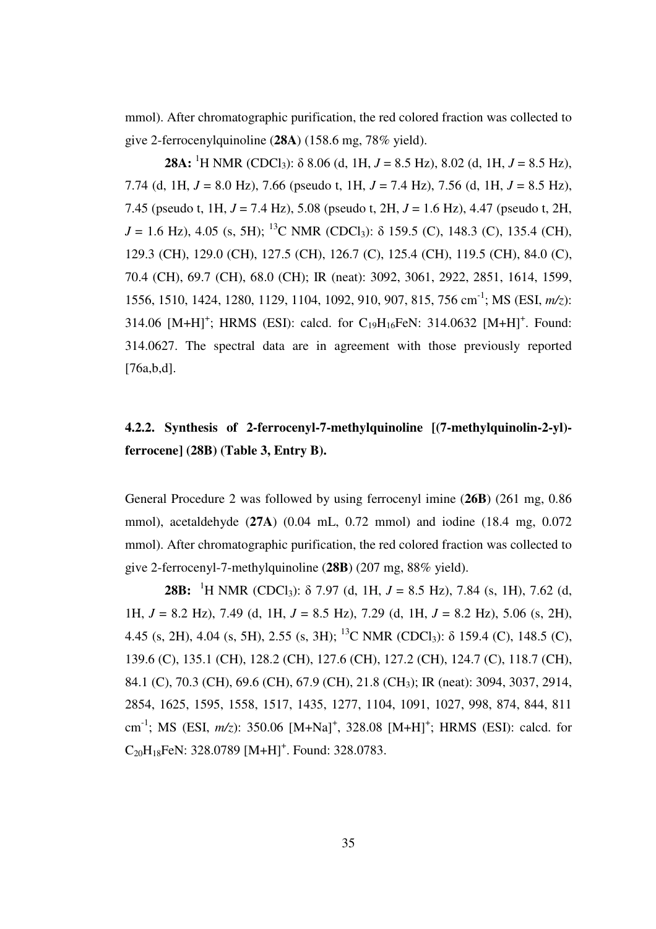mmol). After chromatographic purification, the red colored fraction was collected to give 2-ferrocenylquinoline (**28A**) (158.6 mg, 78% yield).

 **28A:** <sup>1</sup>H NMR (CDCl<sub>3</sub>):  $\delta$  8.06 (d, 1H, *J* = 8.5 Hz), 8.02 (d, 1H, *J* = 8.5 Hz), 7.74 (d, 1H, *J* = 8.0 Hz), 7.66 (pseudo t, 1H, *J* = 7.4 Hz), 7.56 (d, 1H, *J* = 8.5 Hz), 7.45 (pseudo t, 1H, *J* = 7.4 Hz), 5.08 (pseudo t, 2H, *J* = 1.6 Hz), 4.47 (pseudo t, 2H,  $J = 1.6$  Hz), 4.05 (s, 5H); <sup>13</sup>C NMR (CDCl<sub>3</sub>):  $\delta$  159.5 (C), 148.3 (C), 135.4 (CH), 129.3 (CH), 129.0 (CH), 127.5 (CH), 126.7 (C), 125.4 (CH), 119.5 (CH), 84.0 (C), 70.4 (CH), 69.7 (CH), 68.0 (CH); IR (neat): 3092, 3061, 2922, 2851, 1614, 1599, 1556, 1510, 1424, 1280, 1129, 1104, 1092, 910, 907, 815, 756 cm-1; MS (ESI, *m/z*): 314.06  $[M+H]^+$ ; HRMS (ESI): calcd. for C<sub>19</sub>H<sub>16</sub>FeN: 314.0632 [M+H]<sup>+</sup>. Found: 314.0627. The spectral data are in agreement with those previously reported [76a,b,d].

## **4.2.2. Synthesis of 2-ferrocenyl-7-methylquinoline [(7-methylquinolin-2-yl) ferrocene] (28B) (Table 3, Entry B).**

General Procedure 2 was followed by using ferrocenyl imine (**26B**) (261 mg, 0.86 mmol), acetaldehyde (**27A**) (0.04 mL, 0.72 mmol) and iodine (18.4 mg, 0.072 mmol). After chromatographic purification, the red colored fraction was collected to give 2-ferrocenyl-7-methylquinoline (**28B**) (207 mg, 88% yield).

**28B:** <sup>1</sup>H NMR (CDCl<sub>3</sub>):  $\delta$  7.97 (d, 1H,  $J = 8.5$  Hz), 7.84 (s, 1H), 7.62 (d, 1H, *J* = 8.2 Hz), 7.49 (d, 1H, *J* = 8.5 Hz), 7.29 (d, 1H, *J* = 8.2 Hz), 5.06 (s, 2H), 4.45 (s, 2H), 4.04 (s, 5H), 2.55 (s, 3H); <sup>13</sup>C NMR (CDCl<sub>3</sub>):  $\delta$  159.4 (C), 148.5 (C), 139.6 (C), 135.1 (CH), 128.2 (CH), 127.6 (CH), 127.2 (CH), 124.7 (C), 118.7 (CH), 84.1 (C), 70.3 (CH), 69.6 (CH), 67.9 (CH), 21.8 (CH3); IR (neat): 3094, 3037, 2914, 2854, 1625, 1595, 1558, 1517, 1435, 1277, 1104, 1091, 1027, 998, 874, 844, 811 cm<sup>-1</sup>; MS (ESI, *m/z*): 350.06 [M+Na]<sup>+</sup>, 328.08 [M+H]<sup>+</sup>; HRMS (ESI): calcd. for  $C_{20}H_{18}$ FeN: 328.0789 [M+H]<sup>+</sup>. Found: 328.0783.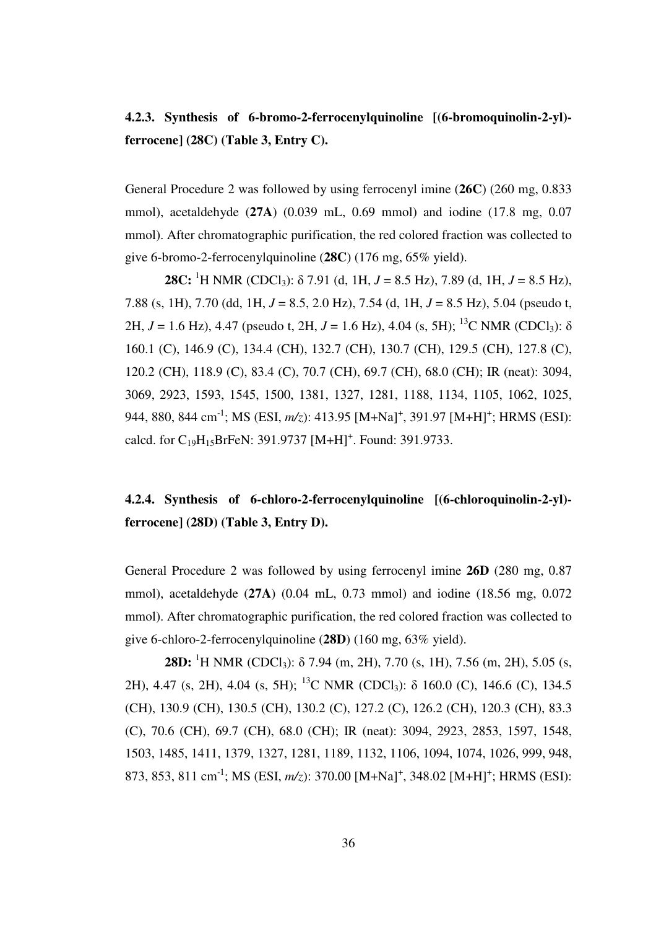# **4.2.3. Synthesis of 6-bromo-2-ferrocenylquinoline [(6-bromoquinolin-2-yl) ferrocene] (28C) (Table 3, Entry C).**

General Procedure 2 was followed by using ferrocenyl imine (**26C**) (260 mg, 0.833 mmol), acetaldehyde (**27A**) (0.039 mL, 0.69 mmol) and iodine (17.8 mg, 0.07 mmol). After chromatographic purification, the red colored fraction was collected to give 6-bromo-2-ferrocenylquinoline (**28C**) (176 mg, 65% yield).

 **28C:** <sup>1</sup>H NMR (CDCl<sub>3</sub>):  $\delta$  7.91 (d, 1H, *J* = 8.5 Hz), 7.89 (d, 1H, *J* = 8.5 Hz), 7.88 (s, 1H), 7.70 (dd, 1H, *J* = 8.5, 2.0 Hz), 7.54 (d, 1H, *J* = 8.5 Hz), 5.04 (pseudo t, 2H,  $J = 1.6$  Hz), 4.47 (pseudo t, 2H,  $J = 1.6$  Hz), 4.04 (s, 5H); <sup>13</sup>C NMR (CDCl<sub>3</sub>):  $\delta$ 160.1 (C), 146.9 (C), 134.4 (CH), 132.7 (CH), 130.7 (CH), 129.5 (CH), 127.8 (C), 120.2 (CH), 118.9 (C), 83.4 (C), 70.7 (CH), 69.7 (CH), 68.0 (CH); IR (neat): 3094, 3069, 2923, 1593, 1545, 1500, 1381, 1327, 1281, 1188, 1134, 1105, 1062, 1025, 944, 880, 844 cm<sup>-1</sup>; MS (ESI, *m/z*): 413.95 [M+Na]<sup>+</sup>, 391.97 [M+H]<sup>+</sup>; HRMS (ESI): calcd. for  $C_{19}H_{15}$ BrFeN: 391.9737 [M+H]<sup>+</sup>. Found: 391.9733.

# **4.2.4. Synthesis of 6-chloro-2-ferrocenylquinoline [(6-chloroquinolin-2-yl) ferrocene] (28D) (Table 3, Entry D).**

General Procedure 2 was followed by using ferrocenyl imine **26D** (280 mg, 0.87 mmol), acetaldehyde (**27A**) (0.04 mL, 0.73 mmol) and iodine (18.56 mg, 0.072 mmol). After chromatographic purification, the red colored fraction was collected to give 6-chloro-2-ferrocenylquinoline (**28D**) (160 mg, 63% yield).

**28D:** <sup>1</sup>H NMR (CDCl<sub>3</sub>):  $\delta$  7.94 (m, 2H), 7.70 (s, 1H), 7.56 (m, 2H), 5.05 (s, 2H), 4.47 (s, 2H), 4.04 (s, 5H); <sup>13</sup>C NMR (CDCl<sub>3</sub>):  $\delta$  160.0 (C), 146.6 (C), 134.5 (CH), 130.9 (CH), 130.5 (CH), 130.2 (C), 127.2 (C), 126.2 (CH), 120.3 (CH), 83.3 (C), 70.6 (CH), 69.7 (CH), 68.0 (CH); IR (neat): 3094, 2923, 2853, 1597, 1548, 1503, 1485, 1411, 1379, 1327, 1281, 1189, 1132, 1106, 1094, 1074, 1026, 999, 948, 873, 853, 811 cm<sup>-1</sup>; MS (ESI, *m/z*): 370.00 [M+Na]<sup>+</sup>, 348.02 [M+H]<sup>+</sup>; HRMS (ESI):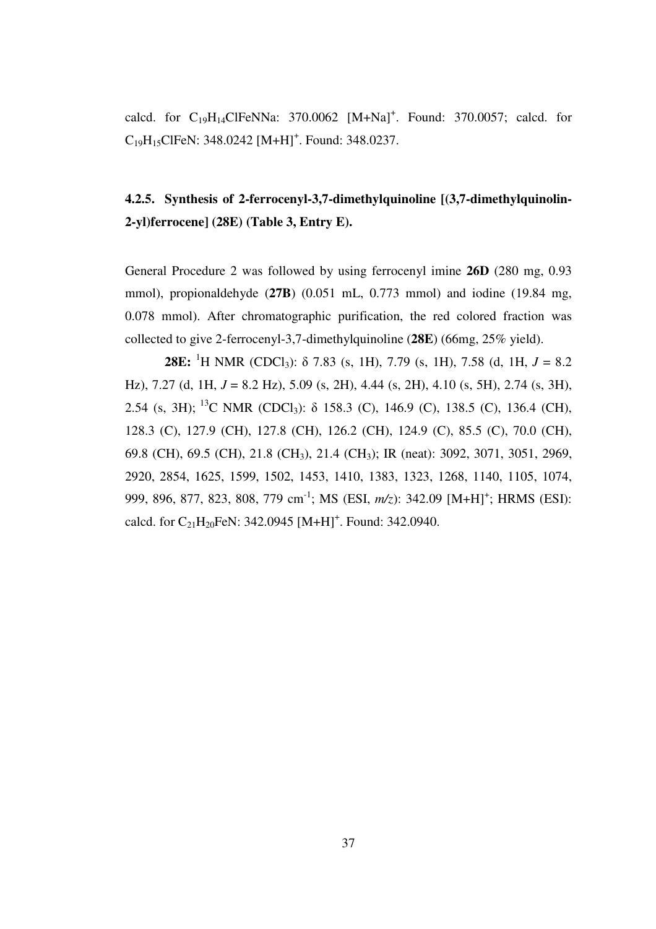calcd. for  $C_{19}H_{14}Cl$ FeNNa: 370.0062 [M+Na]<sup>+</sup>. Found: 370.0057; calcd. for  $C_{19}H_{15}$ ClFeN: 348.0242 [M+H]<sup>+</sup>. Found: 348.0237.

# **4.2.5. Synthesis of 2-ferrocenyl-3,7-dimethylquinoline [(3,7-dimethylquinolin-2-yl)ferrocene] (28E) (Table 3, Entry E).**

General Procedure 2 was followed by using ferrocenyl imine **26D** (280 mg, 0.93 mmol), propionaldehyde (**27B**) (0.051 mL, 0.773 mmol) and iodine (19.84 mg, 0.078 mmol). After chromatographic purification, the red colored fraction was collected to give 2-ferrocenyl-3,7-dimethylquinoline (**28E**) (66mg, 25% yield).

**28E:** <sup>1</sup>H NMR (CDCl<sub>3</sub>):  $\delta$  7.83 (s, 1H), 7.79 (s, 1H), 7.58 (d, 1H,  $J = 8.2$ Hz), 7.27 (d, 1H, *J* = 8.2 Hz), 5.09 (s, 2H), 4.44 (s, 2H), 4.10 (s, 5H), 2.74 (s, 3H), 2.54 (s, 3H);<sup>13</sup>C NMR (CDCl<sub>3</sub>):  $\delta$  158.3 (C), 146.9 (C), 138.5 (C), 136.4 (CH), 128.3 (C), 127.9 (CH), 127.8 (CH), 126.2 (CH), 124.9 (C), 85.5 (C), 70.0 (CH), 69.8 (CH), 69.5 (CH), 21.8 (CH3), 21.4 (CH3); IR (neat): 3092, 3071, 3051, 2969, 2920, 2854, 1625, 1599, 1502, 1453, 1410, 1383, 1323, 1268, 1140, 1105, 1074, 999, 896, 877, 823, 808, 779 cm<sup>-1</sup>; MS (ESI, *m/z*): 342.09 [M+H]<sup>+</sup>; HRMS (ESI): calcd. for  $C_{21}H_{20}$ FeN: 342.0945 [M+H]<sup>+</sup>. Found: 342.0940.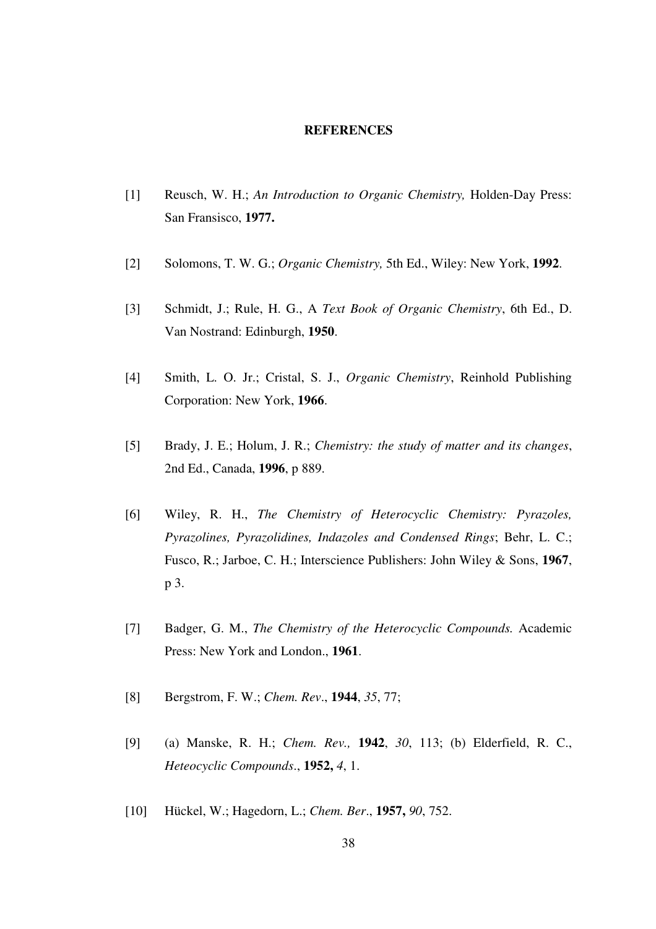#### **REFERENCES**

- [1] Reusch, W. H.; *An Introduction to Organic Chemistry,* Holden-Day Press: San Fransisco, **1977.**
- [2] Solomons, T. W. G.; *Organic Chemistry,* 5th Ed., Wiley: New York, **1992**.
- [3] Schmidt, J.; Rule, H. G., A *Text Book of Organic Chemistry*, 6th Ed., D. Van Nostrand: Edinburgh, **1950**.
- [4] Smith, L. O. Jr.; Cristal, S. J., *Organic Chemistry*, Reinhold Publishing Corporation: New York, **1966**.
- [5] Brady, J. E.; Holum, J. R.; *Chemistry: the study of matter and its changes*, 2nd Ed., Canada, **1996**, p 889.
- [6] Wiley, R. H., *The Chemistry of Heterocyclic Chemistry: Pyrazoles, Pyrazolines, Pyrazolidines, Indazoles and Condensed Rings*; Behr, L. C.; Fusco, R.; Jarboe, C. H.; Interscience Publishers: John Wiley & Sons, **1967**, p 3.
- [7] Badger, G. M., *The Chemistry of the Heterocyclic Compounds.* Academic Press: New York and London., **1961**.
- [8] Bergstrom, F. W.; *Chem. Rev*., **1944**, *35*, 77;
- [9] (a) Manske, R. H.; *Chem. Rev.,* **1942**, *30*, 113; (b) Elderfield, R. C., *Heteocyclic Compounds*., **1952,** *4*, 1.
- [10] Hückel, W.; Hagedorn, L.; *Chem. Ber*., **1957,** *90*, 752.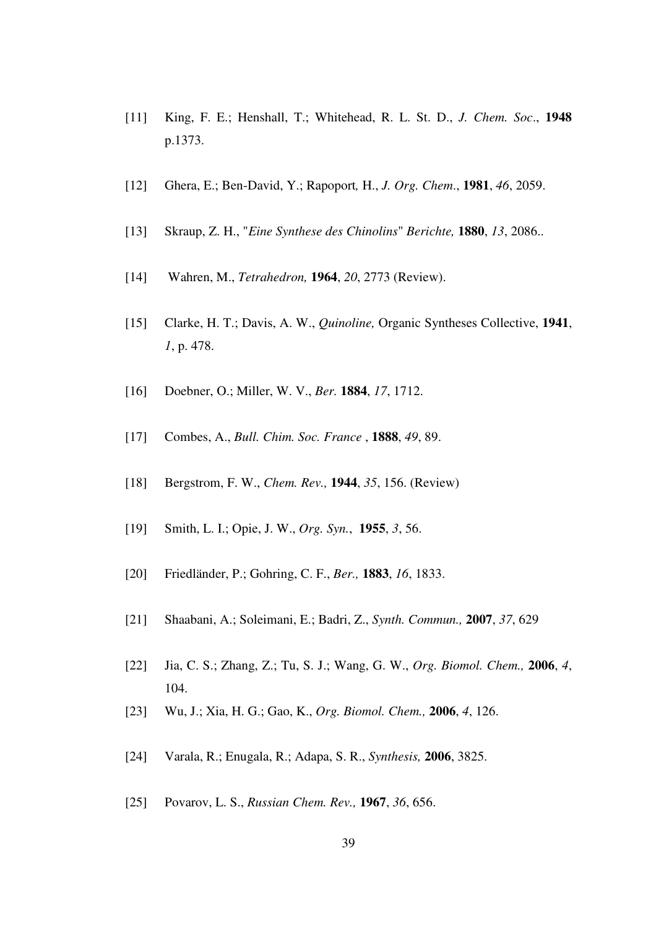- [11] King, F. E.; Henshall, T.; Whitehead, R. L. St. D., *J. Chem. Soc*., **1948** p.1373.
- [12] Ghera, E.; Ben-David, Y.; Rapoport*,* H., *J. Org. Chem*., **1981**, *46*, 2059.
- [13] Skraup, Z. H., "*Eine Synthese des Chinolins*" *Berichte,* **1880**, *13*, 2086..
- [14] Wahren, M., *Tetrahedron,* **1964**, *20*, 2773 (Review).
- [15] Clarke, H. T.; Davis, A. W., *Quinoline,* Organic Syntheses Collective, **1941**, *1*, p. 478.
- [16] Doebner, O.; Miller, W. V., *Ber.* **1884**, *17*, 1712.
- [17] Combes, A., *Bull. Chim. Soc. France* , **1888**, *49*, 89.
- [18] Bergstrom, F. W., *Chem. Rev.,* **1944**, *35*, 156. (Review)
- [19] Smith, L. I.; Opie, J. W., *Org. Syn.*, **1955**, *3*, 56.
- [20] Friedländer, P.; Gohring, C. F., *Ber.,* **1883**, *16*, 1833.
- [21] Shaabani, A.; Soleimani, E.; Badri, Z., *Synth. Commun.,* **2007**, *37*, 629
- [22] Jia, C. S.; Zhang, Z.; Tu, S. J.; Wang, G. W., *Org. Biomol. Chem.,* **2006**, *4*, 104.
- [23] Wu, J.; Xia, H. G.; Gao, K., *Org. Biomol. Chem.,* **2006**, *4*, 126.
- [24] Varala, R.; Enugala, R.; Adapa, S. R., *Synthesis,* **2006**, 3825.
- [25] Povarov, L. S., *Russian Chem. Rev.,* **1967**, *36*, 656.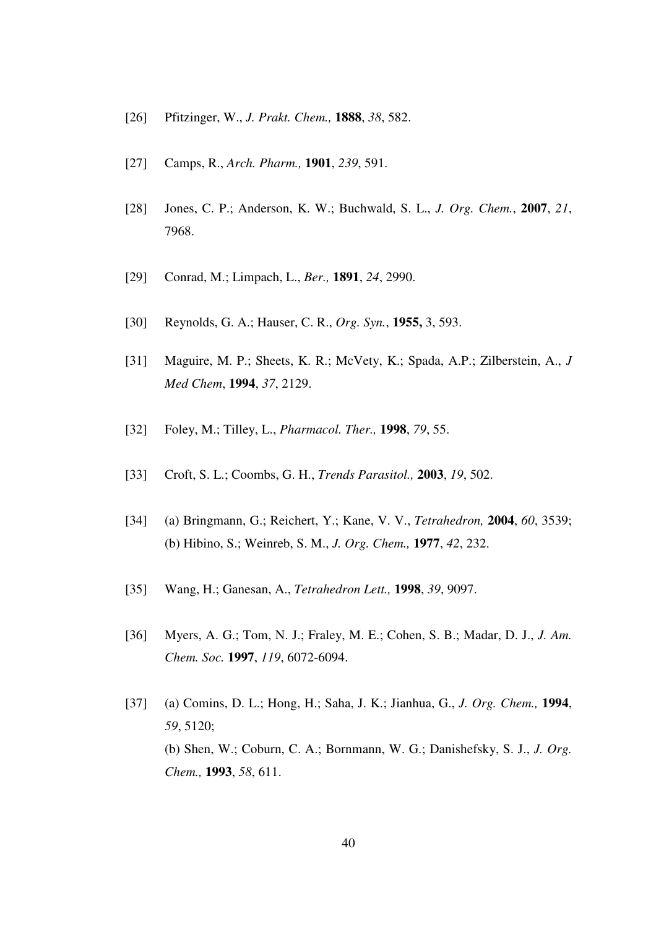- [26] Pfitzinger, W., *J. Prakt. Chem.,* **1888**, *38*, 582.
- [27] Camps, R., *Arch. Pharm.,* **1901**, *239*, 591.
- [28] Jones, C. P.; Anderson, K. W.; Buchwald, S. L., *J. Org. Chem.*, **2007**, *21*, 7968.
- [29] Conrad, M.; Limpach, L., *Ber.,* **1891**, *24*, 2990.
- [30] Reynolds, G. A.; Hauser, C. R., *Org. Syn.*, **1955,** 3, 593.
- [31] Maguire, M. P.; Sheets, K. R.; McVety, K.; Spada, A.P.; Zilberstein, A., *J Med Chem*, **1994**, *37*, 2129.
- [32] Foley, M.; Tilley, L., *Pharmacol. Ther.,* **1998**, *79*, 55.
- [33] Croft, S. L.; Coombs, G. H., *Trends Parasitol.,* **2003**, *19*, 502.
- [34] (a) Bringmann, G.; Reichert, Y.; Kane, V. V., *Tetrahedron,* **2004**, *60*, 3539; (b) Hibino, S.; Weinreb, S. M., *J. Org. Chem.,* **1977**, *42*, 232.
- [35] Wang, H.; Ganesan, A., *Tetrahedron Lett.,* **1998**, *39*, 9097.
- [36] Myers, A. G.; Tom, N. J.; Fraley, M. E.; Cohen, S. B.; Madar, D. J., *J. Am. Chem. Soc.* **1997**, *119*, 6072-6094.
- [37] (a) Comins, D. L.; Hong, H.; Saha, J. K.; Jianhua, G., *J. Org. Chem.,* **1994**, *59*, 5120; (b) Shen, W.; Coburn, C. A.; Bornmann, W. G.; Danishefsky, S. J., *J. Org. Chem.,* **1993**, *58*, 611.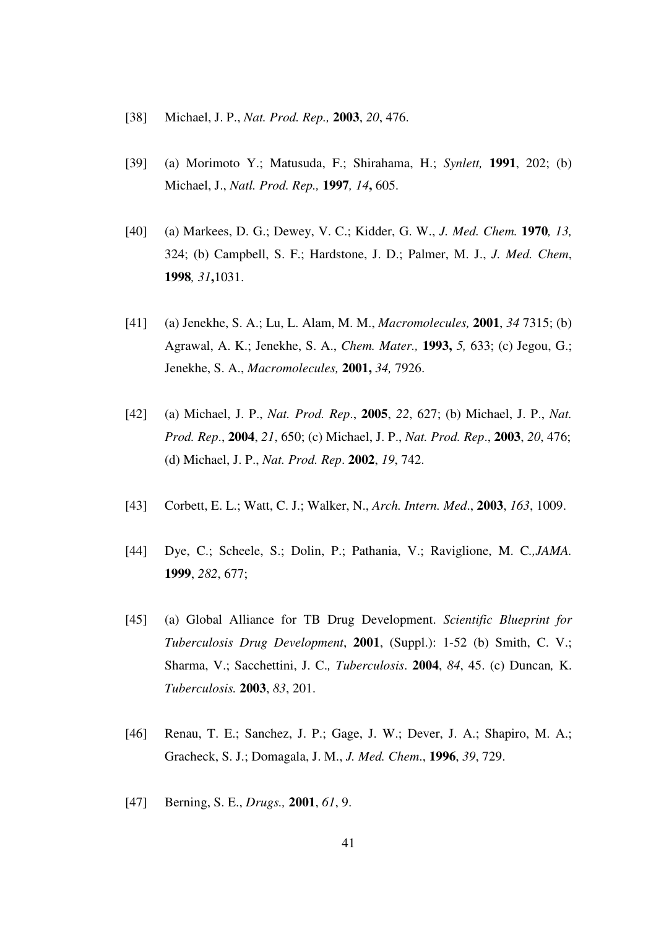- [38] Michael, J. P., *Nat. Prod. Rep.,* **2003**, *20*, 476.
- [39] (a) Morimoto Y.; Matusuda, F.; Shirahama, H.; *Synlett,* **1991**, 202; (b) Michael, J., *Natl. Prod. Rep.,* **1997***, 14***,** 605.
- [40] (a) Markees, D. G.; Dewey, V. C.; Kidder, G. W., *J. Med. Chem.* **1970***, 13,* 324; (b) Campbell, S. F.; Hardstone, J. D.; Palmer, M. J., *J. Med. Chem*, **1998***, 31***,**1031.
- [41] (a) Jenekhe, S. A.; Lu, L. Alam, M. M., *Macromolecules,* **2001**, *34* 7315; (b) Agrawal, A. K.; Jenekhe, S. A., *Chem. Mater.,* **1993,** *5,* 633; (c) Jegou, G.; Jenekhe, S. A., *Macromolecules,* **2001,** *34,* 7926.
- [42] (a) Michael, J. P., *Nat. Prod. Rep*., **2005**, *22*, 627; (b) Michael, J. P., *Nat. Prod. Rep*., **2004**, *21*, 650; (c) Michael, J. P., *Nat. Prod. Rep*., **2003**, *20*, 476; (d) Michael, J. P., *Nat. Prod. Rep*. **2002**, *19*, 742.
- [43] Corbett, E. L.; Watt, C. J.; Walker, N., *Arch. Intern. Med*., **2003**, *163*, 1009.
- [44] Dye, C.; Scheele, S.; Dolin, P.; Pathania, V.; Raviglione, M. C*.,JAMA.*  **1999**, *282*, 677;
- [45] (a) Global Alliance for TB Drug Development. *Scientific Blueprint for Tuberculosis Drug Development*, **2001**, (Suppl.): 1-52 (b) Smith, C. V.; Sharma, V.; Sacchettini, J. C.*, Tuberculosis*. **2004**, *84*, 45. (c) Duncan*,* K. *Tuberculosis.* **2003**, *83*, 201.
- [46] Renau, T. E.; Sanchez, J. P.; Gage, J. W.; Dever, J. A.; Shapiro, M. A.; Gracheck, S. J.; Domagala, J. M., *J. Med. Chem*., **1996**, *39*, 729.
- [47] Berning, S. E., *Drugs.,* **2001**, *61*, 9.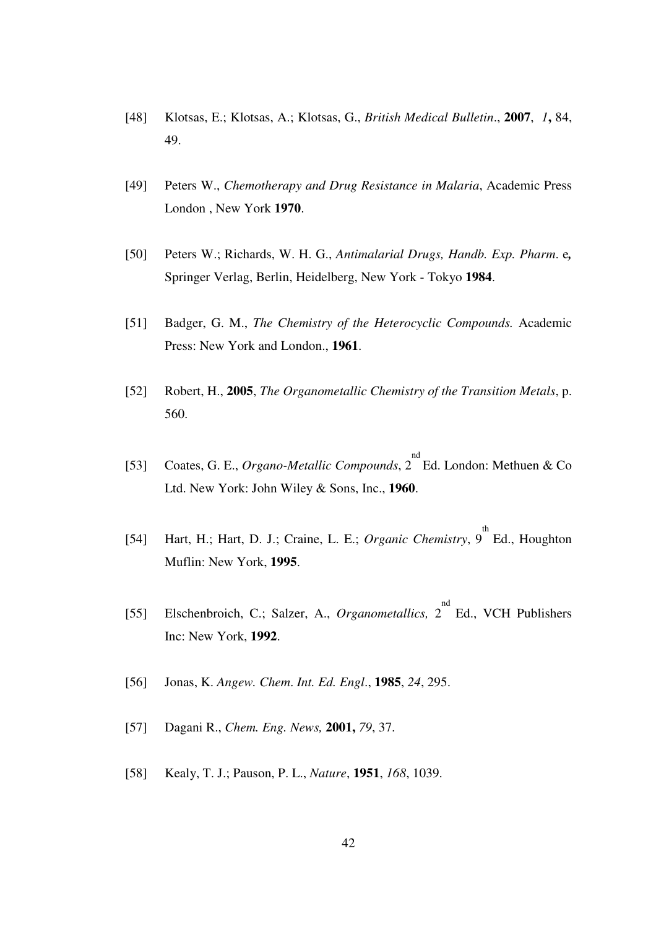- [48] Klotsas, E.; Klotsas, A.; Klotsas, G., *British Medical Bulletin*., **2007**, *1***,** 84, 49.
- [49] Peters W., *Chemotherapy and Drug Resistance in Malaria*, Academic Press London , New York **1970**.
- [50] Peters W.; Richards, W. H. G., *Antimalarial Drugs, Handb. Exp. Pharm*. e*,*  Springer Verlag, Berlin, Heidelberg, New York - Tokyo **1984**.
- [51] Badger, G. M., *The Chemistry of the Heterocyclic Compounds.* Academic Press: New York and London., **1961**.
- [52] Robert, H., **2005**, *The Organometallic Chemistry of the Transition Metals*, p. 560.
- [53] Coates, G. E., *Organo-Metallic Compounds*,  $2^{nd}$  Ed. London: Methuen & Co Ltd. New York: John Wiley & Sons, Inc., **1960**.
- [54] Hart, H.; Hart, D. J.; Craine, L. E.; *Organic Chemistry*,  $9^{\text{th}}$  Ed., Houghton Muflin: New York, **1995**.
- [55] Elschenbroich, C.; Salzer, A., *Organometallics*, 2<sup>nd</sup> Ed., VCH Publishers Inc: New York, **1992**.
- [56] Jonas, K. *Angew. Chem*. *Int. Ed. Engl*., **1985**, *24*, 295.
- [57] Dagani R., *Chem. Eng. News,* **2001,** *79*, 37.
- [58] Kealy, T. J.; Pauson, P. L., *Nature*, **1951**, *168*, 1039.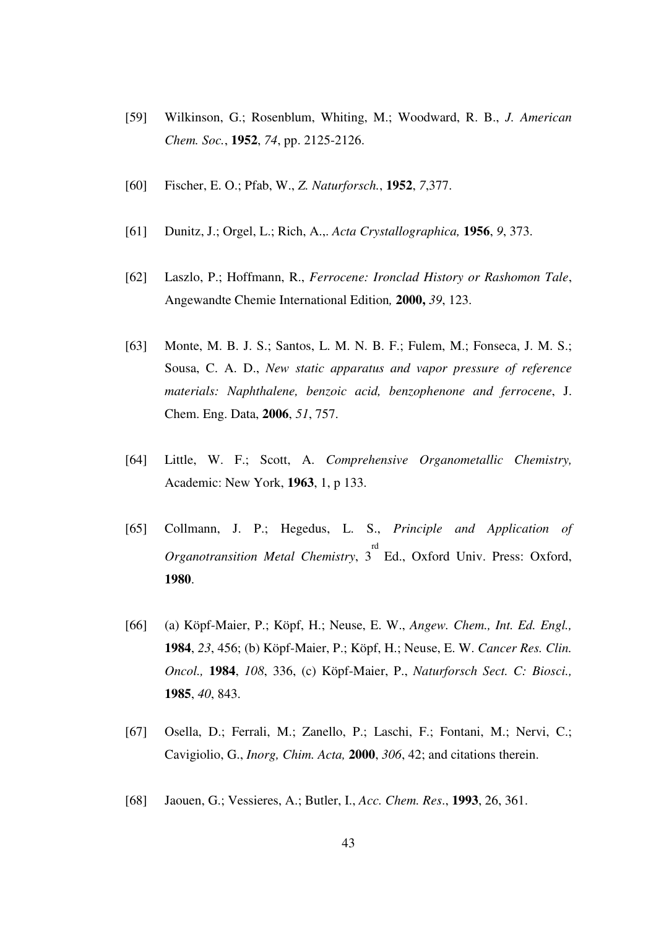- [59] Wilkinson, G.; Rosenblum, Whiting, M.; Woodward, R. B., *J. American Chem. Soc.*, **1952**, *74*, pp. 2125-2126.
- [60] Fischer, E. O.; Pfab, W., *Z. Naturforsch.*, **1952**, *7*,377.
- [61] Dunitz, J.; Orgel, L.; Rich, A.,. *Acta Crystallographica,* **1956**, *9*, 373.
- [62] Laszlo, P.; Hoffmann, R., *Ferrocene: Ironclad History or Rashomon Tale*, Angewandte Chemie International Edition*,* **2000,** *39*, 123.
- [63] Monte, M. B. J. S.; Santos, L. M. N. B. F.; Fulem, M.; Fonseca, J. M. S.; Sousa, C. A. D., *New static apparatus and vapor pressure of reference materials: Naphthalene, benzoic acid, benzophenone and ferrocene*, J. Chem. Eng. Data, **2006**, *51*, 757.
- [64] Little, W. F.; Scott, A. *Comprehensive Organometallic Chemistry,*  Academic: New York, **1963**, 1, p 133.
- [65] Collmann, J. P.; Hegedus, L. S., *Principle and Application of Organotransition Metal Chemistry*, 3<sup>rd</sup> Ed., Oxford Univ. Press: Oxford, **1980**.
- [66] (a) Köpf-Maier, P.; Köpf, H.; Neuse, E. W., *Angew. Chem., Int. Ed. Engl.,*  **1984**, *23*, 456; (b) Köpf-Maier, P.; Köpf, H.; Neuse, E. W. *Cancer Res. Clin. Oncol.,* **1984**, *108*, 336, (c) Köpf-Maier, P., *Naturforsch Sect. C: Biosci.,*  **1985**, *40*, 843.
- [67] Osella, D.; Ferrali, M.; Zanello, P.; Laschi, F.; Fontani, M.; Nervi, C.; Cavigiolio, G., *Inorg, Chim. Acta,* **2000**, *306*, 42; and citations therein.
- [68] Jaouen, G.; Vessieres, A.; Butler, I., *Acc. Chem. Res*., **1993**, 26, 361.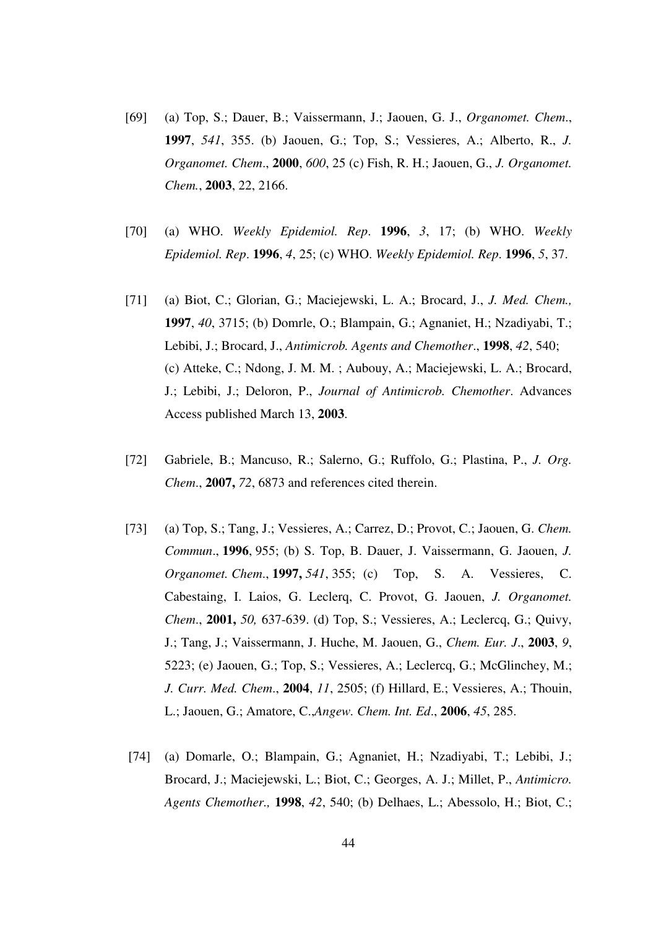- [69] (a) Top, S.; Dauer, B.; Vaissermann, J.; Jaouen, G. J., *Organomet. Chem*., **1997**, *541*, 355. (b) Jaouen, G.; Top, S.; Vessieres, A.; Alberto, R., *J. Organomet. Chem*., **2000**, *600*, 25 (c) Fish, R. H.; Jaouen, G., *J. Organomet. Chem.*, **2003**, 22, 2166.
- [70] (a) WHO. *Weekly Epidemiol. Rep*. **1996**, *3*, 17; (b) WHO. *Weekly Epidemiol. Rep*. **1996**, *4*, 25; (c) WHO. *Weekly Epidemiol. Rep*. **1996**, *5*, 37.
- [71] (a) Biot, C.; Glorian, G.; Maciejewski, L. A.; Brocard, J., *J. Med. Chem.,* **1997**, *40*, 3715; (b) Domrle, O.; Blampain, G.; Agnaniet, H.; Nzadiyabi, T.; Lebibi, J.; Brocard, J., *Antimicrob. Agents and Chemother*., **1998**, *42*, 540; (c) Atteke, C.; Ndong, J. M. M. ; Aubouy, A.; Maciejewski, L. A.; Brocard, J.; Lebibi, J.; Deloron, P., *Journal of Antimicrob. Chemother*. Advances Access published March 13, **2003**.
- [72] Gabriele, B.; Mancuso, R.; Salerno, G.; Ruffolo, G.; Plastina, P., *J. Org. Chem*., **2007,** *72*, 6873 and references cited therein.
- [73] (a) Top, S.; Tang, J.; Vessieres, A.; Carrez, D.; Provot, C.; Jaouen, G. *Chem. Commun*., **1996**, 955; (b) S. Top, B. Dauer, J. Vaissermann, G. Jaouen, *J. Organomet. Chem*., **1997,** *541*, 355; (c) Top, S. A. Vessieres, C. Cabestaing, I. Laios, G. Leclerq, C. Provot, G. Jaouen, *J. Organomet. Chem*., **2001,** *50,* 637-639. (d) Top, S.; Vessieres, A.; Leclercq, G.; Quivy, J.; Tang, J.; Vaissermann, J. Huche, M. Jaouen, G., *Chem. Eur. J*., **2003**, *9*, 5223; (e) Jaouen, G.; Top, S.; Vessieres, A.; Leclercq, G.; McGlinchey, M.; *J. Curr. Med. Chem*., **2004**, *11*, 2505; (f) Hillard, E.; Vessieres, A.; Thouin, L.; Jaouen, G.; Amatore, C.,*Angew. Chem. Int. Ed*., **2006**, *45*, 285.
- [74] (a) Domarle, O.; Blampain, G.; Agnaniet, H.; Nzadiyabi, T.; Lebibi, J.; Brocard, J.; Maciejewski, L.; Biot, C.; Georges, A. J.; Millet, P., *Antimicro. Agents Chemother.,* **1998**, *42*, 540; (b) Delhaes, L.; Abessolo, H.; Biot, C.;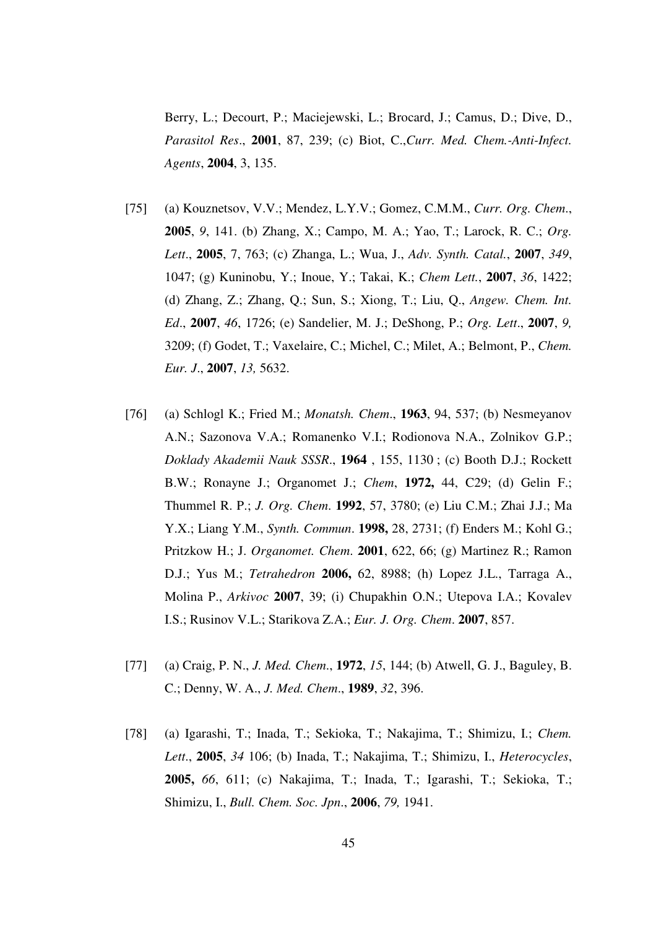Berry, L.; Decourt, P.; Maciejewski, L.; Brocard, J.; Camus, D.; Dive, D., *Parasitol Res*., **2001**, 87, 239; (c) Biot, C.,*Curr. Med. Chem.-Anti-Infect. Agents*, **2004**, 3, 135.

- [75] (a) Kouznetsov, V.V.; Mendez, L.Y.V.; Gomez, C.M.M., *Curr. Org. Chem*., **2005**, *9*, 141. (b) Zhang, X.; Campo, M. A.; Yao, T.; Larock, R. C.; *Org. Lett*., **2005**, 7, 763; (c) Zhanga, L.; Wua, J., *Adv. Synth. Catal.*, **2007**, *349*, 1047; (g) Kuninobu, Y.; Inoue, Y.; Takai, K.; *Chem Lett.*, **2007**, *36*, 1422; (d) Zhang, Z.; Zhang, Q.; Sun, S.; Xiong, T.; Liu, Q., *Angew. Chem. Int. Ed*., **2007**, *46*, 1726; (e) Sandelier, M. J.; DeShong, P.; *Org. Lett*., **2007**, *9,* 3209; (f) Godet, T.; Vaxelaire, C.; Michel, C.; Milet, A.; Belmont, P., *Chem. Eur. J*., **2007**, *13,* 5632.
- [76] (a) Schlogl K.; Fried M.; *Monatsh. Chem*., **1963**, 94, 537; (b) Nesmeyanov A.N.; Sazonova V.A.; Romanenko V.I.; Rodionova N.A., Zolnikov G.P.; *Doklady Akademii Nauk SSSR*., **1964** , 155, 1130 ; (c) Booth D.J.; Rockett B.W.; Ronayne J.; Organomet J.; *Chem*, **1972,** 44, C29; (d) Gelin F.; Thummel R. P.; *J. Org. Chem*. **1992**, 57, 3780; (e) Liu C.M.; Zhai J.J.; Ma Y.X.; Liang Y.M., *Synth. Commun*. **1998,** 28, 2731; (f) Enders M.; Kohl G.; Pritzkow H.; J. *Organomet. Chem*. **2001**, 622, 66; (g) Martinez R.; Ramon D.J.; Yus M.; *Tetrahedron* **2006,** 62, 8988; (h) Lopez J.L., Tarraga A., Molina P., *Arkivoc* **2007**, 39; (i) Chupakhin O.N.; Utepova I.A.; Kovalev I.S.; Rusinov V.L.; Starikova Z.A.; *Eur. J. Org. Chem*. **2007**, 857.
- [77] (a) Craig, P. N., *J. Med. Chem*., **1972**, *15*, 144; (b) Atwell, G. J., Baguley, B. C.; Denny, W. A., *J. Med. Chem*., **1989**, *32*, 396.
- [78] (a) Igarashi, T.; Inada, T.; Sekioka, T.; Nakajima, T.; Shimizu, I.; *Chem. Lett*., **2005**, *34* 106; (b) Inada, T.; Nakajima, T.; Shimizu, I., *Heterocycles*, **2005,** *66*, 611; (c) Nakajima, T.; Inada, T.; Igarashi, T.; Sekioka, T.; Shimizu, I., *Bull. Chem. Soc. Jpn*., **2006**, *79,* 1941.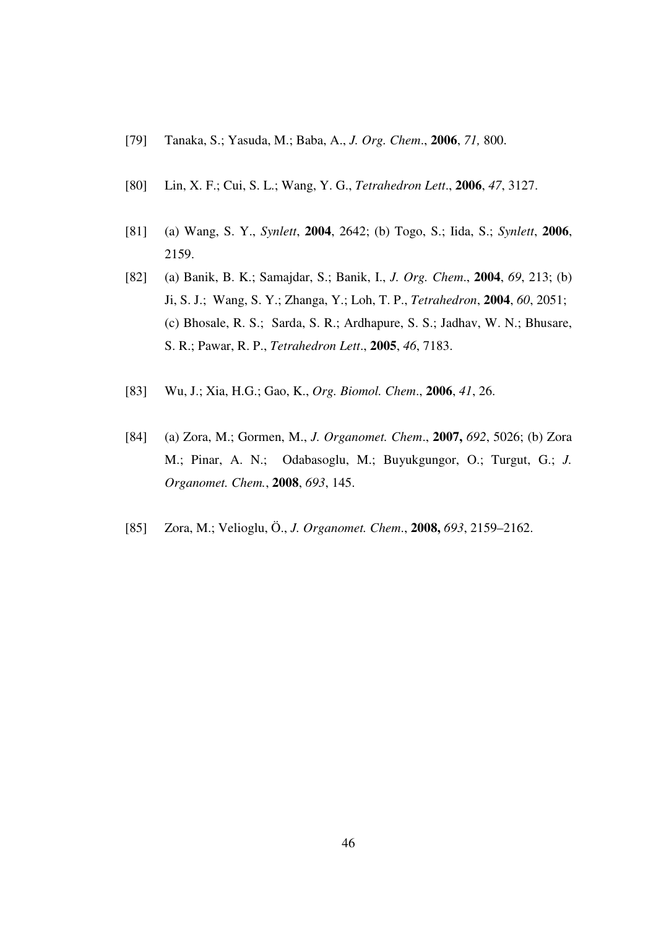- [79] Tanaka, S.; Yasuda, M.; Baba, A., *J. Org. Chem*., **2006**, *71,* 800.
- [80] Lin, X. F.; Cui, S. L.; Wang, Y. G., *Tetrahedron Lett*., **2006**, *47*, 3127.
- [81] (a) Wang, S. Y., *Synlett*, **2004**, 2642; (b) Togo, S.; Iida, S.; *Synlett*, **2006**, 2159.
- [82] (a) Banik, B. K.; Samajdar, S.; Banik, I., *J. Org. Chem*., **2004**, *69*, 213; (b) Ji, S. J.; Wang, S. Y.; Zhanga, Y.; Loh, T. P., *Tetrahedron*, **2004**, *60*, 2051; (c) Bhosale, R. S.; Sarda, S. R.; Ardhapure, S. S.; Jadhav, W. N.; Bhusare, S. R.; Pawar, R. P., *Tetrahedron Lett*., **2005**, *46*, 7183.
- [83] Wu, J.; Xia, H.G.; Gao, K., *Org. Biomol. Chem*., **2006**, *41*, 26.
- [84] (a) Zora, M.; Gormen, M., *J. Organomet. Chem*., **2007,** *692*, 5026; (b) Zora M.; Pinar, A. N.; Odabasoglu, M.; Buyukgungor, O.; Turgut, G.; *J. Organomet. Chem.*, **2008**, *693*, 145.
- [85] Zora, M.; Velioglu, Ö., *J. Organomet. Chem*., **2008,** *693*, 2159–2162.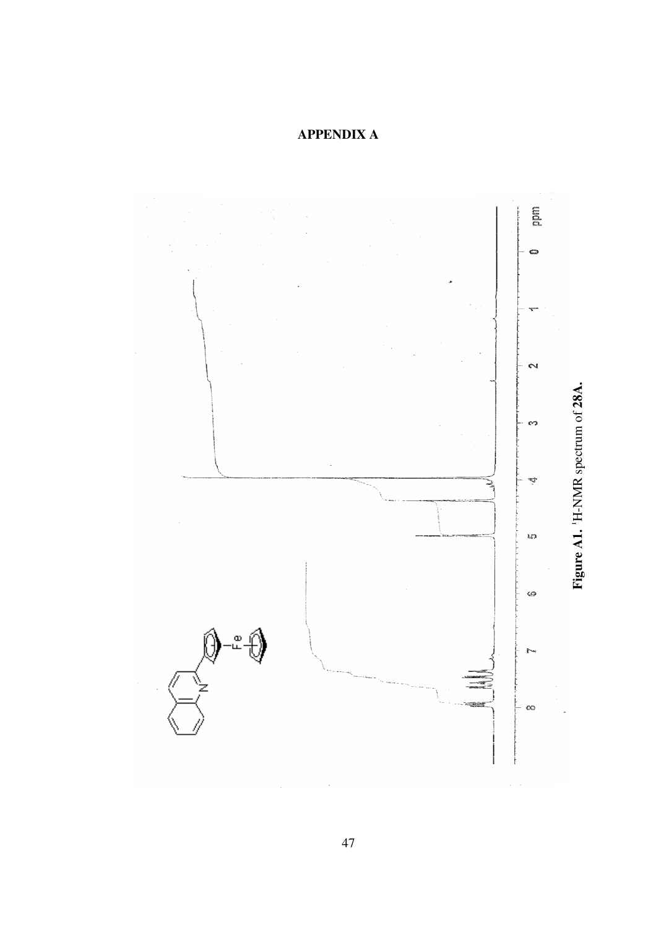# **APPENDIX A**

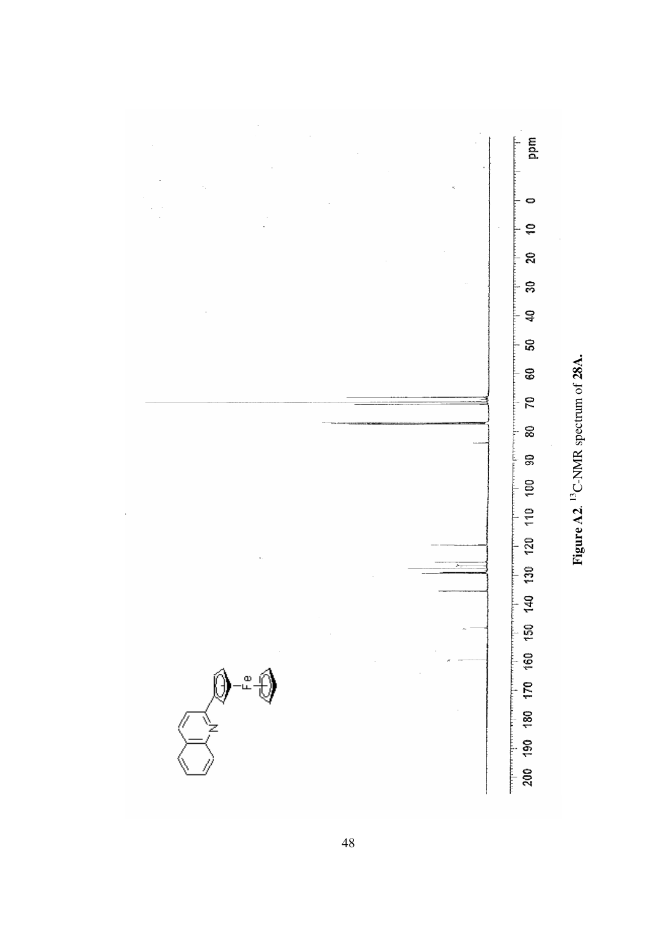

Figure A2.<sup>13</sup>C-NMR spectrum of 28A. **Figure A2**. C-NMR spectrum of **28A.**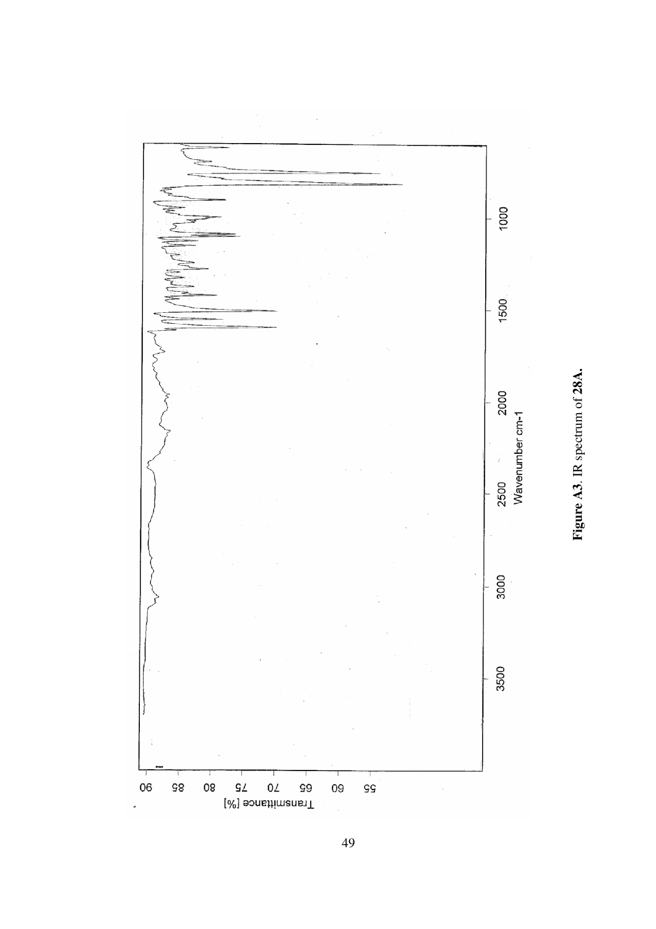

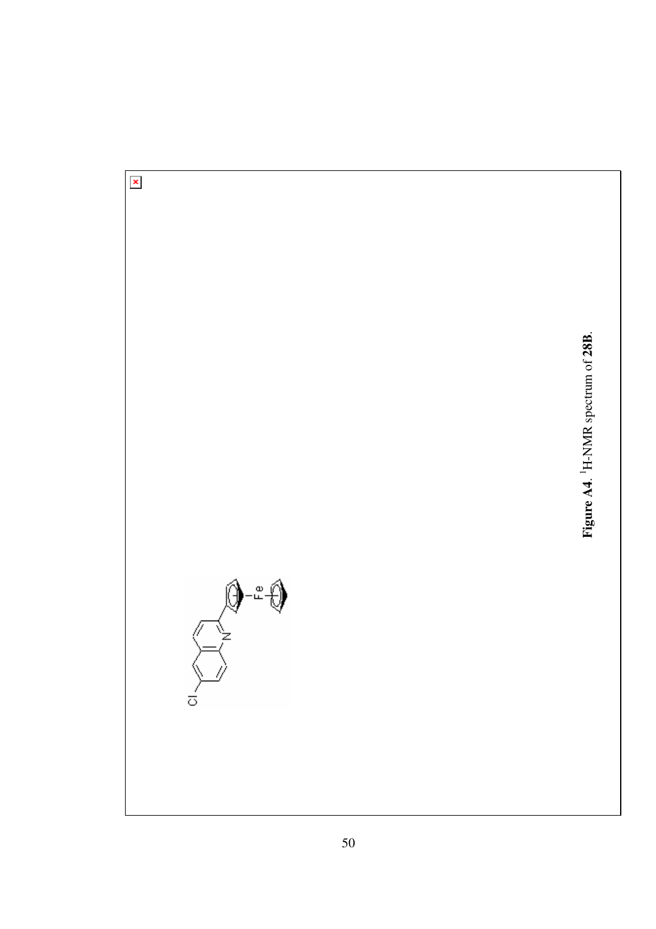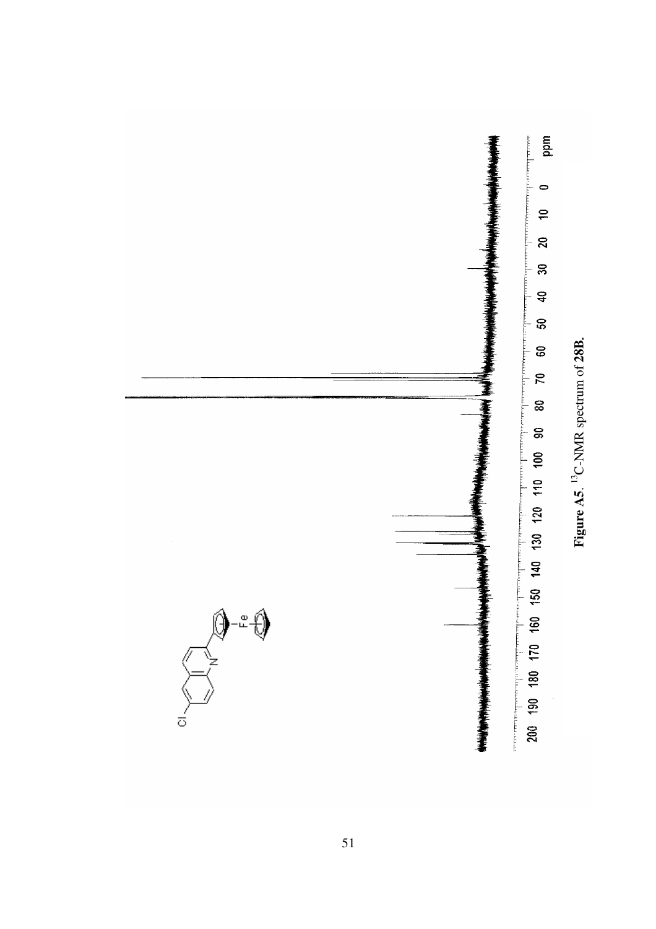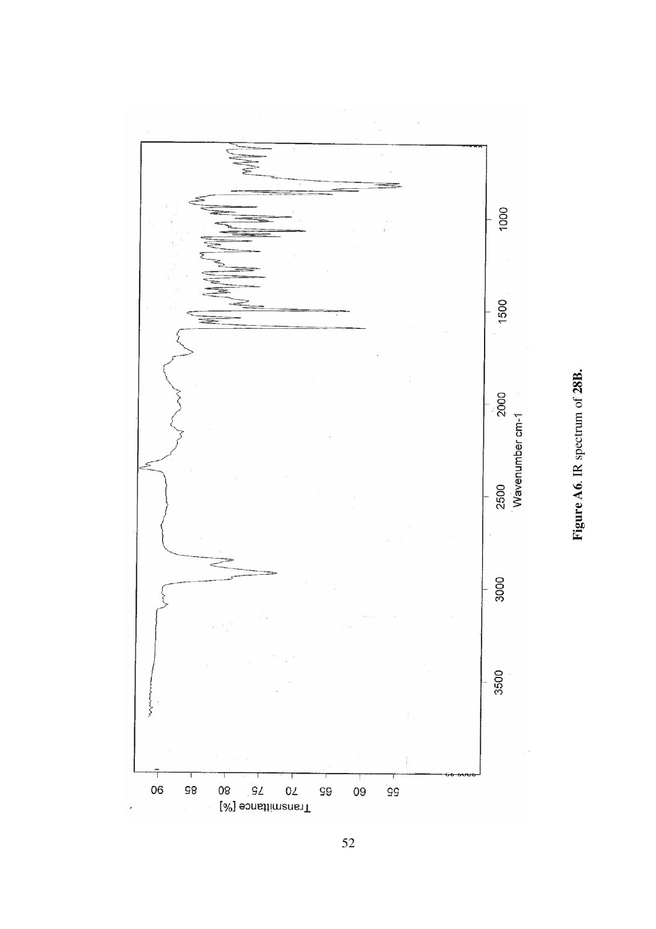

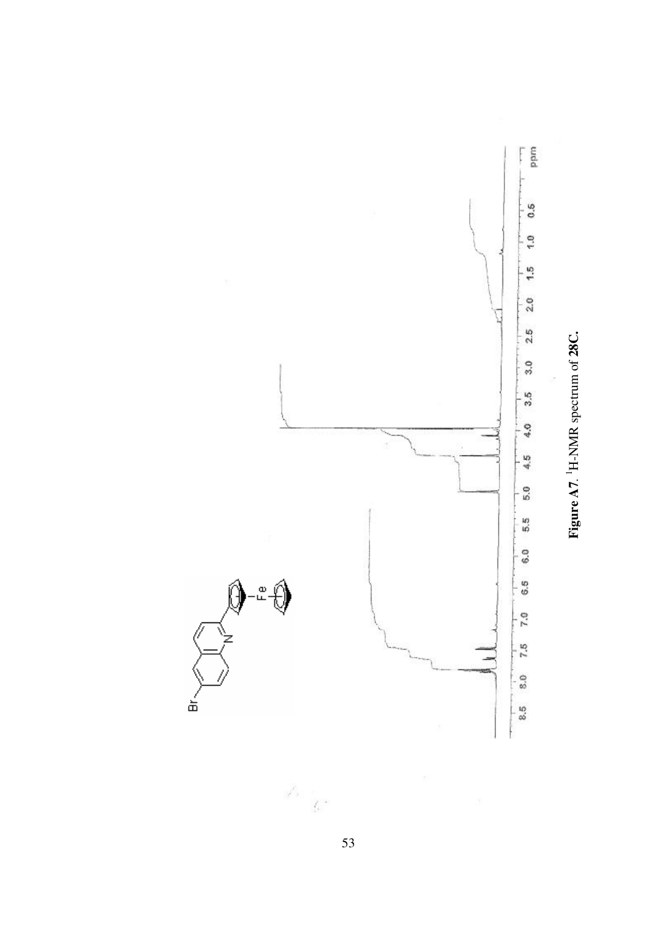

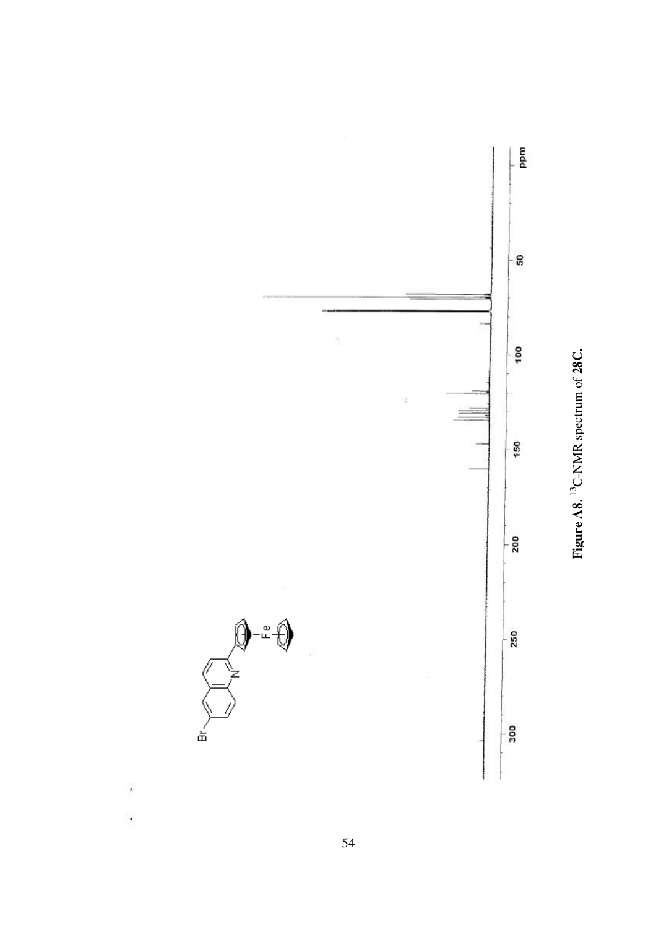



 $\ddot{\phantom{a}}$ 

 $\cdot$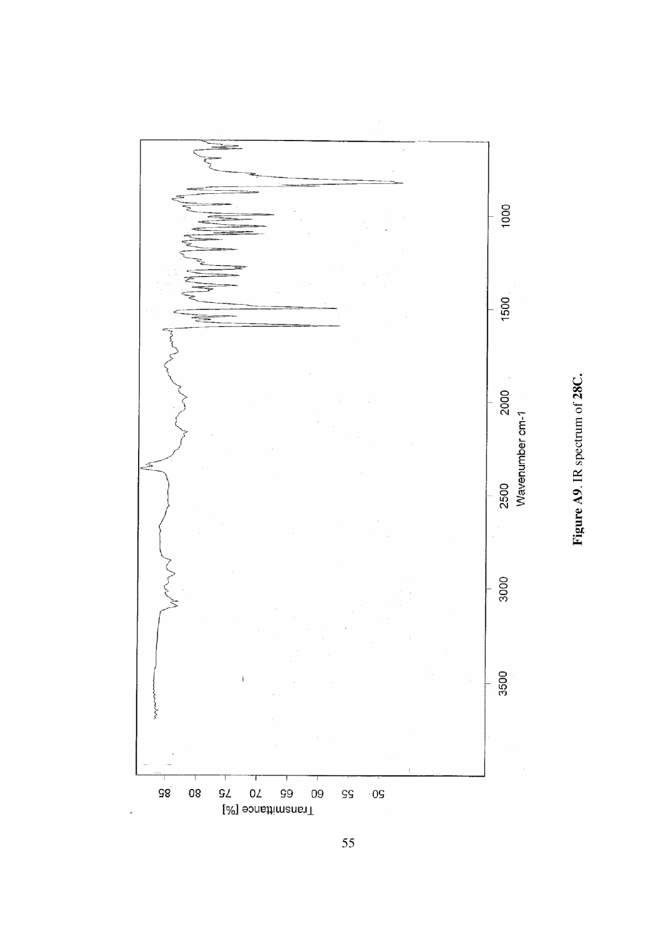

Figure A9. IR spectrum of 28C.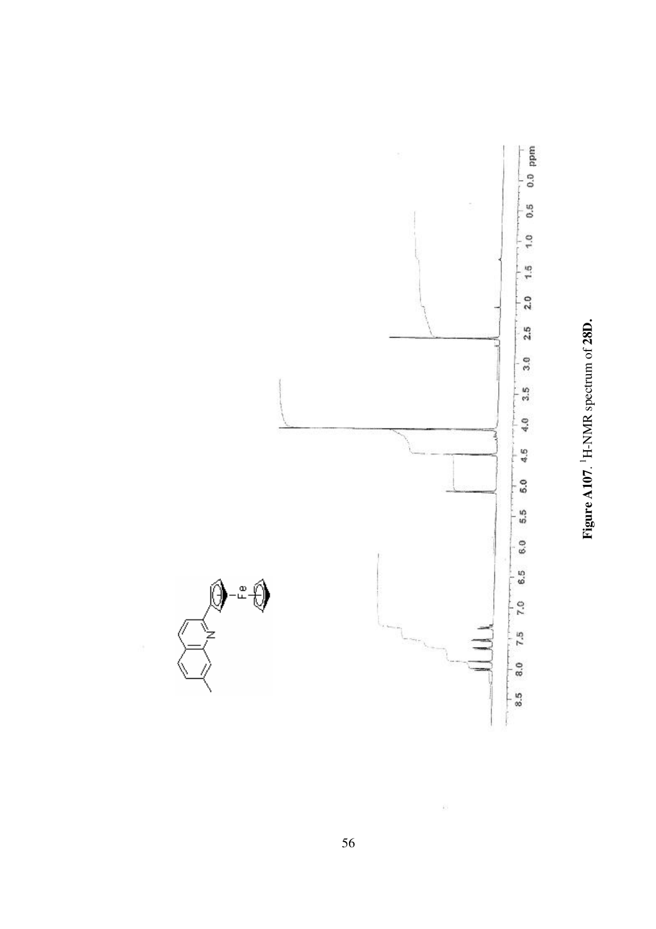



ŵ.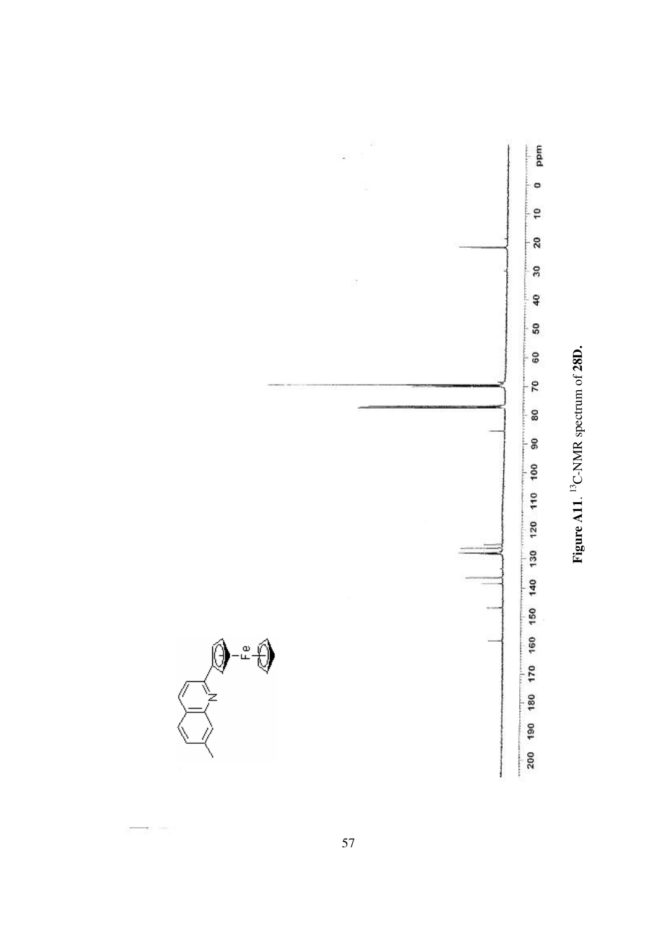



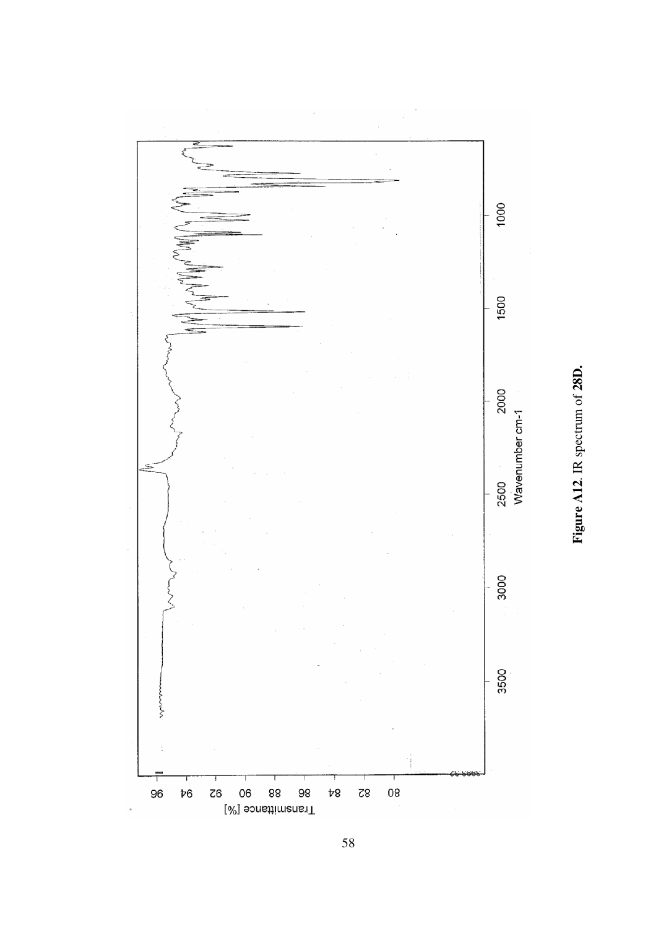

Figure A12. IR spectrum of 28D.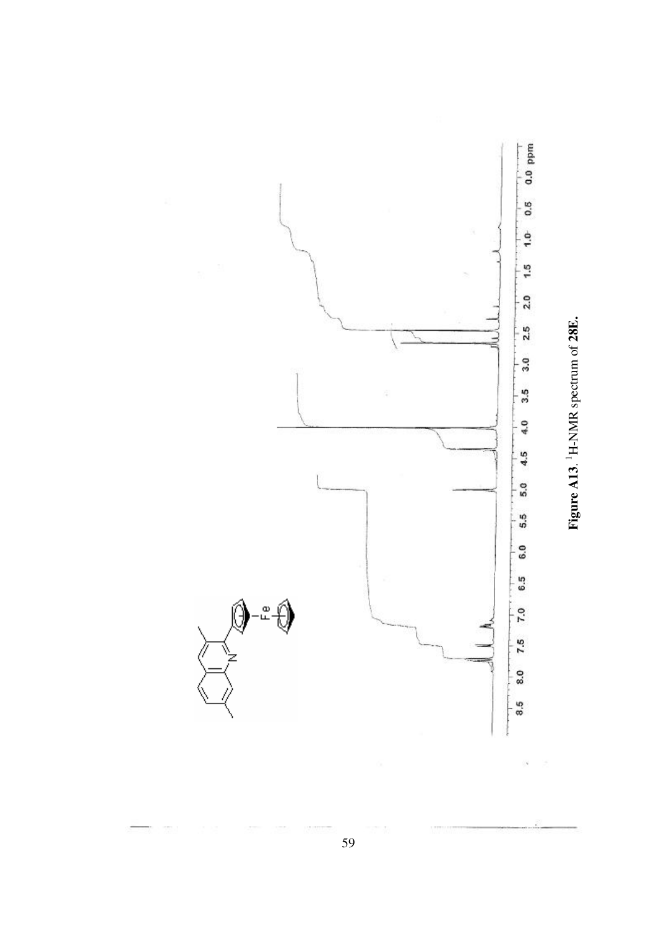

Figure A13. <sup>1</sup>H-NMR spectrum of 28E.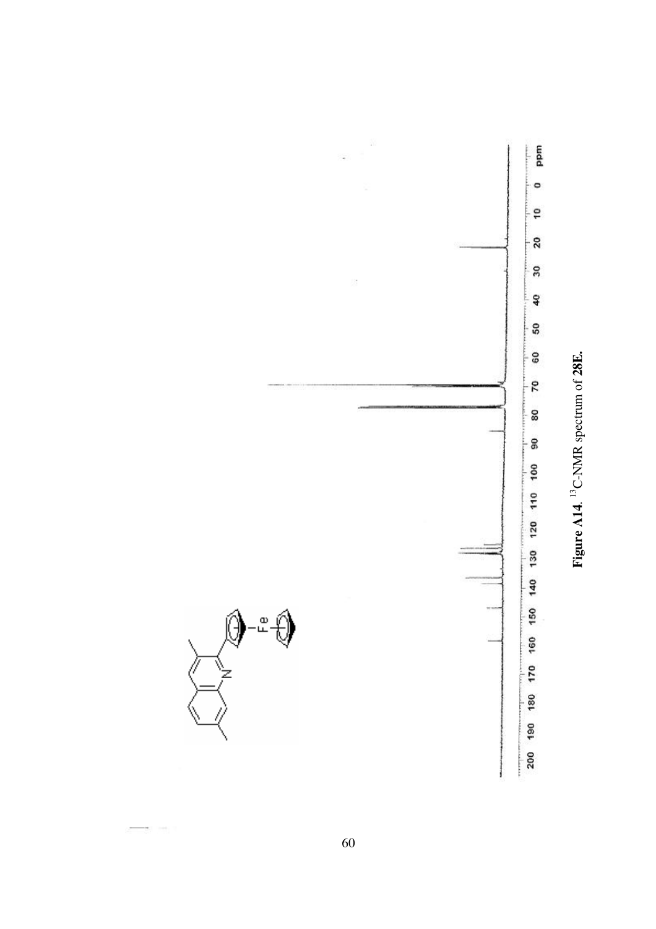

Figure A14.<sup>13</sup>C-NMR spectrum of 28E.

.<br>ლ

60